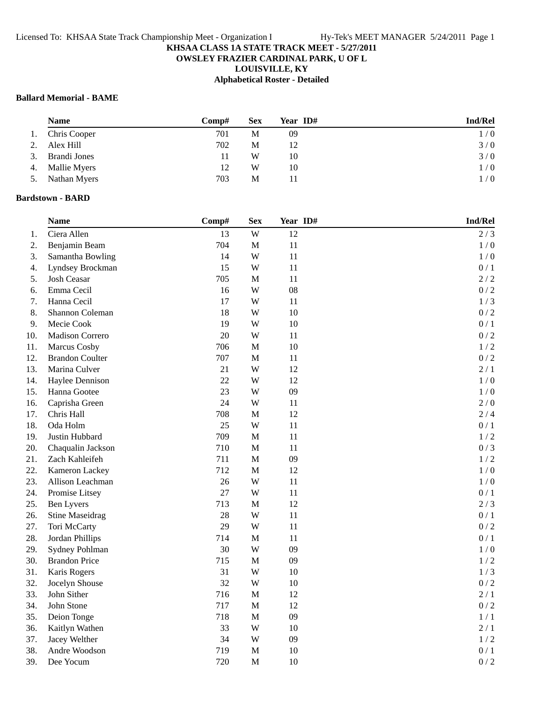# **OWSLEY FRAZIER CARDINAL PARK, U OF L**

**LOUISVILLE, KY**

# **Alphabetical Roster - Detailed**

# **Ballard Memorial - BAME**

|    | <b>Name</b>         | $\bf Comp#$ | <b>Sex</b> | Year ID# | <b>Ind/Rel</b> |
|----|---------------------|-------------|------------|----------|----------------|
| 1. | Chris Cooper        | 701         | М          | 09       | 1/0            |
| 2. | Alex Hill           | 702         | М          | 12       | 3/0            |
| 3. | Brandi Jones        |             | W          | 10       | 3/0            |
| 4. | <b>Mallie Myers</b> | 12          | W          | 10       | 1/0            |
| 5. | Nathan Myers        | 703         | М          |          | 1/0            |

## **Bardstown - BARD**

|     | <b>Name</b>            | Comp# | <b>Sex</b>   | Year ID# | Ind/Rel |
|-----|------------------------|-------|--------------|----------|---------|
| 1.  | Ciera Allen            | 13    | $\mathbf W$  | 12       | 2/3     |
| 2.  | Benjamin Beam          | 704   | M            | 11       | 1/0     |
| 3.  | Samantha Bowling       | 14    | W            | 11       | 1/0     |
| 4.  | Lyndsey Brockman       | 15    | W            | 11       | $0/1$   |
| 5.  | Josh Ceasar            | 705   | M            | 11       | 2/2     |
| 6.  | Emma Cecil             | 16    | W            | 08       | 0/2     |
| 7.  | Hanna Cecil            | 17    | W            | 11       | 1/3     |
| 8.  | Shannon Coleman        | 18    | W            | 10       | 0/2     |
| 9.  | Mecie Cook             | 19    | W            | 10       | 0/1     |
| 10. | Madison Correro        | 20    | W            | 11       | 0/2     |
| 11. | Marcus Cosby           | 706   | $\mathbf M$  | $10\,$   | 1/2     |
| 12. | <b>Brandon Coulter</b> | 707   | $\mathbf M$  | 11       | 0/2     |
| 13. | Marina Culver          | 21    | W            | 12       | 2/1     |
| 14. | Haylee Dennison        | 22    | W            | 12       | 1/0     |
| 15. | Hanna Gootee           | 23    | W            | 09       | 1/0     |
| 16. | Caprisha Green         | 24    | W            | 11       | 2/0     |
| 17. | Chris Hall             | 708   | $\mathbf M$  | 12       | 2/4     |
| 18. | Oda Holm               | 25    | W            | 11       | $0/1$   |
| 19. | Justin Hubbard         | 709   | $\mathbf M$  | 11       | 1/2     |
| 20. | Chaqualin Jackson      | 710   | $\mathbf M$  | 11       | 0/3     |
| 21. | Zach Kahleifeh         | 711   | $\mathbf M$  | 09       | 1/2     |
| 22. | Kameron Lackey         | 712   | M            | 12       | 1/0     |
| 23. | Allison Leachman       | 26    | W            | 11       | 1/0     |
| 24. | Promise Litsey         | 27    | W            | 11       | 0/1     |
| 25. | <b>Ben Lyvers</b>      | 713   | $\mathbf M$  | 12       | 2/3     |
| 26. | <b>Stine Maseidrag</b> | 28    | W            | 11       | $0/1$   |
| 27. | Tori McCarty           | 29    | W            | 11       | 0/2     |
| 28. | Jordan Phillips        | 714   | M            | 11       | $0/1$   |
| 29. | Sydney Pohlman         | 30    | W            | 09       | 1/0     |
| 30. | <b>Brandon Price</b>   | 715   | M            | 09       | 1/2     |
| 31. | Karis Rogers           | 31    | W            | 10       | 1/3     |
| 32. | Jocelyn Shouse         | 32    | W            | $10\,$   | 0/2     |
| 33. | John Sither            | 716   | M            | 12       | $2/1$   |
| 34. | John Stone             | 717   | $\mathbf M$  | 12       | 0/2     |
| 35. | Deion Tonge            | 718   | $\mathbf{M}$ | 09       | $1/1$   |
| 36. | Kaitlyn Wathen         | 33    | W            | 10       | 2/1     |
| 37. | Jacey Welther          | 34    | W            | 09       | 1/2     |
| 38. | Andre Woodson          | 719   | M            | 10       | 0/1     |
| 39. | Dee Yocum              | 720   | $\mathbf{M}$ | 10       | 0/2     |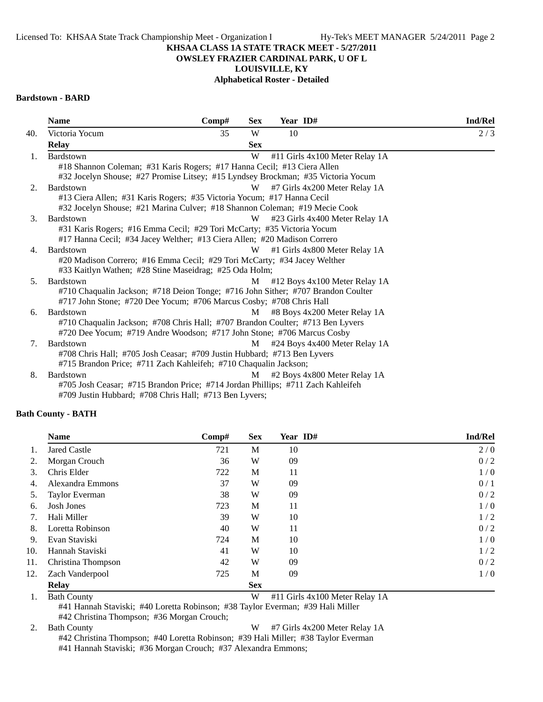#### **OWSLEY FRAZIER CARDINAL PARK, U OF L**

**LOUISVILLE, KY**

## **Alphabetical Roster - Detailed**

## **Bardstown - BARD**

| <b>Name</b>                                                                                                                                          | Comp# | <b>Sex</b> | Year ID# |                                | Ind/Rel |  |
|------------------------------------------------------------------------------------------------------------------------------------------------------|-------|------------|----------|--------------------------------|---------|--|
| Victoria Yocum                                                                                                                                       | 35    | W          | 10       |                                | 2/3     |  |
| <b>Relay</b>                                                                                                                                         |       | <b>Sex</b> |          |                                |         |  |
| <b>Bardstown</b>                                                                                                                                     |       | W          |          | #11 Girls 4x100 Meter Relay 1A |         |  |
| #18 Shannon Coleman; #31 Karis Rogers; #17 Hanna Cecil; #13 Ciera Allen                                                                              |       |            |          |                                |         |  |
| #32 Jocelyn Shouse; #27 Promise Litsey; #15 Lyndsey Brockman; #35 Victoria Yocum                                                                     |       |            |          |                                |         |  |
| Bardstown                                                                                                                                            |       | W          |          | #7 Girls 4x200 Meter Relay 1A  |         |  |
| #13 Ciera Allen; #31 Karis Rogers; #35 Victoria Yocum; #17 Hanna Cecil<br>#32 Jocelyn Shouse; #21 Marina Culver; #18 Shannon Coleman; #19 Mecie Cook |       |            |          |                                |         |  |
| Bardstown                                                                                                                                            |       | W          |          | #23 Girls 4x400 Meter Relay 1A |         |  |
| #31 Karis Rogers; #16 Emma Cecil; #29 Tori McCarty; #35 Victoria Yocum<br>#17 Hanna Cecil; #34 Jacey Welther; #13 Ciera Allen; #20 Madison Correro   |       |            |          |                                |         |  |
| Bardstown                                                                                                                                            |       | W          |          | #1 Girls 4x800 Meter Relay 1A  |         |  |
| #20 Madison Correro; #16 Emma Cecil; #29 Tori McCarty; #34 Jacey Welther                                                                             |       |            |          |                                |         |  |
| #33 Kaitlyn Wathen; #28 Stine Maseidrag; #25 Oda Holm;                                                                                               |       |            |          |                                |         |  |
| Bardstown                                                                                                                                            |       | M          |          | #12 Boys 4x100 Meter Relay 1A  |         |  |
| #710 Chaqualin Jackson; #718 Deion Tonge; #716 John Sither; #707 Brandon Coulter                                                                     |       |            |          |                                |         |  |
| #717 John Stone; #720 Dee Yocum; #706 Marcus Cosby; #708 Chris Hall                                                                                  |       |            |          |                                |         |  |
| <b>Bardstown</b>                                                                                                                                     |       | М          |          | #8 Boys 4x200 Meter Relay 1A   |         |  |
| #710 Chaqualin Jackson; #708 Chris Hall; #707 Brandon Coulter; #713 Ben Lyvers                                                                       |       |            |          |                                |         |  |
| #720 Dee Yocum; #719 Andre Woodson; #717 John Stone; #706 Marcus Cosby                                                                               |       |            |          |                                |         |  |
| Bardstown                                                                                                                                            |       | М          |          | #24 Boys 4x400 Meter Relay 1A  |         |  |
| #708 Chris Hall; #705 Josh Ceasar; #709 Justin Hubbard; #713 Ben Lyvers                                                                              |       |            |          |                                |         |  |
| #715 Brandon Price; #711 Zach Kahleifeh; #710 Chaqualin Jackson;                                                                                     |       |            |          |                                |         |  |
| Bardstown                                                                                                                                            |       | М          |          | #2 Boys 4x800 Meter Relay 1A   |         |  |
| #705 Josh Ceasar; #715 Brandon Price; #714 Jordan Phillips; #711 Zach Kahleifeh                                                                      |       |            |          |                                |         |  |
| #709 Justin Hubbard; #708 Chris Hall; #713 Ben Lyvers;                                                                                               |       |            |          |                                |         |  |

#### **Bath County - BATH**

|     | <b>Name</b>        | Comp# | <b>Sex</b> | Year ID# | <b>Ind/Rel</b> |
|-----|--------------------|-------|------------|----------|----------------|
| 1.  | Jared Castle       | 721   | М          | 10       | 2/0            |
| 2.  | Morgan Crouch      | 36    | W          | 09       | 0/2            |
| 3.  | Chris Elder        | 722   | M          | 11       | 1/0            |
| 4.  | Alexandra Emmons   | 37    | W          | 09       | 0/1            |
| 5.  | Taylor Everman     | 38    | W          | 09       | 0/2            |
| 6.  | Josh Jones         | 723   | M          | 11       | 1/0            |
| 7.  | Hali Miller        | 39    | W          | 10       | 1/2            |
| 8.  | Loretta Robinson   | 40    | W          | 11       | 0/2            |
| 9.  | Evan Staviski      | 724   | M          | 10       | 1/0            |
| 10. | Hannah Staviski    | 41    | W          | 10       | 1/2            |
| 11. | Christina Thompson | 42    | W          | 09       | 0/2            |
| 12. | Zach Vanderpool    | 725   | M          | 09       | 1/0            |
|     | <b>Relay</b>       |       | <b>Sex</b> |          |                |

1. Bath County W #11 Girls 4x100 Meter Relay 1A

#41 Hannah Staviski; #40 Loretta Robinson; #38 Taylor Everman; #39 Hali Miller #42 Christina Thompson; #36 Morgan Crouch;

2. Bath County W #7 Girls 4x200 Meter Relay 1A

#42 Christina Thompson; #40 Loretta Robinson; #39 Hali Miller; #38 Taylor Everman #41 Hannah Staviski; #36 Morgan Crouch; #37 Alexandra Emmons;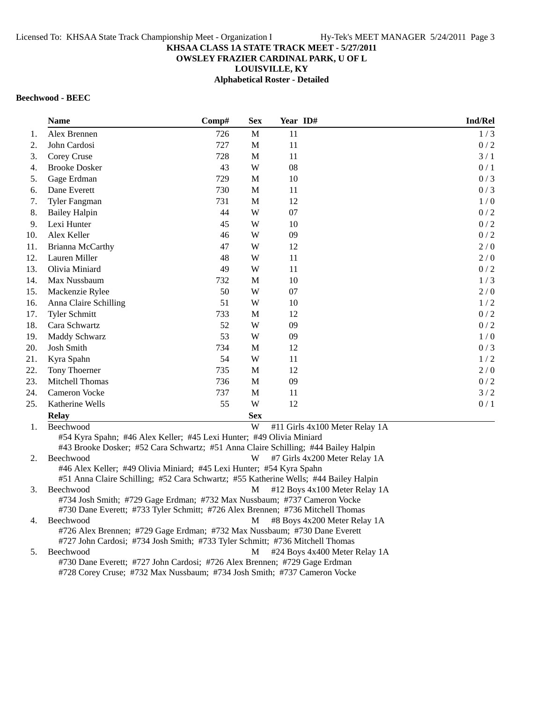## **KHSAA CLASS 1A STATE TRACK MEET - 5/27/2011 OWSLEY FRAZIER CARDINAL PARK, U OF L**

**LOUISVILLE, KY**

**Alphabetical Roster - Detailed**

# **Beechwood - BEEC**

|     | <b>Name</b>                                                                                                                                                | Comp# | <b>Sex</b>  | Year ID# |                                | Ind/Rel |  |  |
|-----|------------------------------------------------------------------------------------------------------------------------------------------------------------|-------|-------------|----------|--------------------------------|---------|--|--|
| 1.  | Alex Brennen                                                                                                                                               | 726   | M           | 11       |                                | 1/3     |  |  |
| 2.  | John Cardosi                                                                                                                                               | 727   | $\mathbf M$ | 11       |                                | 0/2     |  |  |
| 3.  | Corey Cruse                                                                                                                                                | 728   | M           | 11       |                                | 3/1     |  |  |
| 4.  | <b>Brooke Dosker</b>                                                                                                                                       | 43    | W           | 08       |                                | 0/1     |  |  |
| 5.  | Gage Erdman                                                                                                                                                | 729   | $\mathbf M$ | 10       |                                | 0/3     |  |  |
| 6.  | Dane Everett                                                                                                                                               | 730   | M           | 11       |                                | 0/3     |  |  |
| 7.  | Tyler Fangman                                                                                                                                              | 731   | M           | 12       |                                | 1/0     |  |  |
| 8.  | <b>Bailey Halpin</b>                                                                                                                                       | 44    | W           | 07       |                                | 0/2     |  |  |
| 9.  | Lexi Hunter                                                                                                                                                | 45    | W           | 10       |                                | 0/2     |  |  |
| 10. | Alex Keller                                                                                                                                                | 46    | W           | 09       |                                | 0/2     |  |  |
| 11. | Brianna McCarthy                                                                                                                                           | 47    | W           | 12       |                                | 2/0     |  |  |
| 12. | Lauren Miller                                                                                                                                              | 48    | W           | 11       |                                | 2/0     |  |  |
| 13. | Olivia Miniard                                                                                                                                             | 49    | W           | 11       |                                | 0/2     |  |  |
| 14. | Max Nussbaum                                                                                                                                               | 732   | $\mathbf M$ | 10       |                                | 1/3     |  |  |
| 15. | Mackenzie Rylee                                                                                                                                            | 50    | W           | 07       |                                | 2/0     |  |  |
| 16. | Anna Claire Schilling                                                                                                                                      | 51    | W           | 10       |                                | 1/2     |  |  |
| 17. | <b>Tyler Schmitt</b>                                                                                                                                       | 733   | $\mathbf M$ | 12       |                                | $0/2$   |  |  |
| 18. | Cara Schwartz                                                                                                                                              | 52    | W           | 09       |                                | 0/2     |  |  |
| 19. | Maddy Schwarz                                                                                                                                              | 53    | W           | 09       |                                | 1/0     |  |  |
| 20. | Josh Smith                                                                                                                                                 | 734   | M           | 12       |                                | 0/3     |  |  |
| 21. | Kyra Spahn                                                                                                                                                 | 54    | W           | 11       |                                | 1/2     |  |  |
| 22. | Tony Thoerner                                                                                                                                              | 735   | M           | 12       |                                | 2/0     |  |  |
| 23. | Mitchell Thomas                                                                                                                                            | 736   | $\mathbf M$ | 09       |                                | 0/2     |  |  |
| 24. | Cameron Vocke                                                                                                                                              | 737   | M           | 11       |                                | 3/2     |  |  |
| 25. | Katherine Wells                                                                                                                                            | 55    | W           | 12       |                                | 0/1     |  |  |
|     | <b>Relay</b>                                                                                                                                               |       | <b>Sex</b>  |          |                                |         |  |  |
| 1.  | Beechwood                                                                                                                                                  |       | W           |          | #11 Girls 4x100 Meter Relay 1A |         |  |  |
|     | #54 Kyra Spahn; #46 Alex Keller; #45 Lexi Hunter; #49 Olivia Miniard<br>#43 Brooke Dosker; #52 Cara Schwartz; #51 Anna Claire Schilling; #44 Bailey Halpin |       |             |          |                                |         |  |  |
| 2.  | Beechwood                                                                                                                                                  |       | W           |          | #7 Girls 4x200 Meter Relay 1A  |         |  |  |
|     | #46 Alex Keller; #49 Olivia Miniard; #45 Lexi Hunter; #54 Kyra Spahn                                                                                       |       |             |          |                                |         |  |  |
|     | #51 Anna Claire Schilling; #52 Cara Schwartz; #55 Katherine Wells; #44 Bailey Halpin                                                                       |       |             |          |                                |         |  |  |
| 3.  | Beechwood                                                                                                                                                  |       | M           |          | #12 Boys 4x100 Meter Relay 1A  |         |  |  |
|     | #734 Josh Smith; #729 Gage Erdman; #732 Max Nussbaum; #737 Cameron Vocke                                                                                   |       |             |          |                                |         |  |  |
|     | #730 Dane Everett; #733 Tyler Schmitt; #726 Alex Brennen; #736 Mitchell Thomas                                                                             |       |             |          |                                |         |  |  |

4. Beechwood M #8 Boys 4x200 Meter Relay 1A #726 Alex Brennen; #729 Gage Erdman; #732 Max Nussbaum; #730 Dane Everett #727 John Cardosi; #734 Josh Smith; #733 Tyler Schmitt; #736 Mitchell Thomas

5. Beechwood M #24 Boys 4x400 Meter Relay 1A #730 Dane Everett; #727 John Cardosi; #726 Alex Brennen; #729 Gage Erdman #728 Corey Cruse; #732 Max Nussbaum; #734 Josh Smith; #737 Cameron Vocke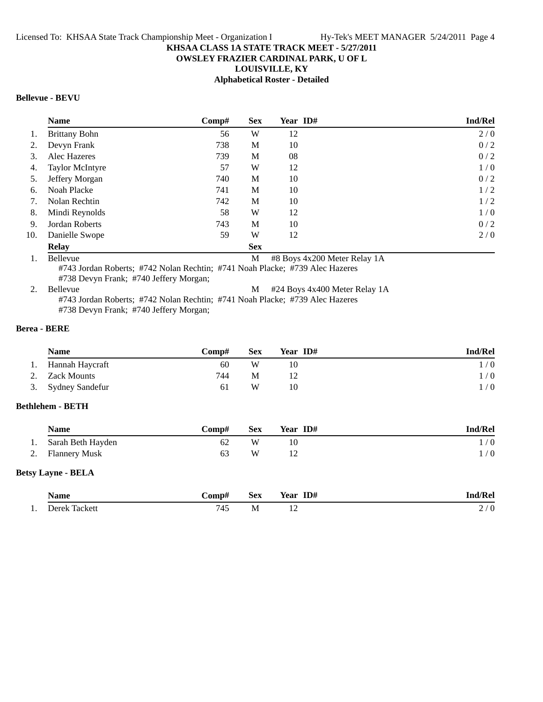# **OWSLEY FRAZIER CARDINAL PARK, U OF L**

**LOUISVILLE, KY**

**Alphabetical Roster - Detailed**

# **Bellevue - BEVU**

|     | <b>Name</b>            | $\bf Comp\#$ | <b>Sex</b> | Year ID# | Ind/Rel |
|-----|------------------------|--------------|------------|----------|---------|
| 1.  | <b>Brittany Bohn</b>   | 56           | W          | 12       | 2/0     |
|     | Devyn Frank            | 738          | M          | 10       | 0/2     |
| 3.  | Alec Hazeres           | 739          | M          | 08       | 0/2     |
| 4.  | <b>Taylor McIntyre</b> | 57           | W          | 12       | 1/0     |
| 5.  | Jeffery Morgan         | 740          | M          | 10       | 0/2     |
| 6.  | Noah Placke            | 741          | M          | 10       | 1/2     |
| 7.  | Nolan Rechtin          | 742          | M          | 10       | 1/2     |
| 8.  | Mindi Reynolds         | 58           | W          | 12       | 1/0     |
| 9.  | Jordan Roberts         | 743          | M          | 10       | 0/2     |
| 10. | Danielle Swope         | 59           | W          | 12       | 2/0     |
|     | <b>Relay</b>           |              | <b>Sex</b> |          |         |

1. Bellevue M #8 Boys 4x200 Meter Relay 1A

#743 Jordan Roberts; #742 Nolan Rechtin; #741 Noah Placke; #739 Alec Hazeres #738 Devyn Frank; #740 Jeffery Morgan;

2. Bellevue M #24 Boys 4x400 Meter Relay 1A #743 Jordan Roberts; #742 Nolan Rechtin; #741 Noah Placke; #739 Alec Hazeres #738 Devyn Frank; #740 Jeffery Morgan;

# **Berea - BERE**

|    | <b>Name</b>        | Comp# | <b>Sex</b> | Year ID# | Ind/Rel |
|----|--------------------|-------|------------|----------|---------|
| 1. | Hannah Haycraft    | 60    | W          | 10       | 1/0     |
|    | 2. Zack Mounts     | 744   | М          |          | 1/0     |
|    | 3. Sydney Sandefur | 61    | W          | 10       | 1/0     |

# **Bethlehem - BETH**

|          | <b>Name</b>          | Comp# | <b>Sex</b> | Year ID# | <b>Ind/Rel</b> |
|----------|----------------------|-------|------------|----------|----------------|
| . .      | Sarah Beth Hayden    | 62    | W          |          | $\theta$       |
| <u>.</u> | <b>Flannery Musk</b> | 63    | W          |          | $\theta$       |

#### **Betsy Layne - BELA**

|     | <b>Name</b>           | `omp#            | Sex | ID#<br>$ -$<br>Year | . m                                          |
|-----|-----------------------|------------------|-----|---------------------|----------------------------------------------|
| . . | . Jarak i<br>l acket: | $\Lambda$<br>ำ+ะ | M   | $\overline{1}$      | $\sqrt{2}$<br>$\overline{\phantom{0}}$<br>۰. |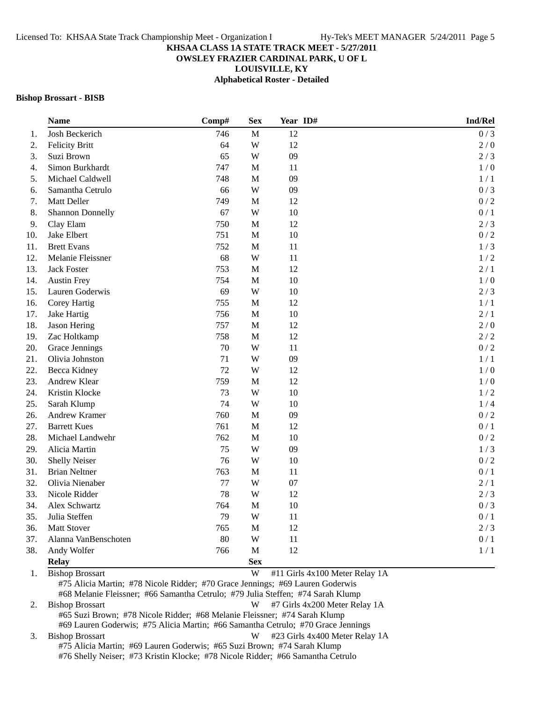**OWSLEY FRAZIER CARDINAL PARK, U OF L**

**LOUISVILLE, KY**

**Alphabetical Roster - Detailed**

#### **Bishop Brossart - BISB**

| <b>Name</b>                                                                                             | Comp# | <b>Sex</b>  | Year ID#                       | Ind/Rel |
|---------------------------------------------------------------------------------------------------------|-------|-------------|--------------------------------|---------|
| Josh Beckerich                                                                                          | 746   | M           | 12                             | 0/3     |
| <b>Felicity Britt</b>                                                                                   | 64    | W           | 12                             | $2/0$   |
| Suzi Brown                                                                                              | 65    | W           | 09                             | 2/3     |
| Simon Burkhardt                                                                                         | 747   | $\mathbf M$ | 11                             | 1/0     |
| Michael Caldwell                                                                                        | 748   | $\mathbf M$ | 09                             | 1/1     |
| Samantha Cetrulo                                                                                        | 66    | W           | 09                             | 0/3     |
| Matt Deller                                                                                             | 749   | $\mathbf M$ | 12                             | 0/2     |
| <b>Shannon Donnelly</b>                                                                                 | 67    | W           | 10                             | 0/1     |
| Clay Elam                                                                                               | 750   | $\mathbf M$ | 12                             | 2/3     |
| Jake Elbert                                                                                             | 751   | $\mathbf M$ | 10                             | 0/2     |
| <b>Brett Evans</b>                                                                                      | 752   | $\mathbf M$ | 11                             | 1/3     |
| Melanie Fleissner                                                                                       | 68    | W           | 11                             | 1/2     |
| <b>Jack Foster</b>                                                                                      | 753   | M           | 12                             | 2/1     |
| <b>Austin Frey</b>                                                                                      | 754   | $\mathbf M$ | 10                             | 1/0     |
| Lauren Goderwis                                                                                         | 69    | W           | 10                             | 2/3     |
| Corey Hartig                                                                                            | 755   | $\mathbf M$ | 12                             | 1/1     |
| Jake Hartig                                                                                             | 756   | $\mathbf M$ | 10                             | 2/1     |
| Jason Hering                                                                                            | 757   | $\mathbf M$ | 12                             | 2/0     |
| Zac Holtkamp                                                                                            | 758   | $\mathbf M$ | 12                             | 2/2     |
| Grace Jennings                                                                                          | 70    | W           | 11                             | 0/2     |
| Olivia Johnston                                                                                         | 71    | W           | 09                             | 1/1     |
| Becca Kidney                                                                                            | 72    | W           | 12                             | 1/0     |
| Andrew Klear                                                                                            | 759   | $\mathbf M$ | 12                             | 1/0     |
| Kristin Klocke                                                                                          | 73    | W           | $10\,$                         | 1/2     |
| Sarah Klump                                                                                             | 74    | W           | 10                             | 1/4     |
| Andrew Kramer                                                                                           | 760   | $\mathbf M$ | 09                             | 0/2     |
| <b>Barrett Kues</b>                                                                                     | 761   | $\mathbf M$ | 12                             | 0/1     |
| Michael Landwehr                                                                                        | 762   | $\mathbf M$ | 10                             | 0/2     |
| Alicia Martin                                                                                           | 75    | W           | 09                             | 1/3     |
| <b>Shelly Neiser</b>                                                                                    | 76    | W           | 10                             | 0/2     |
| <b>Brian Neltner</b>                                                                                    | 763   | $\mathbf M$ | 11                             | 0/1     |
| Olivia Nienaber                                                                                         | 77    | W           | 07                             | 2/1     |
| Nicole Ridder                                                                                           | 78    | W           | 12                             | 2/3     |
| Alex Schwartz                                                                                           | 764   | $\mathbf M$ | 10                             | 0/3     |
| Julia Steffen                                                                                           | 79    | W           | 11                             | 0/1     |
| <b>Matt Stover</b>                                                                                      | 765   | M           | 12                             | 2/3     |
| Alanna VanBenschoten                                                                                    | 80    | W           | 11                             | 0/1     |
| Andy Wolfer                                                                                             | 766   | M           | 12                             | 1/1     |
| <b>Relay</b>                                                                                            |       | <b>Sex</b>  |                                |         |
| <b>Bishop Brossart</b><br>#75 Alicia Martin; #78 Nicole Ridder; #70 Grace Jennings; #69 Lauren Goderwis |       | W           | #11 Girls 4x100 Meter Relay 1A |         |

#68 Melanie Fleissner; #66 Samantha Cetrulo; #79 Julia Steffen; #74 Sarah Klump

2. Bishop Brossart W #7 Girls 4x200 Meter Relay 1A #65 Suzi Brown; #78 Nicole Ridder; #68 Melanie Fleissner; #74 Sarah Klump #69 Lauren Goderwis; #75 Alicia Martin; #66 Samantha Cetrulo; #70 Grace Jennings

3. Bishop Brossart **W** #23 Girls 4x400 Meter Relay 1A #75 Alicia Martin; #69 Lauren Goderwis; #65 Suzi Brown; #74 Sarah Klump #76 Shelly Neiser; #73 Kristin Klocke; #78 Nicole Ridder; #66 Samantha Cetrulo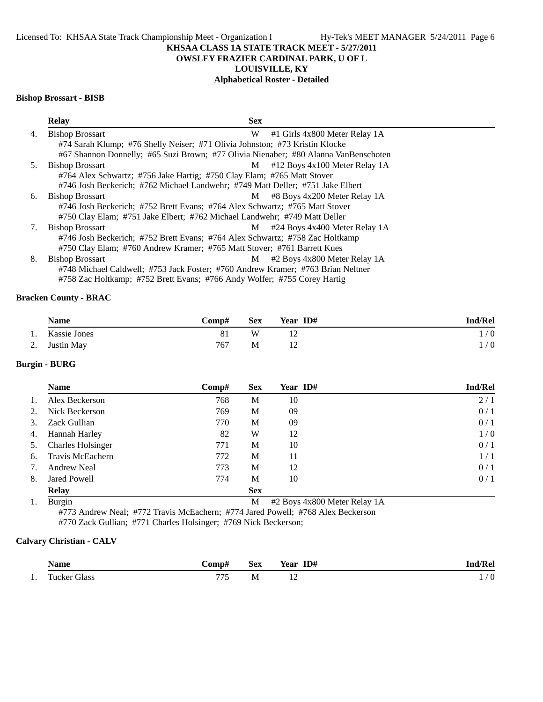# **OWSLEY FRAZIER CARDINAL PARK, U OF L**

# **LOUISVILLE, KY**

# **Alphabetical Roster - Detailed**

#### **Bishop Brossart - BISB**

|    | <b>Relay</b><br><b>Sex</b>                                                          |                                 |
|----|-------------------------------------------------------------------------------------|---------------------------------|
| 4. | <b>Bishop Brossart</b><br>W                                                         | #1 Girls 4x800 Meter Relay 1A   |
|    | #74 Sarah Klump; #76 Shelly Neiser; #71 Olivia Johnston; #73 Kristin Klocke         |                                 |
|    | #67 Shannon Donnelly; #65 Suzi Brown; #77 Olivia Nienaber; #80 Alanna VanBenschoten |                                 |
| 5. | <b>Bishop Brossart</b><br>M                                                         | $#12$ Boys 4x100 Meter Relay 1A |
|    | #764 Alex Schwartz; #756 Jake Hartig; #750 Clay Elam; #765 Matt Stover              |                                 |
|    | #746 Josh Beckerich; #762 Michael Landwehr; #749 Matt Deller; #751 Jake Elbert      |                                 |
| 6. | <b>Bishop Brossart</b><br>M                                                         | #8 Boys 4x200 Meter Relay 1A    |
|    | #746 Josh Beckerich; #752 Brett Evans; #764 Alex Schwartz; #765 Matt Stover         |                                 |
|    | #750 Clay Elam; #751 Jake Elbert; #762 Michael Landwehr; #749 Matt Deller           |                                 |
| 7. | <b>Bishop Brossart</b><br>M                                                         | #24 Boys 4x400 Meter Relay 1A   |
|    | #746 Josh Beckerich; #752 Brett Evans; #764 Alex Schwartz; #758 Zac Holtkamp        |                                 |
|    | #750 Clay Elam; #760 Andrew Kramer; #765 Matt Stover; #761 Barrett Kues             |                                 |
| 8. | <b>Bishop Brossart</b><br>M                                                         | #2 Boys 4x800 Meter Relay 1A    |
|    | #748 Michael Caldwell; #753 Jack Foster; #760 Andrew Kramer; #763 Brian Neltner     |                                 |
|    | #758 Zac Holtkamp; #752 Brett Evans; #766 Andy Wolfer; #755 Corey Hartig            |                                 |

# **Bracken County - BRAC**

| <b>Name</b>     | Comp# | <b>Sex</b> | Year ID# | <b>Ind/Rel</b> |
|-----------------|-------|------------|----------|----------------|
| 1. Kassie Jones |       | W          |          | 1/0            |
| 2. Justin May   | 767   | М          |          | $\sqrt{0}$     |

## **Burgin - BURG**

|    | <b>Name</b>              | Comp# | <b>Sex</b>    | Year ID#                                                                                                                                                                                                                                                                                                                                                                                             | <b>Ind/Rel</b> |
|----|--------------------------|-------|---------------|------------------------------------------------------------------------------------------------------------------------------------------------------------------------------------------------------------------------------------------------------------------------------------------------------------------------------------------------------------------------------------------------------|----------------|
| 1. | Alex Beckerson           | 768   | М             | 10                                                                                                                                                                                                                                                                                                                                                                                                   | 2/1            |
| 2. | Nick Beckerson           | 769   | M             | 09                                                                                                                                                                                                                                                                                                                                                                                                   | 0/1            |
| 3. | Zack Gullian             | 770   | M             | 09                                                                                                                                                                                                                                                                                                                                                                                                   | 0/1            |
| 4. | Hannah Harley            | 82    | W             | 12                                                                                                                                                                                                                                                                                                                                                                                                   | 1/0            |
| 5. | <b>Charles Holsinger</b> | 771   | M             | 10                                                                                                                                                                                                                                                                                                                                                                                                   | 0/1            |
| 6. | Travis McEachern         | 772   | M             | 11                                                                                                                                                                                                                                                                                                                                                                                                   | 1/1            |
| 7. | <b>Andrew Neal</b>       | 773   | M             | 12                                                                                                                                                                                                                                                                                                                                                                                                   | 0/1            |
| 8. | <b>Jared Powell</b>      | 774   | M             | 10                                                                                                                                                                                                                                                                                                                                                                                                   | 0/1            |
|    | <b>Relay</b>             |       | <b>Sex</b>    |                                                                                                                                                                                                                                                                                                                                                                                                      |                |
|    | $\sim$ $\sim$ $\sim$     |       | $\sim$ $\sim$ | $\overline{1}$ $\overline{0}$ $\overline{0}$ $\overline{1}$ $\overline{1}$ $\overline{1}$ $\overline{1}$ $\overline{1}$ $\overline{1}$ $\overline{1}$ $\overline{1}$ $\overline{1}$ $\overline{1}$ $\overline{1}$ $\overline{1}$ $\overline{1}$ $\overline{1}$ $\overline{1}$ $\overline{1}$ $\overline{1}$ $\overline{1}$ $\overline{1}$ $\overline{1}$ $\overline{1}$ $\overline{$<br>$\mathbf{a}$ |                |

1. Burgin M #2 Boys 4x800 Meter Relay 1A #773 Andrew Neal; #772 Travis McEachern; #774 Jared Powell; #768 Alex Beckerson

#770 Zack Gullian; #771 Charles Holsinger; #769 Nick Beckerson;

# **Calvary Christian - CALV**

|     | Name         | -`omp#   | Sex       | ID#<br>$-$<br>Year | $\mathbf{R}$ en |
|-----|--------------|----------|-----------|--------------------|-----------------|
| . . | Tucker Glass | ココピ<br>. | <b>NI</b> | $\cdot$            | v<br>. .        |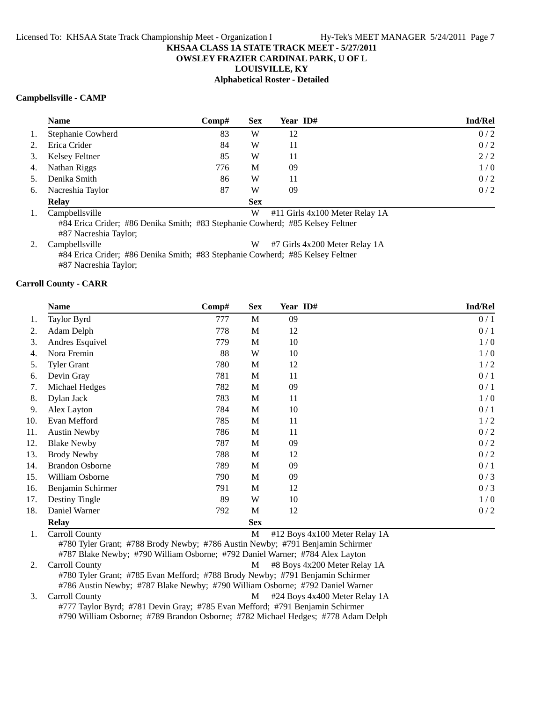# **OWSLEY FRAZIER CARDINAL PARK, U OF L**

**LOUISVILLE, KY**

# **Alphabetical Roster - Detailed**

#### **Campbellsville - CAMP**

|    | <b>Name</b>                                           | Comp# | <b>Sex</b> | Year ID#      | <b>Ind/Rel</b> |
|----|-------------------------------------------------------|-------|------------|---------------|----------------|
| 1. | Stephanie Cowherd                                     | 83    | W          | 12            | 0/2            |
| 2. | Erica Crider                                          | 84    | W          | 11            | 0/2            |
| 3. | Kelsey Feltner                                        | 85    | W          | 11            | 2/2            |
| 4. | Nathan Riggs                                          | 776   | М          | 09            | 1/0            |
| 5. | Denika Smith                                          | 86    | W          | 11            | 0/2            |
| 6. | Nacreshia Taylor                                      | 87    | W          | 09            | 0/2            |
|    | <b>Relay</b>                                          |       | <b>Sex</b> |               |                |
|    | $\cdots$<br>$\sim$ $\sim$ $\sim$ $\sim$ $\sim$ $\sim$ |       | <b>TYY</b> | $\frac{1}{2}$ |                |

1. Campbellsville W #11 Girls 4x100 Meter Relay 1A #84 Erica Crider; #86 Denika Smith; #83 Stephanie Cowherd; #85 Kelsey Feltner

#87 Nacreshia Taylor;

2. Campbellsville **W** #7 Girls 4x200 Meter Relay 1A

#84 Erica Crider; #86 Denika Smith; #83 Stephanie Cowherd; #85 Kelsey Feltner

#87 Nacreshia Taylor;

## **Carroll County - CARR**

|     | <b>Name</b>            | Comp# | <b>Sex</b>  | Year ID# | Ind/Rel |
|-----|------------------------|-------|-------------|----------|---------|
| 1.  | Taylor Byrd            | 777   | M           | 09       | 0/1     |
| 2.  | Adam Delph             | 778   | M           | 12       | 0/1     |
| 3.  | Andres Esquivel        | 779   | $\mathbf M$ | 10       | 1/0     |
| 4.  | Nora Fremin            | 88    | W           | 10       | 1/0     |
| 5.  | <b>Tyler Grant</b>     | 780   | M           | 12       | 1/2     |
| 6.  | Devin Gray             | 781   | M           | 11       | 0/1     |
| 7.  | Michael Hedges         | 782   | M           | 09       | 0/1     |
| 8.  | Dylan Jack             | 783   | M           | 11       | 1/0     |
| 9.  | Alex Layton            | 784   | M           | 10       | 0/1     |
| 10. | Evan Mefford           | 785   | M           | 11       | 1/2     |
| 11. | <b>Austin Newby</b>    | 786   | M           | 11       | 0/2     |
| 12. | <b>Blake Newby</b>     | 787   | M           | 09       | 0/2     |
| 13. | <b>Brody Newby</b>     | 788   | M           | 12       | 0/2     |
| 14. | <b>Brandon Osborne</b> | 789   | M           | 09       | 0/1     |
| 15. | William Osborne        | 790   | M           | 09       | 0/3     |
| 16. | Benjamin Schirmer      | 791   | M           | 12       | 0/3     |
| 17. | Destiny Tingle         | 89    | W           | 10       | 1/0     |
| 18. | Daniel Warner          | 792   | M           | 12       | 0/2     |
|     | <b>Relay</b>           |       | <b>Sex</b>  |          |         |

1. Carroll County M #12 Boys 4x100 Meter Relay 1A #780 Tyler Grant; #788 Brody Newby; #786 Austin Newby; #791 Benjamin Schirmer #787 Blake Newby; #790 William Osborne; #792 Daniel Warner; #784 Alex Layton 2. Carroll County 2. Carroll County 2. Carroll County 2. Carroll County 2. Carroll County 2. Carroll County 2.

#780 Tyler Grant; #785 Evan Mefford; #788 Brody Newby; #791 Benjamin Schirmer #786 Austin Newby; #787 Blake Newby; #790 William Osborne; #792 Daniel Warner 3. Carroll County **M**  $\#24$  Boys 4x400 Meter Relay 1A

#777 Taylor Byrd; #781 Devin Gray; #785 Evan Mefford; #791 Benjamin Schirmer #790 William Osborne; #789 Brandon Osborne; #782 Michael Hedges; #778 Adam Delph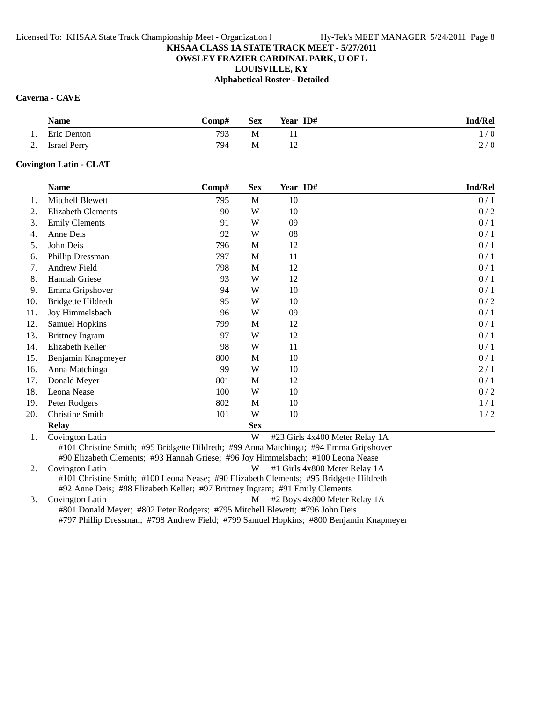## **OWSLEY FRAZIER CARDINAL PARK, U OF L**

**LOUISVILLE, KY**

**Alphabetical Roster - Detailed**

## **Caverna - CAVE**

|    | <b>Name</b>     | $\bf Comp#$ | <b>Sex</b> | Year ID# | <b>Ind/Rel</b> |
|----|-----------------|-------------|------------|----------|----------------|
| 1. | Eric Denton     | 793         | M          |          | 1/0            |
|    | 2. Israel Perry | 794         | М          |          | 2/0            |

## **Covington Latin - CLAT**

|     | <b>Name</b>            | Comp# | <b>Sex</b>  | Year ID# | Ind/Rel |
|-----|------------------------|-------|-------------|----------|---------|
| 1.  | Mitchell Blewett       | 795   | $\mathbf M$ | 10       | 0/1     |
| 2.  | Elizabeth Clements     | 90    | W           | 10       | 0/2     |
| 3.  | <b>Emily Clements</b>  | 91    | W           | 09       | 0/1     |
| 4.  | Anne Deis              | 92    | W           | 08       | 0/1     |
| 5.  | John Deis              | 796   | M           | 12       | 0/1     |
| 6.  | Phillip Dressman       | 797   | M           | 11       | 0/1     |
| 7.  | Andrew Field           | 798   | M           | 12       | 0/1     |
| 8.  | Hannah Griese          | 93    | W           | 12       | 0/1     |
| 9.  | Emma Gripshover        | 94    | W           | 10       | 0/1     |
| 10. | Bridgette Hildreth     | 95    | W           | 10       | 0/2     |
| 11. | Joy Himmelsbach        | 96    | W           | 09       | 0/1     |
| 12. | <b>Samuel Hopkins</b>  | 799   | M           | 12       | 0/1     |
| 13. | <b>Brittney Ingram</b> | 97    | W           | 12       | 0/1     |
| 14. | Elizabeth Keller       | 98    | W           | 11       | 0/1     |
| 15. | Benjamin Knapmeyer     | 800   | M           | 10       | 0/1     |
| 16. | Anna Matchinga         | 99    | W           | 10       | 2/1     |
| 17. | Donald Meyer           | 801   | M           | 12       | 0/1     |
| 18. | Leona Nease            | 100   | W           | 10       | 0/2     |
| 19. | Peter Rodgers          | 802   | M           | 10       | 1/1     |
| 20. | Christine Smith        | 101   | W           | 10       | 1/2     |
|     | <b>Relay</b>           |       | <b>Sex</b>  |          |         |

1. Covington Latin **W** #23 Girls 4x400 Meter Relay 1A #101 Christine Smith; #95 Bridgette Hildreth; #99 Anna Matchinga; #94 Emma Gripshover #90 Elizabeth Clements; #93 Hannah Griese; #96 Joy Himmelsbach; #100 Leona Nease

2. Covington Latin **W** #1 Girls 4x800 Meter Relay 1A #101 Christine Smith; #100 Leona Nease; #90 Elizabeth Clements; #95 Bridgette Hildreth #92 Anne Deis; #98 Elizabeth Keller; #97 Brittney Ingram; #91 Emily Clements

3. Covington Latin M #2 Boys 4x800 Meter Relay 1A #801 Donald Meyer; #802 Peter Rodgers; #795 Mitchell Blewett; #796 John Deis #797 Phillip Dressman; #798 Andrew Field; #799 Samuel Hopkins; #800 Benjamin Knapmeyer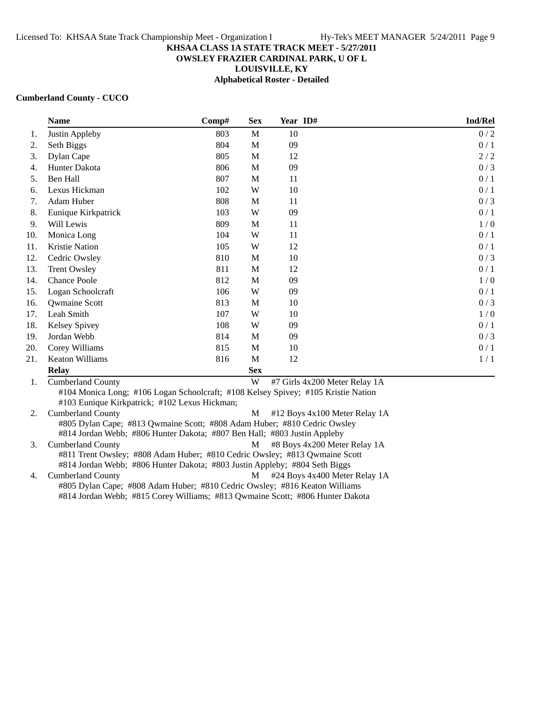#### **OWSLEY FRAZIER CARDINAL PARK, U OF L**

**LOUISVILLE, KY**

**Alphabetical Roster - Detailed**

#### **Cumberland County - CUCO**

|     | <b>Name</b>         | Comp# | <b>Sex</b> | Year ID# | <b>Ind/Rel</b> |
|-----|---------------------|-------|------------|----------|----------------|
| 1.  | Justin Appleby      | 803   | M          | 10       | 0/2            |
| 2.  | Seth Biggs          | 804   | M          | 09       | 0/1            |
| 3.  | Dylan Cape          | 805   | M          | 12       | 2/2            |
| 4.  | Hunter Dakota       | 806   | M          | 09       | 0/3            |
| 5.  | Ben Hall            | 807   | M          | 11       | 0/1            |
| 6.  | Lexus Hickman       | 102   | W          | 10       | 0/1            |
| 7.  | Adam Huber          | 808   | M          | 11       | 0/3            |
| 8.  | Eunique Kirkpatrick | 103   | W          | 09       | 0/1            |
| 9.  | Will Lewis          | 809   | M          | 11       | 1/0            |
| 10. | Monica Long         | 104   | W          | 11       | 0/1            |
| 11. | Kristie Nation      | 105   | W          | 12       | 0/1            |
| 12. | Cedric Owsley       | 810   | M          | 10       | 0/3            |
| 13. | <b>Trent Owsley</b> | 811   | M          | 12       | 0/1            |
| 14. | <b>Chance Poole</b> | 812   | M          | 09       | 1/0            |
| 15. | Logan Schoolcraft   | 106   | W          | 09       | 0/1            |
| 16. | Qwmaine Scott       | 813   | М          | 10       | 0/3            |
| 17. | Leah Smith          | 107   | W          | 10       | 1/0            |
| 18. | Kelsey Spivey       | 108   | W          | 09       | 0/1            |
| 19. | Jordan Webb         | 814   | M          | 09       | 0/3            |
| 20. | Corey Williams      | 815   | M          | 10       | 0/1            |
| 21. | Keaton Williams     | 816   | M          | 12       | 1/1            |
|     | <b>Relay</b>        |       | <b>Sex</b> |          |                |

1. Cumberland County W #7 Girls 4x200 Meter Relay 1A #104 Monica Long; #106 Logan Schoolcraft; #108 Kelsey Spivey; #105 Kristie Nation #103 Eunique Kirkpatrick; #102 Lexus Hickman;

2. Cumberland County **M**  $\#12$  Boys 4x100 Meter Relay 1A #805 Dylan Cape; #813 Qwmaine Scott; #808 Adam Huber; #810 Cedric Owsley #814 Jordan Webb; #806 Hunter Dakota; #807 Ben Hall; #803 Justin Appleby 3. Cumberland County **M** #8 Boys 4x200 Meter Relay 1A

#811 Trent Owsley; #808 Adam Huber; #810 Cedric Owsley; #813 Qwmaine Scott #814 Jordan Webb; #806 Hunter Dakota; #803 Justin Appleby; #804 Seth Biggs

4. Cumberland County **M**  $#24$  Boys 4x400 Meter Relay 1A #805 Dylan Cape; #808 Adam Huber; #810 Cedric Owsley; #816 Keaton Williams #814 Jordan Webb; #815 Corey Williams; #813 Qwmaine Scott; #806 Hunter Dakota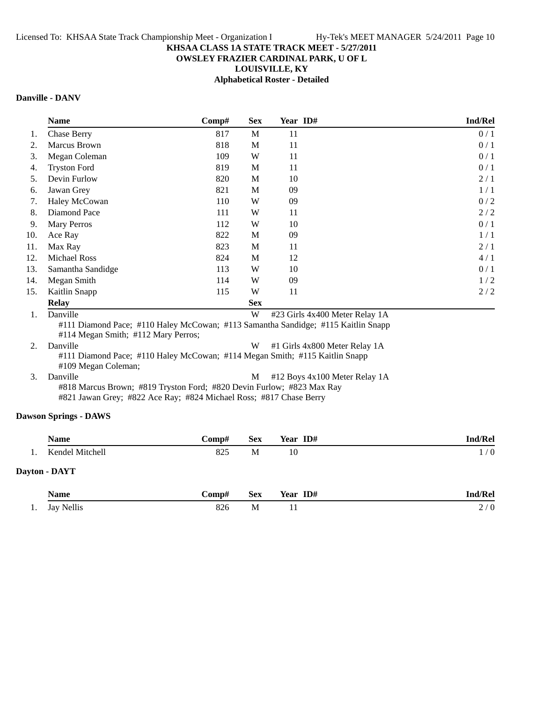# **OWSLEY FRAZIER CARDINAL PARK, U OF L**

**LOUISVILLE, KY**

**Alphabetical Roster - Detailed**

# **Danville - DANV**

|     | <b>Name</b>         | Comp# | <b>Sex</b> | Year ID# | Ind/Rel |
|-----|---------------------|-------|------------|----------|---------|
| 1.  | <b>Chase Berry</b>  | 817   | M          | 11       | 0/1     |
| 2.  | Marcus Brown        | 818   | M          | 11       | 0/1     |
| 3.  | Megan Coleman       | 109   | W          | 11       | 0/1     |
| 4.  | <b>Tryston Ford</b> | 819   | M          | 11       | 0/1     |
| 5.  | Devin Furlow        | 820   | M          | 10       | 2/1     |
| 6.  | Jawan Grey          | 821   | M          | 09       | 1/1     |
| 7.  | Haley McCowan       | 110   | W          | 09       | 0/2     |
| 8.  | Diamond Pace        | 111   | W          | 11       | 2/2     |
| 9.  | <b>Mary Perros</b>  | 112   | W          | 10       | 0/1     |
| 10. | Ace Ray             | 822   | M          | 09       | 1/1     |
| 11. | Max Ray             | 823   | M          | 11       | 2/1     |
| 12. | <b>Michael Ross</b> | 824   | M          | 12       | 4/1     |
| 13. | Samantha Sandidge   | 113   | W          | 10       | 0/1     |
| 14. | Megan Smith         | 114   | W          | 09       | 1/2     |
| 15. | Kaitlin Snapp       | 115   | W          | 11       | 2/2     |
|     | <b>Relay</b>        |       | <b>Sex</b> |          |         |

1. Danville W #23 Girls 4x400 Meter Relay 1A

#111 Diamond Pace; #110 Haley McCowan; #113 Samantha Sandidge; #115 Kaitlin Snapp #114 Megan Smith; #112 Mary Perros;

2. Danville W #1 Girls 4x800 Meter Relay 1A #111 Diamond Pace; #110 Haley McCowan; #114 Megan Smith; #115 Kaitlin Snapp #109 Megan Coleman;

3. Danville M #12 Boys 4x100 Meter Relay 1A #818 Marcus Brown; #819 Tryston Ford; #820 Devin Furlow; #823 Max Ray #821 Jawan Grey; #822 Ace Ray; #824 Michael Ross; #817 Chase Berry

# **Dawson Springs - DAWS**

| Name            | <b>Comp#</b> | <b>Sex</b> | Year ID# | <b>Ind/Rel</b> |
|-----------------|--------------|------------|----------|----------------|
| Kendel Mitchell | 825          | М          | 10       | $\frac{1}{0}$  |
| Dayton - DAYT   |              |            |          |                |

|     | Name                 | -`omp# | <b>Sex</b> | ID#<br>$- -$<br>Year<br>. | Ind/Rel |
|-----|----------------------|--------|------------|---------------------------|---------|
| . . | <b>Nellis</b><br>Jay | ο∠ι    | M          | . .                       | ∼       |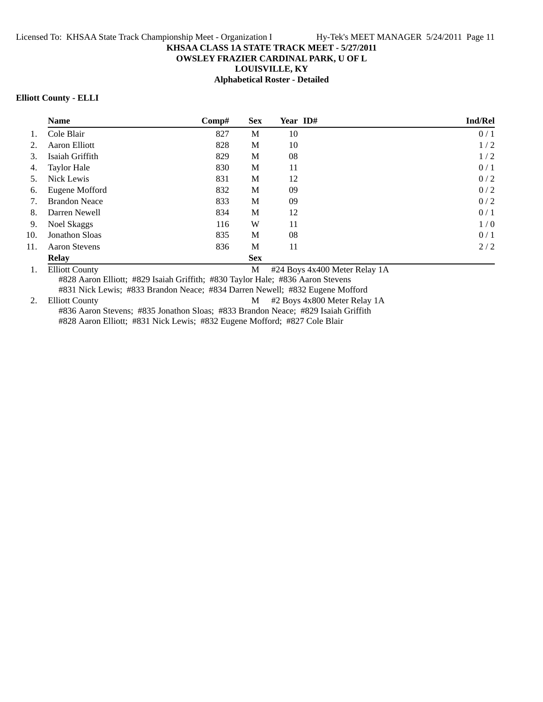# **OWSLEY FRAZIER CARDINAL PARK, U OF L**

**LOUISVILLE, KY**

**Alphabetical Roster - Detailed**

#### **Elliott County - ELLI**

|     | <b>Name</b>           | Comp# | <b>Sex</b> | Year ID# | Ind/Rel |
|-----|-----------------------|-------|------------|----------|---------|
|     | Cole Blair            | 827   | M          | 10       | 0/1     |
| 2.  | Aaron Elliott         | 828   | M          | 10       | 1/2     |
| 3.  | Isaiah Griffith       | 829   | M          | 08       | 1/2     |
| 4.  | <b>Taylor Hale</b>    | 830   | M          | 11       | 0/1     |
| 5.  | Nick Lewis            | 831   | M          | 12       | 0/2     |
| 6.  | Eugene Mofford        | 832   | M          | 09       | 0/2     |
| 7.  | <b>Brandon Neace</b>  | 833   | M          | 09       | 0/2     |
| 8.  | Darren Newell         | 834   | M          | 12       | 0/1     |
| 9.  | Noel Skaggs           | 116   | W          | 11       | 1/0     |
| 10. | <b>Jonathon Sloas</b> | 835   | M          | 08       | 0/1     |
| 11. | <b>Aaron Stevens</b>  | 836   | M          | 11       | 2/2     |
|     | <b>Relay</b>          |       | <b>Sex</b> |          |         |

1. Elliott County M #24 Boys 4x400 Meter Relay 1A

#828 Aaron Elliott; #829 Isaiah Griffith; #830 Taylor Hale; #836 Aaron Stevens #831 Nick Lewis; #833 Brandon Neace; #834 Darren Newell; #832 Eugene Mofford

2. Elliott County M #2 Boys 4x800 Meter Relay 1A

#836 Aaron Stevens; #835 Jonathon Sloas; #833 Brandon Neace; #829 Isaiah Griffith #828 Aaron Elliott; #831 Nick Lewis; #832 Eugene Mofford; #827 Cole Blair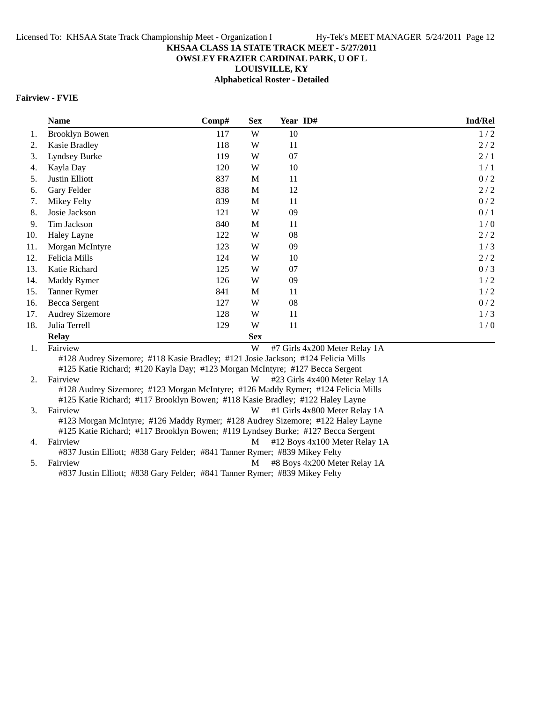# **OWSLEY FRAZIER CARDINAL PARK, U OF L**

**LOUISVILLE, KY**

**Alphabetical Roster - Detailed**

## **Fairview - FVIE**

|     | <b>Name</b>                                                                  | Comp# | <b>Sex</b> | Year ID#                                                                         | <b>Ind/Rel</b> |
|-----|------------------------------------------------------------------------------|-------|------------|----------------------------------------------------------------------------------|----------------|
| 1.  | <b>Brooklyn Bowen</b>                                                        | 117   | W          | 10                                                                               | 1/2            |
| 2.  | Kasie Bradley                                                                | 118   | W          | 11                                                                               | 2/2            |
| 3.  | Lyndsey Burke                                                                | 119   | W          | 07                                                                               | 2/1            |
| 4.  | Kayla Day                                                                    | 120   | W          | 10                                                                               | 1/1            |
| 5.  | Justin Elliott                                                               | 837   | M          | 11                                                                               | 0/2            |
| 6.  | Gary Felder                                                                  | 838   | M          | 12                                                                               | 2/2            |
| 7.  | Mikey Felty                                                                  | 839   | М          | 11                                                                               | 0/2            |
| 8.  | Josie Jackson                                                                | 121   | W          | 09                                                                               | 0/1            |
| 9.  | Tim Jackson                                                                  | 840   | M          | 11                                                                               | 1/0            |
| 10. | Haley Layne                                                                  | 122   | W          | 08                                                                               | 2/2            |
| 11. | Morgan McIntyre                                                              | 123   | W          | 09                                                                               | 1/3            |
| 12. | Felicia Mills                                                                | 124   | W          | 10                                                                               | 2/2            |
| 13. | Katie Richard                                                                | 125   | W          | 07                                                                               | 0/3            |
| 14. | Maddy Rymer                                                                  | 126   | W          | 09                                                                               | 1/2            |
| 15. | <b>Tanner Rymer</b>                                                          | 841   | M          | 11                                                                               | 1/2            |
| 16. | Becca Sergent                                                                | 127   | W          | 08                                                                               | 0/2            |
| 17. | <b>Audrey Sizemore</b>                                                       | 128   | W          | 11                                                                               | 1/3            |
| 18. | Julia Terrell                                                                | 129   | W          | 11                                                                               | 1/0            |
|     | <b>Relay</b>                                                                 |       | <b>Sex</b> |                                                                                  |                |
| 1.  | Fairview                                                                     |       | W          | #7 Girls 4x200 Meter Relay 1A                                                    |                |
|     | #125 Katie Richard; #120 Kayla Day; #123 Morgan McIntyre; #127 Becca Sergent |       |            | #128 Audrey Sizemore; #118 Kasie Bradley; #121 Josie Jackson; #124 Felicia Mills |                |

- 2. Fairview W #23 Girls 4x400 Meter Relay 1A #128 Audrey Sizemore; #123 Morgan McIntyre; #126 Maddy Rymer; #124 Felicia Mills #125 Katie Richard; #117 Brooklyn Bowen; #118 Kasie Bradley; #122 Haley Layne 3. Fairview W #1 Girls 4x800 Meter Relay 1A
- #123 Morgan McIntyre; #126 Maddy Rymer; #128 Audrey Sizemore; #122 Haley Layne #125 Katie Richard; #117 Brooklyn Bowen; #119 Lyndsey Burke; #127 Becca Sergent 4. Fairview M #12 Boys 4x100 Meter Relay 1A
- #837 Justin Elliott; #838 Gary Felder; #841 Tanner Rymer; #839 Mikey Felty 5. Fairview M #8 Boys 4x200 Meter Relay 1A

#837 Justin Elliott; #838 Gary Felder; #841 Tanner Rymer; #839 Mikey Felty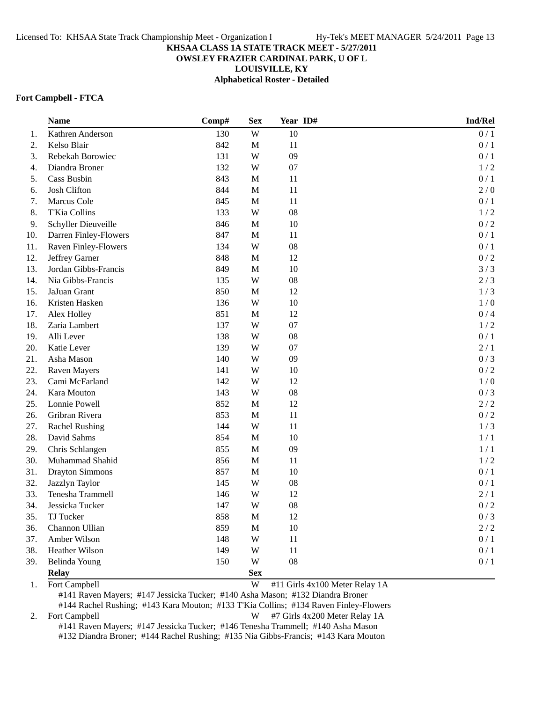## **OWSLEY FRAZIER CARDINAL PARK, U OF L**

**LOUISVILLE, KY**

**Alphabetical Roster - Detailed**

#### **Fort Campbell - FTCA**

|     | <b>Name</b>            | Comp# | <b>Sex</b>   | Year ID#   | Ind/Rel |
|-----|------------------------|-------|--------------|------------|---------|
| 1.  | Kathren Anderson       | 130   | W            | 10         | 0/1     |
| 2.  | Kelso Blair            | 842   | M            | 11         | 0/1     |
| 3.  | Rebekah Borowiec       | 131   | W            | 09         | 0/1     |
| 4.  | Diandra Broner         | 132   | W            | 07         | 1/2     |
| 5.  | Cass Busbin            | 843   | $\mathbf M$  | 11         | 0/1     |
| 6.  | Josh Clifton           | 844   | M            | 11         | 2/0     |
| 7.  | Marcus Cole            | 845   | $\mathbf M$  | 11         | 0/1     |
| 8.  | T'Kia Collins          | 133   | W            | 08         | 1/2     |
| 9.  | Schyller Dieuveille    | 846   | M            | 10         | 0/2     |
| 10. | Darren Finley-Flowers  | 847   | M            | 11         | 0/1     |
| 11. | Raven Finley-Flowers   | 134   | W            | 08         | 0/1     |
| 12. | Jeffrey Garner         | 848   | $\mathbf M$  | 12         | 0/2     |
| 13. | Jordan Gibbs-Francis   | 849   | $\mathbf{M}$ | 10         | 3/3     |
| 14. | Nia Gibbs-Francis      | 135   | W            | 08         | 2/3     |
| 15. | JaJuan Grant           | 850   | $\mathbf M$  | 12         | 1/3     |
| 16. | Kristen Hasken         | 136   | W            | 10         | 1/0     |
| 17. | Alex Holley            | 851   | $\mathbf M$  | 12         | 0/4     |
| 18. | Zaria Lambert          | 137   | W            | 07         | 1/2     |
| 19. | Alli Lever             | 138   | W            | 08         | 0/1     |
| 20. | Katie Lever            | 139   | W            | 07         | 2/1     |
| 21. | Asha Mason             | 140   | W            | 09         | 0/3     |
| 22. | <b>Raven Mayers</b>    | 141   | W            | 10         | $0/2$   |
| 23. | Cami McFarland         | 142   | W            | 12         | 1/0     |
| 24. | Kara Mouton            | 143   | W            | ${\bf 08}$ | 0/3     |
| 25. | Lonnie Powell          | 852   | M            | 12         | 2/2     |
| 26. | Gribran Rivera         | 853   | $\mathbf M$  | 11         | 0/2     |
| 27. | <b>Rachel Rushing</b>  | 144   | W            | 11         | 1/3     |
| 28. | David Sahms            | 854   | M            | 10         | 1/1     |
| 29. | Chris Schlangen        | 855   | M            | 09         | 1/1     |
| 30. | Muhammad Shahid        | 856   | $\mathbf M$  | 11         | 1/2     |
| 31. | <b>Drayton Simmons</b> | 857   | $\mathbf M$  | 10         | 0/1     |
| 32. | Jazzlyn Taylor         | 145   | W            | 08         | 0/1     |
| 33. | Tenesha Trammell       | 146   | W            | 12         | 2/1     |
| 34. | Jessicka Tucker        | 147   | W            | 08         | 0/2     |
| 35. | TJ Tucker              | 858   | M            | 12         | 0/3     |
| 36. | Channon Ullian         | 859   | $\mathbf M$  | 10         | $2/2$   |
| 37. | Amber Wilson           | 148   | W            | 11         | $0/1$   |
| 38. | Heather Wilson         | 149   | W            | 11         | 0/1     |
| 39. | Belinda Young          | 150   | W            | 08         | 0/1     |
|     | <b>Relay</b>           |       | <b>Sex</b>   |            |         |

1. Fort Campbell **W** #11 Girls 4x100 Meter Relay 1A

#141 Raven Mayers; #147 Jessicka Tucker; #140 Asha Mason; #132 Diandra Broner #144 Rachel Rushing; #143 Kara Mouton; #133 T'Kia Collins; #134 Raven Finley-Flowers

2. Fort Campbell **W** #7 Girls 4x200 Meter Relay 1A #141 Raven Mayers; #147 Jessicka Tucker; #146 Tenesha Trammell; #140 Asha Mason #132 Diandra Broner; #144 Rachel Rushing; #135 Nia Gibbs-Francis; #143 Kara Mouton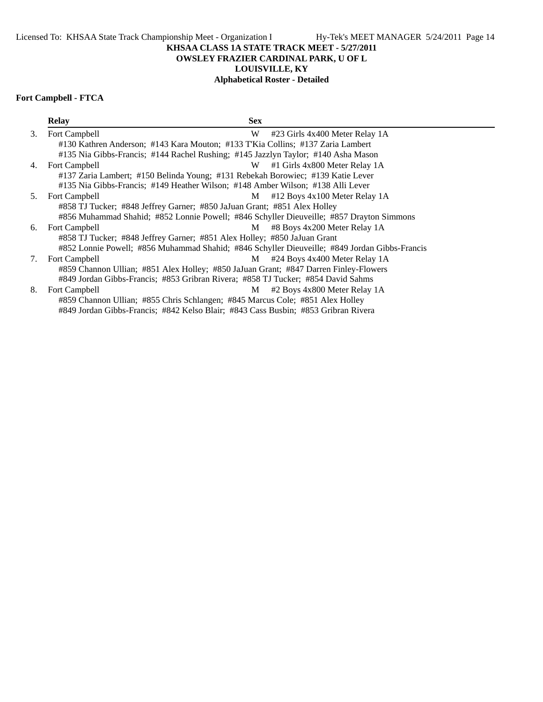**OWSLEY FRAZIER CARDINAL PARK, U OF L**

# **LOUISVILLE, KY**

# **Alphabetical Roster - Detailed**

# **Fort Campbell - FTCA**

|    | <b>Relay</b>                                                                                  | <b>Sex</b> |                                   |  |  |  |  |  |
|----|-----------------------------------------------------------------------------------------------|------------|-----------------------------------|--|--|--|--|--|
| 3. | Fort Campbell                                                                                 | W          | #23 Girls 4x400 Meter Relay 1A    |  |  |  |  |  |
|    | #130 Kathren Anderson; #143 Kara Mouton; #133 T'Kia Collins; #137 Zaria Lambert               |            |                                   |  |  |  |  |  |
|    | #135 Nia Gibbs-Francis; #144 Rachel Rushing; #145 Jazzlyn Taylor; #140 Asha Mason             |            |                                   |  |  |  |  |  |
| 4. | Fort Campbell                                                                                 | W          | #1 Girls 4x800 Meter Relay 1A     |  |  |  |  |  |
|    | #137 Zaria Lambert; #150 Belinda Young; #131 Rebekah Borowiec; #139 Katie Lever               |            |                                   |  |  |  |  |  |
|    | #135 Nia Gibbs-Francis; #149 Heather Wilson; #148 Amber Wilson; #138 Alli Lever               |            |                                   |  |  |  |  |  |
| 5. | Fort Campbell                                                                                 | M          | #12 Boys 4x100 Meter Relay 1A     |  |  |  |  |  |
|    | #858 TJ Tucker; #848 Jeffrey Garner; #850 JaJuan Grant; #851 Alex Holley                      |            |                                   |  |  |  |  |  |
|    | #856 Muhammad Shahid; #852 Lonnie Powell; #846 Schyller Dieuveille; #857 Drayton Simmons      |            |                                   |  |  |  |  |  |
| 6. | Fort Campbell                                                                                 |            | $M$ #8 Boys 4x200 Meter Relay 1A  |  |  |  |  |  |
|    | #858 TJ Tucker; #848 Jeffrey Garner; #851 Alex Holley; #850 JaJuan Grant                      |            |                                   |  |  |  |  |  |
|    | #852 Lonnie Powell; #856 Muhammad Shahid; #846 Schyller Dieuveille; #849 Jordan Gibbs-Francis |            |                                   |  |  |  |  |  |
| 7. | Fort Campbell                                                                                 |            | $M$ #24 Boys 4x400 Meter Relay 1A |  |  |  |  |  |
|    | #859 Channon Ullian; #851 Alex Holley; #850 JaJuan Grant; #847 Darren Finley-Flowers          |            |                                   |  |  |  |  |  |
|    | #849 Jordan Gibbs-Francis; #853 Gribran Rivera; #858 TJ Tucker; #854 David Sahms              |            |                                   |  |  |  |  |  |
| 8. | Fort Campbell                                                                                 | M          | #2 Boys 4x800 Meter Relay 1A      |  |  |  |  |  |
|    | #859 Channon Ullian; #855 Chris Schlangen; #845 Marcus Cole; #851 Alex Holley                 |            |                                   |  |  |  |  |  |
|    | #849 Jordan Gibbs-Francis; #842 Kelso Blair; #843 Cass Busbin; #853 Gribran Rivera            |            |                                   |  |  |  |  |  |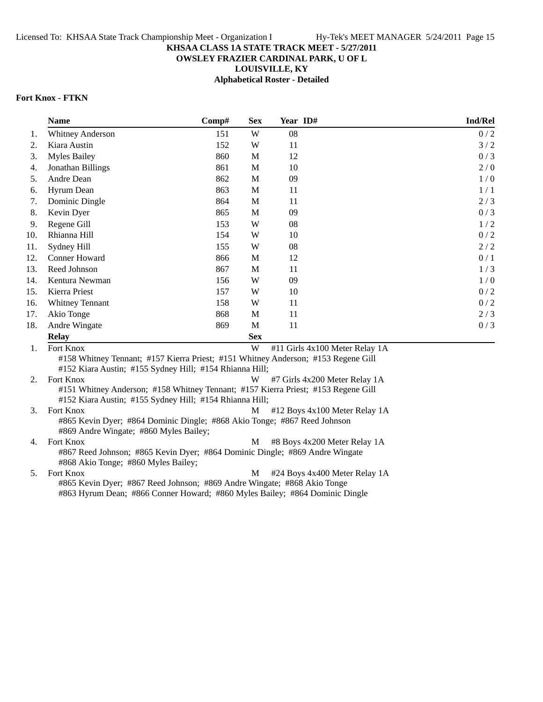# **OWSLEY FRAZIER CARDINAL PARK, U OF L**

**LOUISVILLE, KY**

**Alphabetical Roster - Detailed**

## **Fort Knox - FTKN**

|     | <b>Name</b>                                             | Comp# | <b>Sex</b> | Year ID#                                                                          | <b>Ind/Rel</b> |
|-----|---------------------------------------------------------|-------|------------|-----------------------------------------------------------------------------------|----------------|
| 1.  | <b>Whitney Anderson</b>                                 | 151   | W          | 08                                                                                | 0/2            |
| 2.  | Kiara Austin                                            | 152   | W          | 11                                                                                | 3/2            |
| 3.  | <b>Myles Bailey</b>                                     | 860   | M          | 12                                                                                | 0/3            |
| 4.  | Jonathan Billings                                       | 861   | M          | 10                                                                                | 2/0            |
| 5.  | Andre Dean                                              | 862   | M          | 09                                                                                | 1/0            |
| 6.  | Hyrum Dean                                              | 863   | M          | 11                                                                                | 1/1            |
| 7.  | Dominic Dingle                                          | 864   | M          | 11                                                                                | 2/3            |
| 8.  | Kevin Dyer                                              | 865   | M          | 09                                                                                | 0/3            |
| 9.  | Regene Gill                                             | 153   | W          | 08                                                                                | 1/2            |
| 10. | Rhianna Hill                                            | 154   | W          | 10                                                                                | 0/2            |
| 11. | Sydney Hill                                             | 155   | W          | 08                                                                                | 2/2            |
| 12. | Conner Howard                                           | 866   | М          | 12                                                                                | 0/1            |
| 13. | Reed Johnson                                            | 867   | M          | 11                                                                                | 1/3            |
| 14. | Kentura Newman                                          | 156   | W          | 09                                                                                | 1/0            |
| 15. | Kierra Priest                                           | 157   | W          | 10                                                                                | 0/2            |
| 16. | <b>Whitney Tennant</b>                                  | 158   | W          | 11                                                                                | 0/2            |
| 17. | Akio Tonge                                              | 868   | M          | 11                                                                                | 2/3            |
| 18. | Andre Wingate                                           | 869   | M          | 11                                                                                | 0/3            |
|     | <b>Relay</b>                                            |       | <b>Sex</b> |                                                                                   |                |
| 1.  | Fort Knox                                               |       | W          | #11 Girls 4x100 Meter Relay 1A                                                    |                |
|     | #152 Kiara Austin; #155 Sydney Hill; #154 Rhianna Hill; |       |            | #158 Whitney Tennant; #157 Kierra Priest; #151 Whitney Anderson; #153 Regene Gill |                |

2. Fort Knox W #7 Girls 4x200 Meter Relay 1A #151 Whitney Anderson; #158 Whitney Tennant; #157 Kierra Priest; #153 Regene Gill #152 Kiara Austin; #155 Sydney Hill; #154 Rhianna Hill;

3. Fort Knox M #12 Boys 4x100 Meter Relay 1A #865 Kevin Dyer; #864 Dominic Dingle; #868 Akio Tonge; #867 Reed Johnson #869 Andre Wingate; #860 Myles Bailey;

4. Fort Knox M #8 Boys 4x200 Meter Relay 1A #867 Reed Johnson; #865 Kevin Dyer; #864 Dominic Dingle; #869 Andre Wingate #868 Akio Tonge; #860 Myles Bailey;

5. Fort Knox M #24 Boys 4x400 Meter Relay 1A #865 Kevin Dyer; #867 Reed Johnson; #869 Andre Wingate; #868 Akio Tonge #863 Hyrum Dean; #866 Conner Howard; #860 Myles Bailey; #864 Dominic Dingle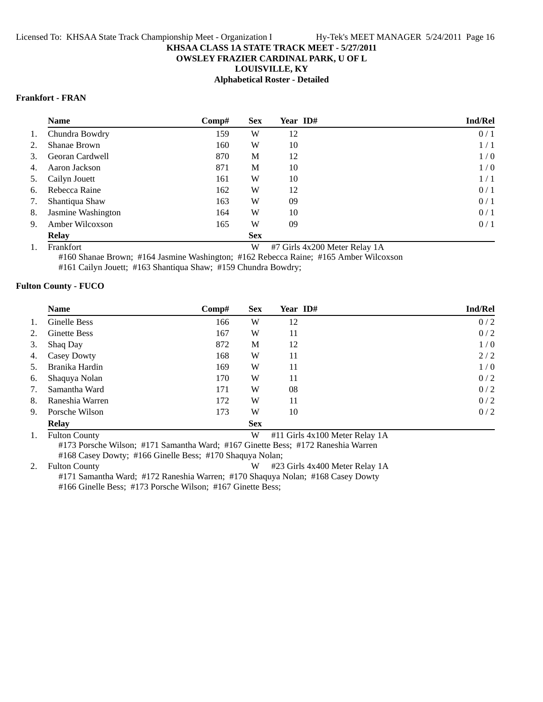## **OWSLEY FRAZIER CARDINAL PARK, U OF L**

**LOUISVILLE, KY**

# **Alphabetical Roster - Detailed**

## **Frankfort - FRAN**

|    | <b>Name</b>        | Comp# | <b>Sex</b> | <b>Year ID#</b> | <b>Ind/Rel</b> |
|----|--------------------|-------|------------|-----------------|----------------|
| 1. | Chundra Bowdry     | 159   | W          | 12              | 0/1            |
| 2. | Shanae Brown       | 160   | W          | 10              | 1/1            |
| 3. | Georan Cardwell    | 870   | М          | 12              | 1/0            |
| 4. | Aaron Jackson      | 871   | M          | 10              | 1/0            |
| 5. | Cailyn Jouett      | 161   | W          | 10              | 1/1            |
| 6. | Rebecca Raine      | 162   | W          | 12              | 0/1            |
| 7. | Shantiqua Shaw     | 163   | W          | 09              | 0/1            |
| 8. | Jasmine Washington | 164   | W          | 10              | 0/1            |
| 9. | Amber Wilcoxson    | 165   | W          | 09              | 0/1            |
|    | <b>Relay</b>       |       | <b>Sex</b> |                 |                |

1. Frankfort W #7 Girls 4x200 Meter Relay 1A

#160 Shanae Brown; #164 Jasmine Washington; #162 Rebecca Raine; #165 Amber Wilcoxson

#161 Cailyn Jouett; #163 Shantiqua Shaw; #159 Chundra Bowdry;

#### **Fulton County - FUCO**

|    | <b>Name</b>         | Comp# | <b>Sex</b> | Year ID# | Ind/Rel |
|----|---------------------|-------|------------|----------|---------|
| 1. | Ginelle Bess        | 166   | W          | 12       | 0/2     |
| 2. | <b>Ginette Bess</b> | 167   | W          | 11       | 0/2     |
| 3. | Shaq Day            | 872   | M          | 12       | 1/0     |
| 4. | <b>Casey Dowty</b>  | 168   | W          | 11       | 2/2     |
| 5. | Branika Hardin      | 169   | W          | 11       | 1/0     |
| 6. | Shaquya Nolan       | 170   | W          | 11       | 0/2     |
| 7. | Samantha Ward       | 171   | W          | 08       | 0/2     |
| 8. | Raneshia Warren     | 172   | W          | 11       | 0/2     |
| 9. | Porsche Wilson      | 173   | W          | 10       | 0/2     |
|    | <b>Relay</b>        |       | <b>Sex</b> |          |         |

1. Fulton County **W** #11 Girls 4x100 Meter Relay 1A

#173 Porsche Wilson; #171 Samantha Ward; #167 Ginette Bess; #172 Raneshia Warren #168 Casey Dowty; #166 Ginelle Bess; #170 Shaquya Nolan;

2. Fulton County **2. 123 Girls 4x400 Meter Relay 1A** #171 Samantha Ward; #172 Raneshia Warren; #170 Shaquya Nolan; #168 Casey Dowty

#166 Ginelle Bess; #173 Porsche Wilson; #167 Ginette Bess;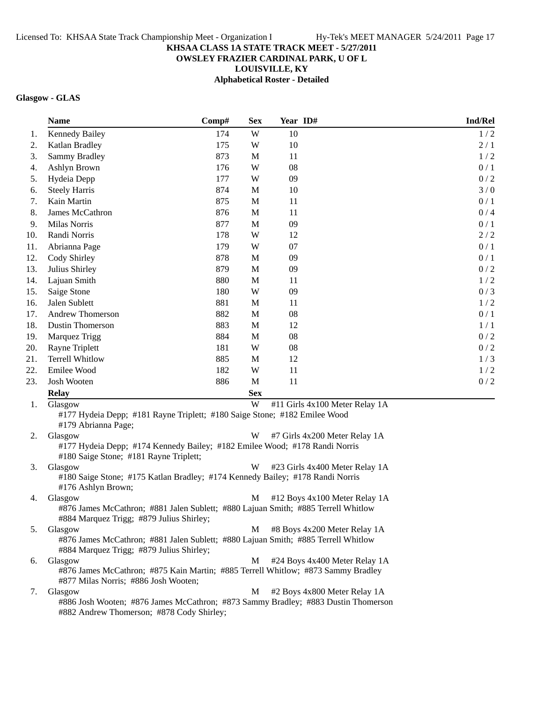# **OWSLEY FRAZIER CARDINAL PARK, U OF L**

**LOUISVILLE, KY**

**Alphabetical Roster - Detailed**

# **Glasgow - GLAS**

|     | <b>Name</b>                                                                                                                              | Comp# | <b>Sex</b>  | Year ID# |                                | Ind/Rel |
|-----|------------------------------------------------------------------------------------------------------------------------------------------|-------|-------------|----------|--------------------------------|---------|
| 1.  | <b>Kennedy Bailey</b>                                                                                                                    | 174   | W           | 10       |                                | 1/2     |
| 2.  | Katlan Bradley                                                                                                                           | 175   | W           | 10       |                                | 2/1     |
| 3.  | <b>Sammy Bradley</b>                                                                                                                     | 873   | M           | 11       |                                | 1/2     |
| 4.  | Ashlyn Brown                                                                                                                             | 176   | W           | 08       |                                | 0/1     |
| 5.  | Hydeia Depp                                                                                                                              | 177   | W           | 09       |                                | 0/2     |
| 6.  | <b>Steely Harris</b>                                                                                                                     | 874   | M           | 10       |                                | 3/0     |
| 7.  | Kain Martin                                                                                                                              | 875   | M           | 11       |                                | 0/1     |
| 8.  | James McCathron                                                                                                                          | 876   | M           | 11       |                                | 0/4     |
| 9.  | Milas Norris                                                                                                                             | 877   | $\mathbf M$ | 09       |                                | 0/1     |
| 10. | Randi Norris                                                                                                                             | 178   | W           | 12       |                                | $2/2$   |
| 11. | Abrianna Page                                                                                                                            | 179   | W           | 07       |                                | 0/1     |
| 12. | Cody Shirley                                                                                                                             | 878   | M           | 09       |                                | 0/1     |
| 13. | Julius Shirley                                                                                                                           | 879   | M           | 09       |                                | 0/2     |
| 14. | Lajuan Smith                                                                                                                             | 880   | M           | 11       |                                | 1/2     |
| 15. | Saige Stone                                                                                                                              | 180   | W           | 09       |                                | 0/3     |
| 16. | Jalen Sublett                                                                                                                            | 881   | M           | 11       |                                | 1/2     |
| 17. | <b>Andrew Thomerson</b>                                                                                                                  | 882   | M           | 08       |                                | 0/1     |
| 18. | Dustin Thomerson                                                                                                                         | 883   | M           | 12       |                                | 1/1     |
| 19. | Marquez Trigg                                                                                                                            | 884   | M           | 08       |                                | 0/2     |
| 20. | Rayne Triplett                                                                                                                           | 181   | W           | 08       |                                | 0/2     |
| 21. | <b>Terrell Whitlow</b>                                                                                                                   | 885   | M           | 12       |                                | 1/3     |
| 22. | Emilee Wood                                                                                                                              | 182   | W           | 11       |                                | 1/2     |
| 23. | Josh Wooten                                                                                                                              | 886   | $\mathbf M$ | 11       |                                | $0/2$   |
|     | <b>Relay</b>                                                                                                                             |       | <b>Sex</b>  |          |                                |         |
| 1.  | Glasgow                                                                                                                                  |       | W           |          | #11 Girls 4x100 Meter Relay 1A |         |
|     | #177 Hydeia Depp; #181 Rayne Triplett; #180 Saige Stone; #182 Emilee Wood<br>#179 Abrianna Page;                                         |       |             |          |                                |         |
| 2.  | Glasgow                                                                                                                                  |       | W           |          | #7 Girls 4x200 Meter Relay 1A  |         |
|     | #177 Hydeia Depp; #174 Kennedy Bailey; #182 Emilee Wood; #178 Randi Norris<br>#180 Saige Stone; #181 Rayne Triplett;                     |       |             |          |                                |         |
| 3.  | Glasgow                                                                                                                                  |       | W           |          | #23 Girls 4x400 Meter Relay 1A |         |
|     | #180 Saige Stone; #175 Katlan Bradley; #174 Kennedy Bailey; #178 Randi Norris<br>#176 Ashlyn Brown;                                      |       |             |          |                                |         |
| 4.  | Glasgow<br>#876 James McCathron; #881 Jalen Sublett; #880 Lajuan Smith; #885 Terrell Whitlow                                             |       | M           |          | #12 Boys 4x100 Meter Relay 1A  |         |
|     | #884 Marquez Trigg; #879 Julius Shirley;                                                                                                 |       |             |          |                                |         |
| 5.  | Glasgow<br>#876 James McCathron; #881 Jalen Sublett; #880 Lajuan Smith; #885 Terrell Whitlow<br>#884 Marquez Trigg; #879 Julius Shirley; |       | M           |          | #8 Boys 4x200 Meter Relay 1A   |         |
| 6.  | Glasgow                                                                                                                                  |       | M           |          | #24 Boys 4x400 Meter Relay 1A  |         |
|     | #876 James McCathron; #875 Kain Martin; #885 Terrell Whitlow; #873 Sammy Bradley<br>#877 Milas Norris; #886 Josh Wooten;                 |       |             |          |                                |         |
| 7.  | Glasgow                                                                                                                                  |       | М           |          | #2 Boys 4x800 Meter Relay 1A   |         |
|     | #886 Josh Wooten; #876 James McCathron; #873 Sammy Bradley; #883 Dustin Thomerson                                                        |       |             |          |                                |         |

#882 Andrew Thomerson; #878 Cody Shirley;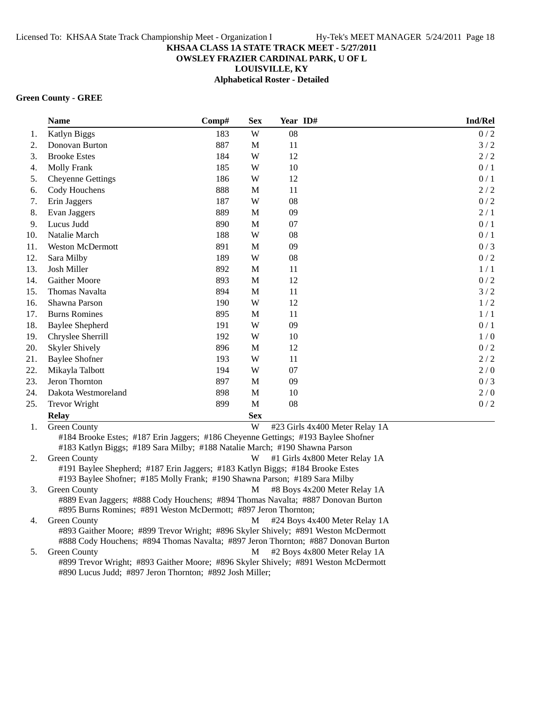## **OWSLEY FRAZIER CARDINAL PARK, U OF L**

**LOUISVILLE, KY**

**Alphabetical Roster - Detailed**

#### **Green County - GREE**

|     | <b>Name</b>              | Comp# | <b>Sex</b> | Year ID#                       | Ind/Rel |
|-----|--------------------------|-------|------------|--------------------------------|---------|
| 1.  | Katlyn Biggs             | 183   | W          | 08                             | 0/2     |
| 2.  | Donovan Burton           | 887   | M          | 11                             | 3/2     |
| 3.  | <b>Brooke Estes</b>      | 184   | W          | 12                             | 2/2     |
| 4.  | <b>Molly Frank</b>       | 185   | W          | 10                             | 0/1     |
| 5.  | <b>Cheyenne Gettings</b> | 186   | W          | 12                             | 0/1     |
| 6.  | Cody Houchens            | 888   | M          | 11                             | 2/2     |
| 7.  | Erin Jaggers             | 187   | W          | 08                             | 0/2     |
| 8.  | Evan Jaggers             | 889   | M          | 09                             | 2/1     |
| 9.  | Lucus Judd               | 890   | M          | 07                             | 0/1     |
| 10. | Natalie March            | 188   | W          | 08                             | 0/1     |
| 11. | <b>Weston McDermott</b>  | 891   | M          | 09                             | 0/3     |
| 12. | Sara Milby               | 189   | W          | 08                             | 0/2     |
| 13. | Josh Miller              | 892   | M          | 11                             | 1/1     |
| 14. | <b>Gaither Moore</b>     | 893   | M          | 12                             | 0/2     |
| 15. | Thomas Navalta           | 894   | M          | 11                             | 3/2     |
| 16. | Shawna Parson            | 190   | W          | 12                             | 1/2     |
| 17. | <b>Burns Romines</b>     | 895   | M          | 11                             | 1/1     |
| 18. | <b>Baylee Shepherd</b>   | 191   | W          | 09                             | 0/1     |
| 19. | Chryslee Sherrill        | 192   | W          | 10                             | 1/0     |
| 20. | <b>Skyler Shively</b>    | 896   | M          | 12                             | 0/2     |
| 21. | <b>Baylee Shofner</b>    | 193   | W          | 11                             | 2/2     |
| 22. | Mikayla Talbott          | 194   | W          | 07                             | 2/0     |
| 23. | Jeron Thornton           | 897   | M          | 09                             | 0/3     |
| 24. | Dakota Westmoreland      | 898   | M          | 10                             | 2/0     |
| 25. | <b>Trevor Wright</b>     | 899   | M          | 08                             | 0/2     |
|     | <b>Relay</b>             |       | <b>Sex</b> |                                |         |
| 1.  | <b>Green County</b>      |       | W          | #23 Girls 4x400 Meter Relay 1A |         |

#184 Brooke Estes; #187 Erin Jaggers; #186 Cheyenne Gettings; #193 Baylee Shofner #183 Katlyn Biggs; #189 Sara Milby; #188 Natalie March; #190 Shawna Parson

2. Green County **W** #1 Girls 4x800 Meter Relay 1A #191 Baylee Shepherd; #187 Erin Jaggers; #183 Katlyn Biggs; #184 Brooke Estes #193 Baylee Shofner; #185 Molly Frank; #190 Shawna Parson; #189 Sara Milby 3. Green County **M** #8 Boys 4x200 Meter Relay 1A #889 Evan Jaggers; #888 Cody Houchens; #894 Thomas Navalta; #887 Donovan Burton

#895 Burns Romines; #891 Weston McDermott; #897 Jeron Thornton; 4. Green County **M**  $\#24$  Boys 4x400 Meter Relay 1A

#893 Gaither Moore; #899 Trevor Wright; #896 Skyler Shively; #891 Weston McDermott #888 Cody Houchens; #894 Thomas Navalta; #897 Jeron Thornton; #887 Donovan Burton 5. Green County **M** #2 Boys 4x800 Meter Relay 1A

#899 Trevor Wright; #893 Gaither Moore; #896 Skyler Shively; #891 Weston McDermott #890 Lucus Judd; #897 Jeron Thornton; #892 Josh Miller;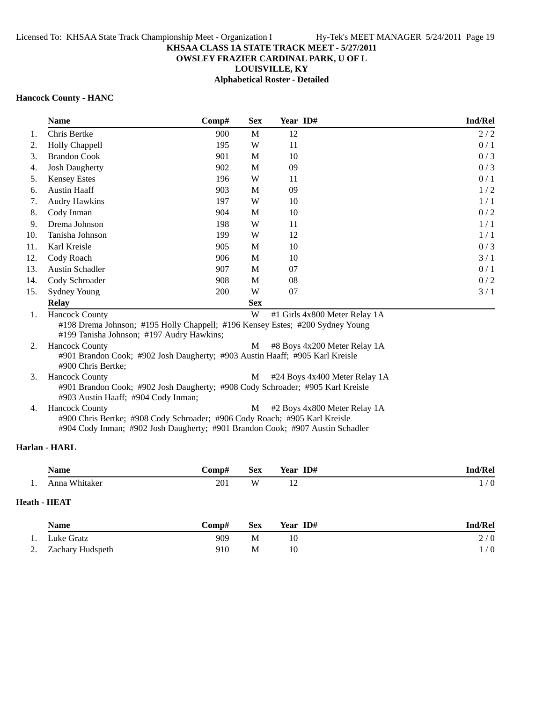## **OWSLEY FRAZIER CARDINAL PARK, U OF L**

**LOUISVILLE, KY**

**Alphabetical Roster - Detailed**

#### **Hancock County - HANC**

|     | <b>Name</b>            | $\bf Comp#$ | <b>Sex</b> | Year ID#                                                                                                       | <b>Ind/Rel</b> |
|-----|------------------------|-------------|------------|----------------------------------------------------------------------------------------------------------------|----------------|
| 1.  | Chris Bertke           | 900         | M          | 12                                                                                                             | 2/2            |
| 2.  | Holly Chappell         | 195         | W          | 11                                                                                                             | 0/1            |
| 3.  | <b>Brandon Cook</b>    | 901         | M          | 10                                                                                                             | 0/3            |
| 4.  | <b>Josh Daugherty</b>  | 902         | M          | 09                                                                                                             | 0/3            |
| 5.  | <b>Kensey Estes</b>    | 196         | W          | 11                                                                                                             | 0/1            |
| 6.  | <b>Austin Haaff</b>    | 903         | M          | 09                                                                                                             | 1/2            |
| 7.  | <b>Audry Hawkins</b>   | 197         | W          | 10                                                                                                             | 1/1            |
| 8.  | Cody Inman             | 904         | M          | 10                                                                                                             | 0/2            |
| 9.  | Drema Johnson          | 198         | W          | 11                                                                                                             | 1/1            |
| 10. | Tanisha Johnson        | 199         | W          | 12                                                                                                             | 1/1            |
| 11. | Karl Kreisle           | 905         | M          | 10                                                                                                             | 0/3            |
| 12. | Cody Roach             | 906         | M          | 10                                                                                                             | 3/1            |
| 13. | <b>Austin Schadler</b> | 907         | М          | 07                                                                                                             | 0/1            |
| 14. | Cody Schroader         | 908         | M          | 08                                                                                                             | 0/2            |
| 15. | <b>Sydney Young</b>    | 200         | W          | 07                                                                                                             | 3/1            |
|     | <b>Relay</b>           |             | <b>Sex</b> |                                                                                                                |                |
| 1.  | <b>Hancock County</b>  |             | W          | #1 Girls 4x800 Meter Relay 1A<br>#198 Drema Johnson; #195 Holly Chappell; #196 Kensey Estes; #200 Sydney Young |                |

#199 Tanisha Johnson; #197 Audry Hawkins; 2. Hancock County **M** #8 Boys 4x200 Meter Relay 1A #901 Brandon Cook; #902 Josh Daugherty; #903 Austin Haaff; #905 Karl Kreisle #900 Chris Bertke; 3. Hancock County **M**  $\#24$  Boys 4x400 Meter Relay 1A #901 Brandon Cook; #902 Josh Daugherty; #908 Cody Schroader; #905 Karl Kreisle #903 Austin Haaff; #904 Cody Inman;

4. Hancock County **M**  $\#2$  Boys 4x800 Meter Relay 1A #900 Chris Bertke; #908 Cody Schroader; #906 Cody Roach; #905 Karl Kreisle #904 Cody Inman; #902 Josh Daugherty; #901 Brandon Cook; #907 Austin Schadler

# **Harlan - HARL**

|     | Name             | -comp# | <b>Sex</b> | ID#<br>Year    | d/Rel<br>l no                               |
|-----|------------------|--------|------------|----------------|---------------------------------------------|
| . . | Whitaker<br>Anno | 201    | W          | $\overline{1}$ | $\Omega$<br>$\overline{\phantom{a}}$<br>. . |

# **Heath - HEAT**

|    | <b>Name</b>         | <b>Comp#</b> | <b>Sex</b> | Year ID# | <b>Ind/Rel</b> |
|----|---------------------|--------------|------------|----------|----------------|
| 1. | Luke Gratz          | 909          | M          |          | 2/0            |
|    | 2. Zachary Hudspeth | 910          | M          | 10       | 1/0            |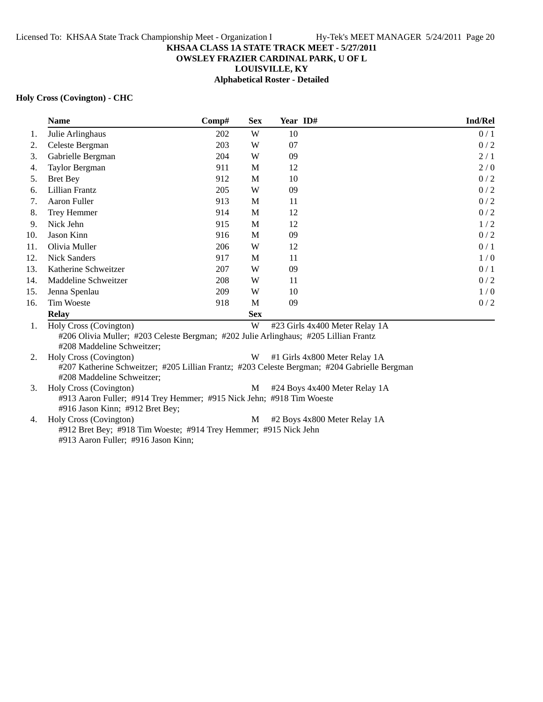# **OWSLEY FRAZIER CARDINAL PARK, U OF L**

**LOUISVILLE, KY**

**Alphabetical Roster - Detailed**

#### **Holy Cross (Covington) - CHC**

|     | <b>Name</b>            | Comp# | <b>Sex</b> | Year ID#                       | Ind/Rel |
|-----|------------------------|-------|------------|--------------------------------|---------|
| 1.  | Julie Arlinghaus       | 202   | W          | 10                             | 0/1     |
| 2.  | Celeste Bergman        | 203   | W          | 07                             | 0/2     |
| 3.  | Gabrielle Bergman      | 204   | W          | 09                             | 2/1     |
| 4.  | Taylor Bergman         | 911   | M          | 12                             | 2/0     |
| 5.  | <b>Bret Bey</b>        | 912   | M          | 10                             | 0/2     |
| 6.  | Lillian Frantz         | 205   | W          | 09                             | 0/2     |
| 7.  | Aaron Fuller           | 913   | M          | 11                             | 0/2     |
| 8.  | Trey Hemmer            | 914   | M          | 12                             | 0/2     |
| 9.  | Nick Jehn              | 915   | M          | 12                             | 1/2     |
| 10. | Jason Kinn             | 916   | M          | 09                             | 0/2     |
| 11. | Olivia Muller          | 206   | W          | 12                             | 0/1     |
| 12. | <b>Nick Sanders</b>    | 917   | M          | 11                             | 1/0     |
| 13. | Katherine Schweitzer   | 207   | W          | 09                             | 0/1     |
| 14. | Maddeline Schweitzer   | 208   | W          | 11                             | 0/2     |
| 15. | Jenna Spenlau          | 209   | W          | 10                             | 1/0     |
| 16. | <b>Tim Woeste</b>      | 918   | M          | 09                             | 0/2     |
|     | <b>Relay</b>           |       | <b>Sex</b> |                                |         |
| 1.  | Holy Cross (Covington) |       | W          | #23 Girls 4x400 Meter Relay 1A |         |

#206 Olivia Muller; #203 Celeste Bergman; #202 Julie Arlinghaus; #205 Lillian Frantz #208 Maddeline Schweitzer;

2. Holy Cross (Covington) W #1 Girls 4x800 Meter Relay 1A #207 Katherine Schweitzer; #205 Lillian Frantz; #203 Celeste Bergman; #204 Gabrielle Bergman #208 Maddeline Schweitzer;

- 3. Holy Cross (Covington) M #24 Boys 4x400 Meter Relay 1A #913 Aaron Fuller; #914 Trey Hemmer; #915 Nick Jehn; #918 Tim Woeste #916 Jason Kinn; #912 Bret Bey; 4. Holy Cross (Covington) M #2 Boys 4x800 Meter Relay 1A #912 Bret Bey; #918 Tim Woeste; #914 Trey Hemmer; #915 Nick Jehn
	- #913 Aaron Fuller; #916 Jason Kinn;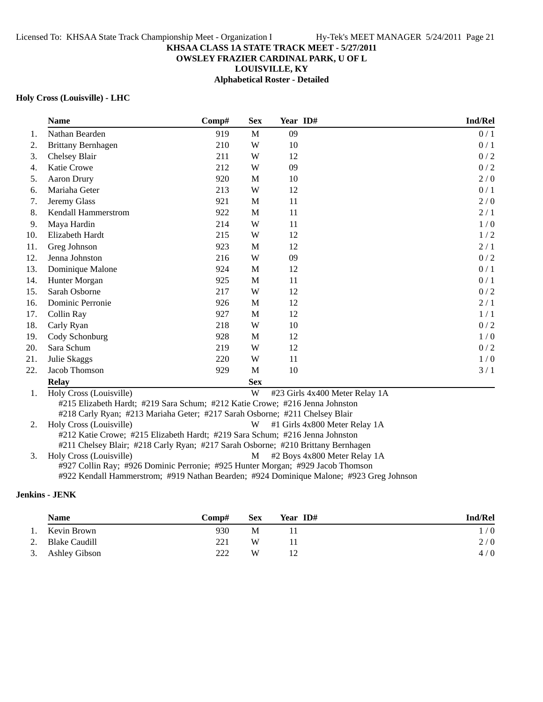# **OWSLEY FRAZIER CARDINAL PARK, U OF L**

**LOUISVILLE, KY**

# **Alphabetical Roster - Detailed**

#### **Holy Cross (Louisville) - LHC**

|     | <b>Name</b>                                                                  | Comp# | <b>Sex</b> | Year ID#                       | Ind/Rel |  |  |  |
|-----|------------------------------------------------------------------------------|-------|------------|--------------------------------|---------|--|--|--|
| 1.  | Nathan Bearden                                                               | 919   | M          | 09                             | 0/1     |  |  |  |
| 2.  | <b>Brittany Bernhagen</b>                                                    | 210   | W          | 10                             | 0/1     |  |  |  |
| 3.  | Chelsey Blair                                                                | 211   | W          | 12                             | 0/2     |  |  |  |
| 4.  | Katie Crowe                                                                  | 212   | W          | 09                             | 0/2     |  |  |  |
| 5.  | <b>Aaron Drury</b>                                                           | 920   | M          | 10                             | 2/0     |  |  |  |
| 6.  | Mariaha Geter                                                                | 213   | W          | 12                             | 0/1     |  |  |  |
| 7.  | Jeremy Glass                                                                 | 921   | M          | 11                             | 2/0     |  |  |  |
| 8.  | Kendall Hammerstrom                                                          | 922   | M          | 11                             | 2/1     |  |  |  |
| 9.  | Maya Hardin                                                                  | 214   | W          | 11                             | 1/0     |  |  |  |
| 10. | Elizabeth Hardt                                                              | 215   | W          | 12                             | 1/2     |  |  |  |
| 11. | Greg Johnson                                                                 | 923   | M          | 12                             | 2/1     |  |  |  |
| 12. | Jenna Johnston                                                               | 216   | W          | 09                             | 0/2     |  |  |  |
| 13. | Dominique Malone                                                             | 924   | M          | 12                             | 0/1     |  |  |  |
| 14. | Hunter Morgan                                                                | 925   | M          | 11                             | 0/1     |  |  |  |
| 15. | Sarah Osborne                                                                | 217   | W          | 12                             | 0/2     |  |  |  |
| 16. | Dominic Perronie                                                             | 926   | M          | 12                             | 2/1     |  |  |  |
| 17. | Collin Ray                                                                   | 927   | M          | 12                             | 1/1     |  |  |  |
| 18. | Carly Ryan                                                                   | 218   | W          | 10                             | 0/2     |  |  |  |
| 19. | Cody Schonburg                                                               | 928   | M          | 12                             | 1/0     |  |  |  |
| 20. | Sara Schum                                                                   | 219   | W          | 12                             | 0/2     |  |  |  |
| 21. | Julie Skaggs                                                                 | 220   | W          | 11                             | 1/0     |  |  |  |
| 22. | Jacob Thomson                                                                | 929   | M          | 10                             | 3/1     |  |  |  |
|     | <b>Relay</b>                                                                 |       | <b>Sex</b> |                                |         |  |  |  |
| 1.  | Holy Cross (Louisville)                                                      |       | W          | #23 Girls 4x400 Meter Relay 1A |         |  |  |  |
|     | #215 Elizabeth Hardt; #219 Sara Schum; #212 Katie Crowe; #216 Jenna Johnston |       |            |                                |         |  |  |  |
|     | #218 Carly Ryan; #213 Mariaha Geter; #217 Sarah Osborne; #211 Chelsey Blair  |       |            |                                |         |  |  |  |

2. Holy Cross (Louisville) W #1 Girls 4x800 Meter Relay 1A

#212 Katie Crowe; #215 Elizabeth Hardt; #219 Sara Schum; #216 Jenna Johnston

#211 Chelsey Blair; #218 Carly Ryan; #217 Sarah Osborne; #210 Brittany Bernhagen

3. Holy Cross (Louisville) M #2 Boys 4x800 Meter Relay 1A

#927 Collin Ray; #926 Dominic Perronie; #925 Hunter Morgan; #929 Jacob Thomson #922 Kendall Hammerstrom; #919 Nathan Bearden; #924 Dominique Malone; #923 Greg Johnson

#### **Jenkins - JENK**

|    | <b>Name</b>          | <b>Comp#</b> | <b>Sex</b> | Year ID# | Ind/Rel |
|----|----------------------|--------------|------------|----------|---------|
| 1. | Kevin Brown          | 930          | М          |          | 1/0     |
| 2. | <b>Blake Caudill</b> | 221          | W          |          | 2/0     |
|    | 3. Ashley Gibson     | 222          | W          | 12       | 4/0     |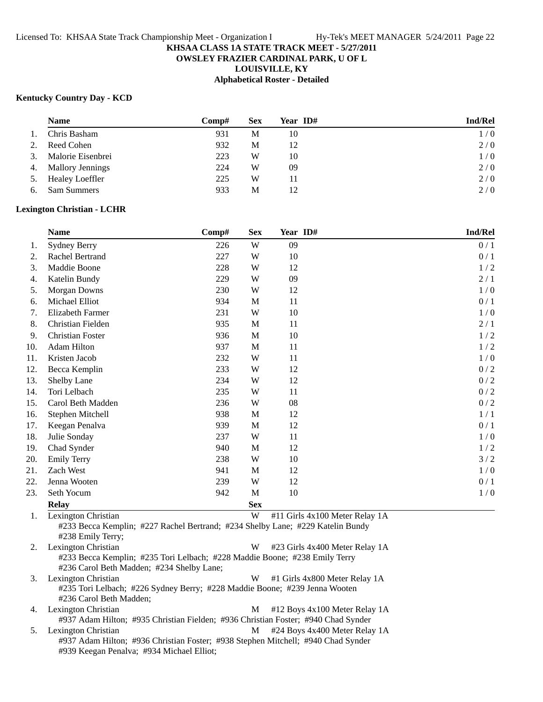## **OWSLEY FRAZIER CARDINAL PARK, U OF L**

**LOUISVILLE, KY**

#### **Alphabetical Roster - Detailed**

#### **Kentucky Country Day - KCD**

|    | <b>Name</b>             | $\bf Comp#$ | Sex | Year ID# | <b>Ind/Rel</b> |
|----|-------------------------|-------------|-----|----------|----------------|
| 1. | Chris Basham            | 931         | М   | 10       | 1/0            |
| 2. | Reed Cohen              | 932         | М   | 12       | 2/0            |
| 3. | Malorie Eisenbrei       | 223         | W   | 10       | 1/0            |
| 4. | <b>Mallory Jennings</b> | 224         | W   | 09       | 2/0            |
| 5. | <b>Healey Loeffler</b>  | 225         | W   | 11       | 2/0            |
| 6. | <b>Sam Summers</b>      | 933         | М   | 12       | 2/0            |

#### **Lexington Christian - LCHR**

|     | <b>Name</b>             | Comp# | <b>Sex</b>  | Year ID# | Ind/Rel |
|-----|-------------------------|-------|-------------|----------|---------|
| 1.  | <b>Sydney Berry</b>     | 226   | W           | 09       | 0/1     |
| 2.  | <b>Rachel Bertrand</b>  | 227   | W           | 10       | $0/1$   |
| 3.  | Maddie Boone            | 228   | W           | 12       | 1/2     |
| 4.  | Katelin Bundy           | 229   | W           | 09       | 2/1     |
| 5.  | Morgan Downs            | 230   | W           | 12       | 1/0     |
| 6.  | Michael Elliot          | 934   | M           | 11       | 0/1     |
| 7.  | <b>Elizabeth Farmer</b> | 231   | W           | 10       | 1/0     |
| 8.  | Christian Fielden       | 935   | M           | 11       | 2/1     |
| 9.  | <b>Christian Foster</b> | 936   | $\mathbf M$ | 10       | 1/2     |
| 10. | Adam Hilton             | 937   | M           | 11       | 1/2     |
| 11. | Kristen Jacob           | 232   | W           | 11       | 1/0     |
| 12. | Becca Kemplin           | 233   | W           | 12       | 0/2     |
| 13. | Shelby Lane             | 234   | W           | 12       | 0/2     |
| 14. | Tori Lelbach            | 235   | W           | 11       | 0/2     |
| 15. | Carol Beth Madden       | 236   | W           | 08       | 0/2     |
| 16. | Stephen Mitchell        | 938   | M           | 12       | 1/1     |
| 17. | Keegan Penalva          | 939   | M           | 12       | 0/1     |
| 18. | Julie Sonday            | 237   | W           | 11       | 1/0     |
| 19. | Chad Synder             | 940   | M           | 12       | 1/2     |
| 20. | <b>Emily Terry</b>      | 238   | W           | 10       | 3/2     |
| 21. | Zach West               | 941   | M           | 12       | 1/0     |
| 22. | Jenna Wooten            | 239   | W           | 12       | 0/1     |
| 23. | Seth Yocum              | 942   | M           | 10       | 1/0     |
|     | <b>Relay</b>            |       | <b>Sex</b>  |          |         |

1. Lexington Christian W #11 Girls 4x100 Meter Relay 1A #233 Becca Kemplin; #227 Rachel Bertrand; #234 Shelby Lane; #229 Katelin Bundy #238 Emily Terry;

2. Lexington Christian W #23 Girls 4x400 Meter Relay 1A #233 Becca Kemplin; #235 Tori Lelbach; #228 Maddie Boone; #238 Emily Terry #236 Carol Beth Madden; #234 Shelby Lane; 3. Lexington Christian **W** #1 Girls 4x800 Meter Relay 1A

#235 Tori Lelbach; #226 Sydney Berry; #228 Maddie Boone; #239 Jenna Wooten #236 Carol Beth Madden;

4. Lexington Christian M #12 Boys 4x100 Meter Relay 1A #937 Adam Hilton; #935 Christian Fielden; #936 Christian Foster; #940 Chad Synder 5. Lexington Christian **M**  $\#24$  Boys 4x400 Meter Relay 1A

#937 Adam Hilton; #936 Christian Foster; #938 Stephen Mitchell; #940 Chad Synder #939 Keegan Penalva; #934 Michael Elliot;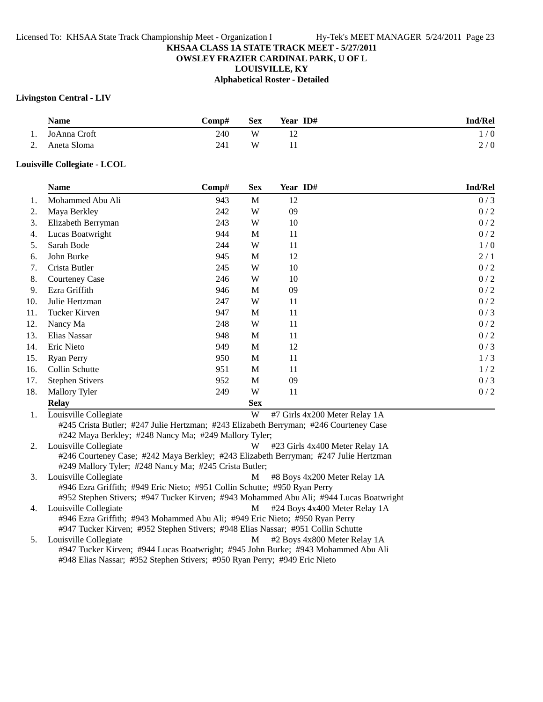#### **OWSLEY FRAZIER CARDINAL PARK, U OF L**

**LOUISVILLE, KY**

**Alphabetical Roster - Detailed**

## **Livingston Central - LIV**

|                           | <b>Name</b>  | Comp#- | <b>Sex</b> | Year ID# | <b>Ind/Rel</b> |
|---------------------------|--------------|--------|------------|----------|----------------|
| 1.                        | JoAnna Croft | 240    | W          |          | 1/0            |
| $\mathcal{D}$<br><u>.</u> | Aneta Sloma  | 241    | W          |          | 2/0            |

#### **Louisville Collegiate - LCOL**

|     | <b>Name</b>            | Comp# | <b>Sex</b> | Year ID# | <b>Ind/Rel</b> |
|-----|------------------------|-------|------------|----------|----------------|
| 1.  | Mohammed Abu Ali       | 943   | M          | 12       | 0/3            |
| 2.  | Maya Berkley           | 242   | W          | 09       | 0/2            |
| 3.  | Elizabeth Berryman     | 243   | W          | 10       | 0/2            |
| 4.  | Lucas Boatwright       | 944   | M          | 11       | 0/2            |
| 5.  | Sarah Bode             | 244   | W          | 11       | 1/0            |
| 6.  | John Burke             | 945   | M          | 12       | 2/1            |
| 7.  | Crista Butler          | 245   | W          | 10       | 0/2            |
| 8.  | <b>Courteney Case</b>  | 246   | W          | 10       | 0/2            |
| 9.  | Ezra Griffith          | 946   | M          | 09       | 0/2            |
| 10. | Julie Hertzman         | 247   | W          | 11       | 0/2            |
| 11. | Tucker Kirven          | 947   | M          | 11       | 0/3            |
| 12. | Nancy Ma               | 248   | W          | 11       | 0/2            |
| 13. | Elias Nassar           | 948   | M          | 11       | 0/2            |
| 14. | Eric Nieto             | 949   | M          | 12       | 0/3            |
| 15. | <b>Ryan Perry</b>      | 950   | M          | 11       | 1/3            |
| 16. | Collin Schutte         | 951   | M          | 11       | 1/2            |
| 17. | <b>Stephen Stivers</b> | 952   | M          | 09       | 0/3            |
| 18. | <b>Mallory Tyler</b>   | 249   | W          | 11       | 0/2            |
|     | <b>Relay</b>           |       | <b>Sex</b> |          |                |

1. Louisville Collegiate **W** #7 Girls 4x200 Meter Relay 1A #245 Crista Butler; #247 Julie Hertzman; #243 Elizabeth Berryman; #246 Courteney Case #242 Maya Berkley; #248 Nancy Ma; #249 Mallory Tyler;

2. Louisville Collegiate  $\overline{W}$  #23 Girls 4x400 Meter Relay 1A #246 Courteney Case; #242 Maya Berkley; #243 Elizabeth Berryman; #247 Julie Hertzman #249 Mallory Tyler; #248 Nancy Ma; #245 Crista Butler;

3. Louisville Collegiate **M** #8 Boys 4x200 Meter Relay 1A #946 Ezra Griffith; #949 Eric Nieto; #951 Collin Schutte; #950 Ryan Perry #952 Stephen Stivers; #947 Tucker Kirven; #943 Mohammed Abu Ali; #944 Lucas Boatwright

4. Louisville Collegiate M  $\mu$  +24 Boys 4x400 Meter Relay 1A #946 Ezra Griffith; #943 Mohammed Abu Ali; #949 Eric Nieto; #950 Ryan Perry #947 Tucker Kirven; #952 Stephen Stivers; #948 Elias Nassar; #951 Collin Schutte

5. Louisville Collegiate **M** #2 Boys 4x800 Meter Relay 1A #947 Tucker Kirven; #944 Lucas Boatwright; #945 John Burke; #943 Mohammed Abu Ali #948 Elias Nassar; #952 Stephen Stivers; #950 Ryan Perry; #949 Eric Nieto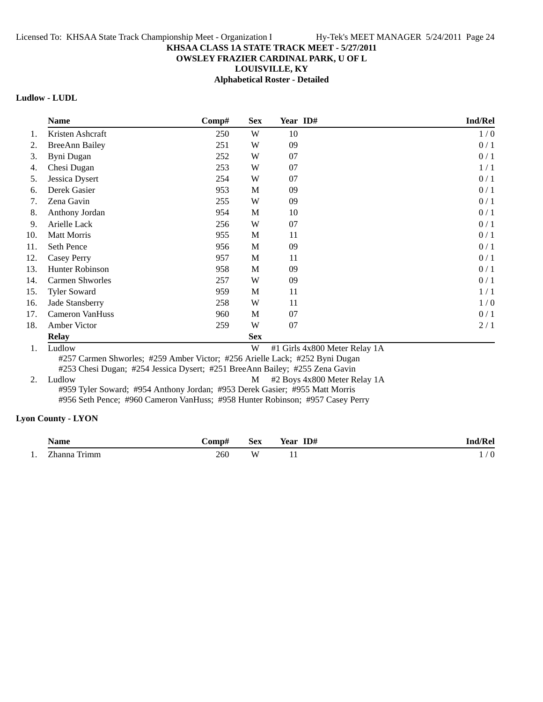# **OWSLEY FRAZIER CARDINAL PARK, U OF L**

**LOUISVILLE, KY**

**Alphabetical Roster - Detailed**

# **Ludlow - LUDL**

|     | <b>Name</b>                                                                                                                                                                                                 | Comp# | <b>Sex</b> | Year ID# |  | Ind/Rel |  |
|-----|-------------------------------------------------------------------------------------------------------------------------------------------------------------------------------------------------------------|-------|------------|----------|--|---------|--|
| 1.  | Kristen Ashcraft                                                                                                                                                                                            | 250   | W          | 10       |  | 1/0     |  |
| 2.  | <b>BreeAnn Bailey</b>                                                                                                                                                                                       | 251   | W          | 09       |  | 0/1     |  |
| 3.  | Byni Dugan                                                                                                                                                                                                  | 252   | W          | 07       |  | 0/1     |  |
| 4.  | Chesi Dugan                                                                                                                                                                                                 | 253   | W          | 07       |  | 1/1     |  |
| 5.  | Jessica Dysert                                                                                                                                                                                              | 254   | W          | 07       |  | 0/1     |  |
| 6.  | Derek Gasier                                                                                                                                                                                                | 953   | M          | 09       |  | 0/1     |  |
| 7.  | Zena Gavin                                                                                                                                                                                                  | 255   | W          | 09       |  | 0/1     |  |
| 8.  | Anthony Jordan                                                                                                                                                                                              | 954   | M          | 10       |  | 0/1     |  |
| 9.  | Arielle Lack                                                                                                                                                                                                | 256   | W          | 07       |  | 0/1     |  |
| 10. | <b>Matt Morris</b>                                                                                                                                                                                          | 955   | M          | 11       |  | 0/1     |  |
| 11. | Seth Pence                                                                                                                                                                                                  | 956   | M          | 09       |  | 0/1     |  |
| 12. | Casey Perry                                                                                                                                                                                                 | 957   | M          | 11       |  | 0/1     |  |
| 13. | <b>Hunter Robinson</b>                                                                                                                                                                                      | 958   | M          | 09       |  | 0/1     |  |
| 14. | <b>Carmen Shworles</b>                                                                                                                                                                                      | 257   | W          | 09       |  | 0/1     |  |
| 15. | <b>Tyler Soward</b>                                                                                                                                                                                         | 959   | M          | 11       |  | 1/1     |  |
| 16. | Jade Stansberry                                                                                                                                                                                             | 258   | W          | 11       |  | 1/0     |  |
| 17. | <b>Cameron VanHuss</b>                                                                                                                                                                                      | 960   | M          | 07       |  | 0/1     |  |
| 18. | Amber Victor                                                                                                                                                                                                | 259   | W          | 07       |  | 2/1     |  |
|     | <b>Relay</b>                                                                                                                                                                                                |       | <b>Sex</b> |          |  |         |  |
| 1.  | Ludlow<br>W<br>#1 Girls 4x800 Meter Relay 1A<br>#257 Carmen Shworles; #259 Amber Victor; #256 Arielle Lack; #252 Byni Dugan<br>#253 Chesi Dugan; #254 Jessica Dysert; #251 BreeAnn Bailey; #255 Zena Gavin  |       |            |          |  |         |  |
| 2.  | Ludlow<br>#2 Boys 4x800 Meter Relay 1A<br>M<br>#959 Tyler Soward; #954 Anthony Jordan; #953 Derek Gasier; #955 Matt Morris<br>#956 Seth Pence; #960 Cameron VanHuss; #958 Hunter Robinson; #957 Casey Perry |       |            |          |  |         |  |

## **Lyon County - LYON**

|     | √ame            | <b>€omp</b> | Sex | ID#<br>Year  | l/Rel<br>Inc |
|-----|-----------------|-------------|-----|--------------|--------------|
| . . | Zhanna<br>Trımm | 260         | W   | $\mathbf{r}$ | . .          |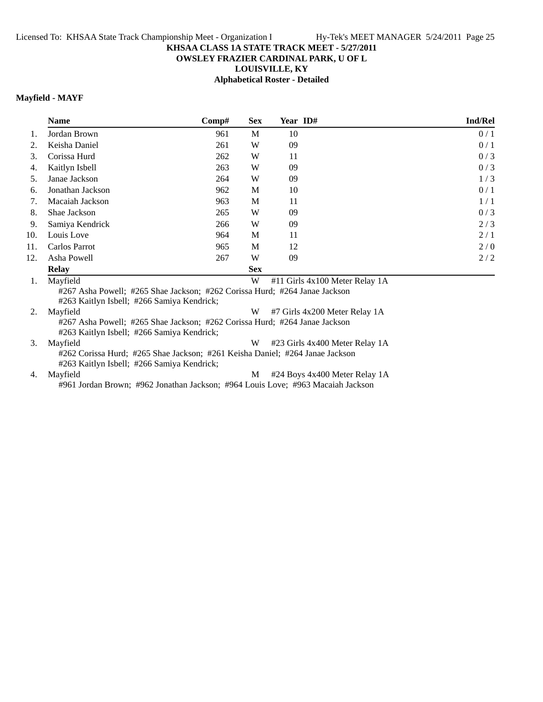## **OWSLEY FRAZIER CARDINAL PARK, U OF L**

**LOUISVILLE, KY**

**Alphabetical Roster - Detailed**

## **Mayfield - MAYF**

|                | <b>Name</b>                           | Comp# | <b>Sex</b>   | Year ID#                                    | <b>Ind/Rel</b> |
|----------------|---------------------------------------|-------|--------------|---------------------------------------------|----------------|
| 1.             | Jordan Brown                          | 961   | M            | 10                                          | 0/1            |
| 2.             | Keisha Daniel                         | 261   | W            | 09                                          | 0/1            |
| 3.             | Corissa Hurd                          | 262   | W            | 11                                          | 0/3            |
| 4.             | Kaitlyn Isbell                        | 263   | W            | 09                                          | 0/3            |
| 5.             | Janae Jackson                         | 264   | W            | 09                                          | 1/3            |
| 6.             | Jonathan Jackson                      | 962   | M            | 10                                          | 0/1            |
| 7.             | Macaiah Jackson                       | 963   | M            | 11                                          | 1/1            |
| 8.             | Shae Jackson                          | 265   | W            | 09                                          | 0/3            |
| 9.             | Samiya Kendrick                       | 266   | W            | 09                                          | 2/3            |
| 10.            | Louis Love                            | 964   | M            | 11                                          | 2/1            |
| 11.            | Carlos Parrot                         | 965   | M            | 12                                          | 2/0            |
| 12.            | Asha Powell                           | 267   | W            | 09                                          | 2/2            |
|                | <b>Relay</b>                          |       | <b>Sex</b>   |                                             |                |
| $\blacksquare$ | $M_{\alpha}$ . $\ddot{L}_{\alpha}$ 1. |       | $\mathbf{X}$ | $\#11$ Cials $4 \times 100$ Matan Dalay 1.A |                |

1. Mayfield **1.** Mayfield **1.** Mayfield **W**  $\#11$  Girls 4x100 Meter Relay 1A #267 Asha Powell; #265 Shae Jackson; #262 Corissa Hurd; #264 Janae Jackson #263 Kaitlyn Isbell; #266 Samiya Kendrick;

2. Mayfield **W** #7 Girls 4x200 Meter Relay 1A #267 Asha Powell; #265 Shae Jackson; #262 Corissa Hurd; #264 Janae Jackson #263 Kaitlyn Isbell; #266 Samiya Kendrick;

3. Mayfield **W** #23 Girls 4x400 Meter Relay 1A #262 Corissa Hurd; #265 Shae Jackson; #261 Keisha Daniel; #264 Janae Jackson #263 Kaitlyn Isbell; #266 Samiya Kendrick; 4. Mayfield M  $\#24$  Boys 4x400 Meter Relay 1A

#961 Jordan Brown; #962 Jonathan Jackson; #964 Louis Love; #963 Macaiah Jackson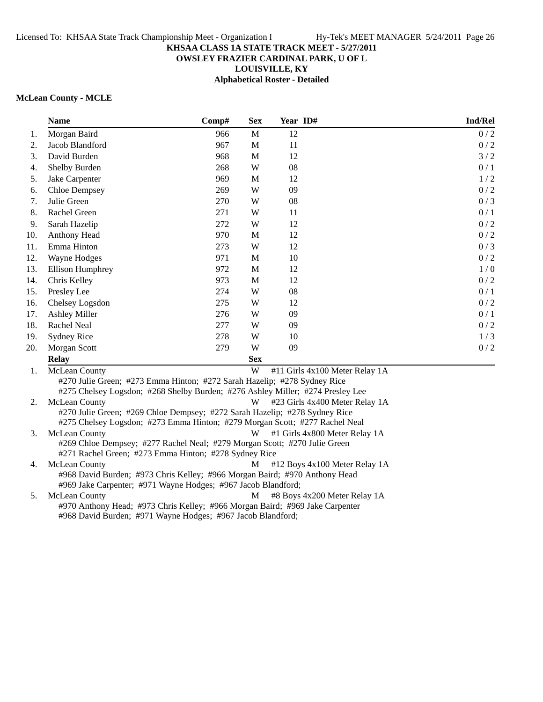# **OWSLEY FRAZIER CARDINAL PARK, U OF L**

**LOUISVILLE, KY**

**Alphabetical Roster - Detailed**

## **McLean County - MCLE**

|     | <b>Name</b>                                                                                                                        | Comp# | <b>Sex</b>   | Year ID# | Ind/Rel                        |
|-----|------------------------------------------------------------------------------------------------------------------------------------|-------|--------------|----------|--------------------------------|
| 1.  | Morgan Baird                                                                                                                       | 966   | $\mathbf{M}$ | 12       | 0/2                            |
| 2.  | Jacob Blandford                                                                                                                    | 967   | M            | 11       | 0/2                            |
| 3.  | David Burden                                                                                                                       | 968   | $\mathbf M$  | 12       | 3/2                            |
| 4.  | Shelby Burden                                                                                                                      | 268   | W            | 08       | 0/1                            |
| 5.  | Jake Carpenter                                                                                                                     | 969   | M            | 12       | 1/2                            |
| 6.  | <b>Chloe Dempsey</b>                                                                                                               | 269   | W            | 09       | 0/2                            |
| 7.  | Julie Green                                                                                                                        | 270   | W            | 08       | 0/3                            |
| 8.  | Rachel Green                                                                                                                       | 271   | W            | 11       | 0/1                            |
| 9.  | Sarah Hazelip                                                                                                                      | 272   | W            | 12       | 0/2                            |
| 10. | Anthony Head                                                                                                                       | 970   | M            | 12       | 0/2                            |
| 11. | Emma Hinton                                                                                                                        | 273   | W            | 12       | 0/3                            |
| 12. | Wayne Hodges                                                                                                                       | 971   | $\mathbf M$  | 10       | 0/2                            |
| 13. | Ellison Humphrey                                                                                                                   | 972   | $\mathbf M$  | 12       | 1/0                            |
| 14. | Chris Kelley                                                                                                                       | 973   | $\mathbf M$  | 12       | 0/2                            |
| 15. | Presley Lee                                                                                                                        | 274   | W            | 08       | 0/1                            |
| 16. | Chelsey Logsdon                                                                                                                    | 275   | W            | 12       | 0/2                            |
| 17. | <b>Ashley Miller</b>                                                                                                               | 276   | W            | 09       | 0/1                            |
| 18. | Rachel Neal                                                                                                                        | 277   | W            | 09       | 0/2                            |
| 19. | <b>Sydney Rice</b>                                                                                                                 | 278   | W            | 10       | 1/3                            |
| 20. | Morgan Scott                                                                                                                       | 279   | W            | 09       | 0/2                            |
|     | <b>Relay</b>                                                                                                                       |       | <b>Sex</b>   |          |                                |
| 1.  | McLean County                                                                                                                      |       | W            |          | #11 Girls 4x100 Meter Relay 1A |
|     | #270 Julie Green; #273 Emma Hinton; #272 Sarah Hazelip; #278 Sydney Rice                                                           |       |              |          |                                |
|     | #275 Chelsey Logsdon; #268 Shelby Burden; #276 Ashley Miller; #274 Presley Lee                                                     |       |              |          |                                |
| 2.  | <b>McLean County</b>                                                                                                               |       | W            |          | #23 Girls 4x400 Meter Relay 1A |
|     | #270 Julie Green; #269 Chloe Dempsey; #272 Sarah Hazelip; #278 Sydney Rice                                                         |       |              |          |                                |
|     | #275 Chelsey Logsdon; #273 Emma Hinton; #279 Morgan Scott; #277 Rachel Neal                                                        |       |              |          |                                |
| 3.  | McLean County                                                                                                                      |       | W            |          | #1 Girls 4x800 Meter Relay 1A  |
|     | #269 Chloe Dempsey; #277 Rachel Neal; #279 Morgan Scott; #270 Julie Green<br>#271 Rachel Green; #273 Emma Hinton; #278 Sydney Rice |       |              |          |                                |
| 4.  | McLean County                                                                                                                      |       | M            |          | #12 Boys 4x100 Meter Relay 1A  |
|     | #968 David Burden; #973 Chris Kelley; #966 Morgan Baird; #970 Anthony Head                                                         |       |              |          |                                |
|     | #969 Jake Carpenter; #971 Wayne Hodges; #967 Jacob Blandford;                                                                      |       |              |          |                                |
| 5.  | McLean County                                                                                                                      |       | M            |          | #8 Boys 4x200 Meter Relay 1A   |

#970 Anthony Head; #973 Chris Kelley; #966 Morgan Baird; #969 Jake Carpenter

#968 David Burden; #971 Wayne Hodges; #967 Jacob Blandford;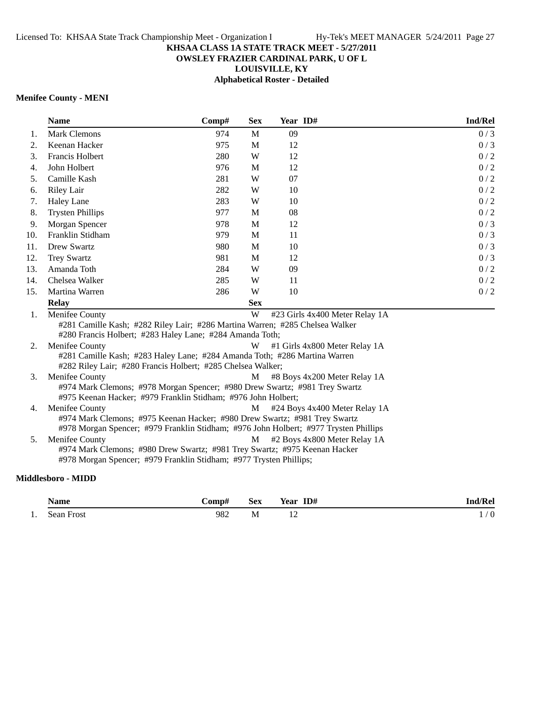# **OWSLEY FRAZIER CARDINAL PARK, U OF L**

**LOUISVILLE, KY**

**Alphabetical Roster - Detailed**

## **Menifee County - MENI**

|     | <b>Name</b>                                                                                                                              | Comp# | <b>Sex</b> | Year ID# |                                | Ind/Rel |  |
|-----|------------------------------------------------------------------------------------------------------------------------------------------|-------|------------|----------|--------------------------------|---------|--|
| 1.  | <b>Mark Clemons</b>                                                                                                                      | 974   | M          | 09       |                                | 0/3     |  |
| 2.  | Keenan Hacker                                                                                                                            | 975   | M          | 12       |                                | 0/3     |  |
| 3.  | Francis Holbert                                                                                                                          | 280   | W          | 12       |                                | 0/2     |  |
| 4.  | John Holbert                                                                                                                             | 976   | M          | 12       |                                | 0/2     |  |
| 5.  | Camille Kash                                                                                                                             | 281   | W          | 07       |                                | 0/2     |  |
| 6.  | <b>Riley Lair</b>                                                                                                                        | 282   | W          | 10       |                                | 0/2     |  |
| 7.  | <b>Haley Lane</b>                                                                                                                        | 283   | W          | 10       |                                | 0/2     |  |
| 8.  | <b>Trysten Phillips</b>                                                                                                                  | 977   | M          | 08       |                                | 0/2     |  |
| 9.  | Morgan Spencer                                                                                                                           | 978   | M          | 12       |                                | 0/3     |  |
| 10. | Franklin Stidham                                                                                                                         | 979   | M          | 11       |                                | 0/3     |  |
| 11. | Drew Swartz                                                                                                                              | 980   | M          | 10       |                                | 0/3     |  |
| 12. | <b>Trey Swartz</b>                                                                                                                       | 981   | M          | 12       |                                | 0/3     |  |
| 13. | Amanda Toth                                                                                                                              | 284   | W          | 09       |                                | 0/2     |  |
| 14. | Chelsea Walker                                                                                                                           | 285   | W          | 11       |                                | 0/2     |  |
| 15. | Martina Warren                                                                                                                           | 286   | W          | 10       |                                | 0/2     |  |
|     | <b>Relay</b>                                                                                                                             |       | <b>Sex</b> |          |                                |         |  |
| 1.  | Menifee County                                                                                                                           |       | W          |          | #23 Girls 4x400 Meter Relay 1A |         |  |
|     | #281 Camille Kash; #282 Riley Lair; #286 Martina Warren; #285 Chelsea Walker<br>#280 Francis Holbert; #283 Haley Lane; #284 Amanda Toth; |       |            |          |                                |         |  |
| 2.  | Menifee County                                                                                                                           |       | W          |          | #1 Girls 4x800 Meter Relay 1A  |         |  |
|     | #281 Camille Kash; #283 Haley Lane; #284 Amanda Toth; #286 Martina Warren<br>#282 Riley Lair; #280 Francis Holbert; #285 Chelsea Walker; |       |            |          |                                |         |  |
| 3.  | Menifee County                                                                                                                           |       | M          |          | #8 Boys 4x200 Meter Relay 1A   |         |  |
|     | #974 Mark Clemons; #978 Morgan Spencer; #980 Drew Swartz; #981 Trey Swartz                                                               |       |            |          |                                |         |  |
|     | #975 Keenan Hacker; #979 Franklin Stidham; #976 John Holbert;                                                                            |       |            |          |                                |         |  |
| 4.  | Menifee County                                                                                                                           |       | M          |          | #24 Boys 4x400 Meter Relay 1A  |         |  |
|     | #974 Mark Clemons; #975 Keenan Hacker; #980 Drew Swartz; #981 Trey Swartz                                                                |       |            |          |                                |         |  |
|     | #978 Morgan Spencer; #979 Franklin Stidham; #976 John Holbert; #977 Trysten Phillips                                                     |       |            |          |                                |         |  |
| 5.  | Menifee County                                                                                                                           |       | M          |          | #2 Boys 4x800 Meter Relay 1A   |         |  |
|     | #974 Mark Clemons; #980 Drew Swartz; #981 Trey Swartz; #975 Keenan Hacker                                                                |       |            |          |                                |         |  |
|     | #978 Morgan Spencer; #979 Franklin Stidham; #977 Trysten Phillips;                                                                       |       |            |          |                                |         |  |

# **Middlesboro - MIDD**

| Name           | $\mathcal{L}$ omp# | Sex | ID#<br>$-$<br>Year | Ind/Rel       |
|----------------|--------------------|-----|--------------------|---------------|
| <br>Sean Frost | 982<br>$\sim$      | M   | $\overline{z}$     | $\Omega$<br>v |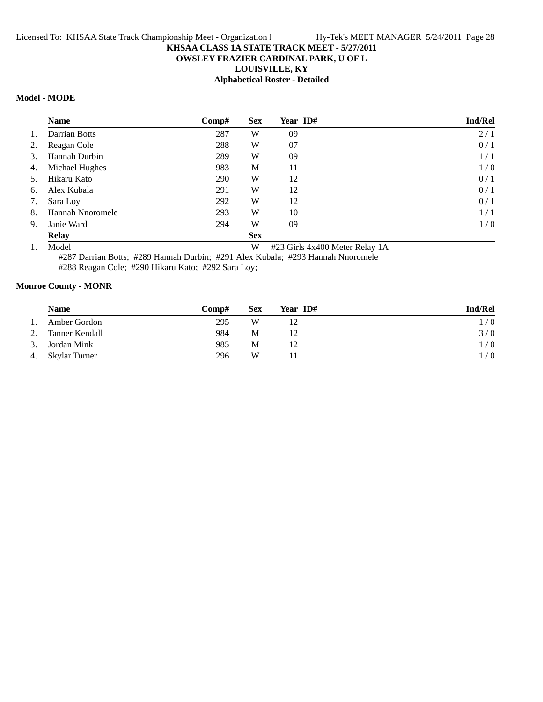# **OWSLEY FRAZIER CARDINAL PARK, U OF L**

**LOUISVILLE, KY**

# **Alphabetical Roster - Detailed**

# **Model - MODE**

|    | <b>Name</b>      | Comp# | <b>Sex</b> | Year ID# | <b>Ind/Rel</b> |
|----|------------------|-------|------------|----------|----------------|
| 1. | Darrian Botts    | 287   | W          | 09       | 2/1            |
| 2. | Reagan Cole      | 288   | W          | 07       | 0/1            |
| 3. | Hannah Durbin    | 289   | W          | 09       | 1/1            |
| 4. | Michael Hughes   | 983   | M          | 11       | 1/0            |
| 5. | Hikaru Kato      | 290   | W          | 12       | 0/1            |
| 6. | Alex Kubala      | 291   | W          | 12       | 0/1            |
| 7. | Sara Loy         | 292   | W          | 12       | 0/1            |
| 8. | Hannah Nnoromele | 293   | W          | 10       | 1/1            |
| 9. | Janie Ward       | 294   | W          | 09       | 1/0            |
|    | <b>Relay</b>     |       | <b>Sex</b> |          |                |

1. Model W #23 Girls 4x400 Meter Relay 1A

#287 Darrian Botts; #289 Hannah Durbin; #291 Alex Kubala; #293 Hannah Nnoromele

#288 Reagan Cole; #290 Hikaru Kato; #292 Sara Loy;

## **Monroe County - MONR**

|    | <b>Name</b>      | <b>Comp#</b> | Sex | Year ID# | <b>Ind/Rel</b> |
|----|------------------|--------------|-----|----------|----------------|
| 1. | Amber Gordon     | 295          | W   |          | 1/0            |
| 2. | Tanner Kendall   | 984          | М   | 12       | 3/0            |
|    | 3. Jordan Mink   | 985          | М   |          | 1/0            |
|    | 4. Skylar Turner | 296          | W   |          | 1/0            |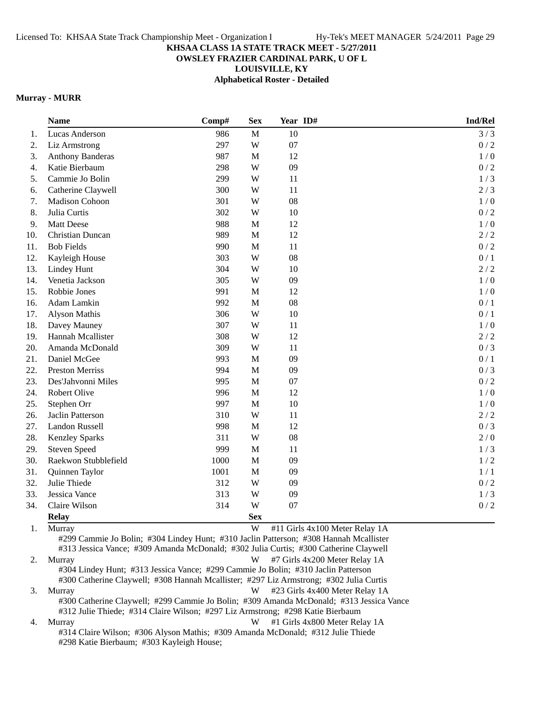## **OWSLEY FRAZIER CARDINAL PARK, U OF L**

**LOUISVILLE, KY**

**Alphabetical Roster - Detailed**

## **Murray - MURR**

|     | <b>Name</b>             | Comp# | <b>Sex</b>  | Year ID# | Ind/Rel |
|-----|-------------------------|-------|-------------|----------|---------|
| 1.  | Lucas Anderson          | 986   | $\mathbf M$ | 10       | 3/3     |
| 2.  | Liz Armstrong           | 297   | W           | 07       | 0/2     |
| 3.  | <b>Anthony Banderas</b> | 987   | $\mathbf M$ | 12       | 1/0     |
| 4.  | Katie Bierbaum          | 298   | W           | 09       | 0/2     |
| 5.  | Cammie Jo Bolin         | 299   | W           | 11       | 1/3     |
| 6.  | Catherine Claywell      | 300   | W           | 11       | 2/3     |
| 7.  | Madison Cohoon          | 301   | W           | 08       | 1/0     |
| 8.  | Julia Curtis            | 302   | W           | 10       | 0/2     |
| 9.  | Matt Deese              | 988   | $\mathbf M$ | 12       | 1/0     |
| 10. | Christian Duncan        | 989   | $\mathbf M$ | 12       | 2/2     |
| 11. | <b>Bob Fields</b>       | 990   | $\mathbf M$ | 11       | 0/2     |
| 12. | Kayleigh House          | 303   | W           | 08       | 0/1     |
| 13. | <b>Lindey Hunt</b>      | 304   | W           | 10       | 2/2     |
| 14. | Venetia Jackson         | 305   | W           | 09       | 1/0     |
| 15. | Robbie Jones            | 991   | $\mathbf M$ | 12       | 1/0     |
| 16. | Adam Lamkin             | 992   | $\mathbf M$ | 08       | 0/1     |
| 17. | Alyson Mathis           | 306   | W           | 10       | 0/1     |
| 18. | Davey Mauney            | 307   | W           | 11       | 1/0     |
| 19. | Hannah Mcallister       | 308   | W           | 12       | 2/2     |
| 20. | Amanda McDonald         | 309   | W           | 11       | 0/3     |
| 21. | Daniel McGee            | 993   | $\mathbf M$ | 09       | 0/1     |
| 22. | <b>Preston Merriss</b>  | 994   | $\mathbf M$ | 09       | 0/3     |
| 23. | Des'Jahvonni Miles      | 995   | $\mathbf M$ | 07       | 0/2     |
| 24. | Robert Olive            | 996   | M           | 12       | 1/0     |
| 25. | Stephen Orr             | 997   | $\mathbf M$ | 10       | 1/0     |
| 26. | Jaclin Patterson        | 310   | W           | 11       | 2/2     |
| 27. | <b>Landon Russell</b>   | 998   | $\mathbf M$ | 12       | 0/3     |
| 28. | <b>Kenzley Sparks</b>   | 311   | W           | 08       | 2/0     |
| 29. | <b>Steven Speed</b>     | 999   | $\mathbf M$ | 11       | 1/3     |
| 30. | Raekwon Stubblefield    | 1000  | $\mathbf M$ | 09       | 1/2     |
| 31. | Quinnen Taylor          | 1001  | $\mathbf M$ | 09       | 1/1     |
| 32. | Julie Thiede            | 312   | W           | 09       | 0/2     |
| 33. | Jessica Vance           | 313   | W           | 09       | 1/3     |
| 34. | Claire Wilson           | 314   | W           | 07       | 0/2     |
|     | <b>Relay</b>            |       | <b>Sex</b>  |          |         |

1. Murray 14 and 12 and 12 and 12 and 13 and 14 and 14 and 14 and 14 and 14 and 14 and 14 and 14 and 14 and 14 and 14 and 15 and 16 and 16 and 16 and 16 and 16 and 16 and 16 and 16 and 16 and 16 and 16 and 16 and 16 and 16

#299 Cammie Jo Bolin; #304 Lindey Hunt; #310 Jaclin Patterson; #308 Hannah Mcallister #313 Jessica Vance; #309 Amanda McDonald; #302 Julia Curtis; #300 Catherine Claywell

2. Murray W #7 Girls 4x200 Meter Relay 1A #304 Lindey Hunt; #313 Jessica Vance; #299 Cammie Jo Bolin; #310 Jaclin Patterson #300 Catherine Claywell; #308 Hannah Mcallister; #297 Liz Armstrong; #302 Julia Curtis 3. Murray 14 and 123 Girls 4x400 Meter Relay 1A #300 Catherine Claywell; #299 Cammie Jo Bolin; #309 Amanda McDonald; #313 Jessica Vance #312 Julie Thiede; #314 Claire Wilson; #297 Liz Armstrong; #298 Katie Bierbaum

4. Murray **W** #1 Girls 4x800 Meter Relay 1A #314 Claire Wilson; #306 Alyson Mathis; #309 Amanda McDonald; #312 Julie Thiede #298 Katie Bierbaum; #303 Kayleigh House;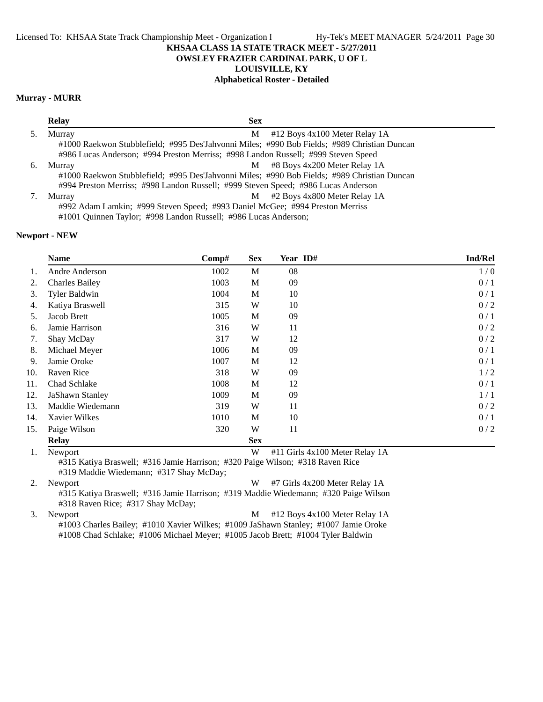**OWSLEY FRAZIER CARDINAL PARK, U OF L**

**LOUISVILLE, KY**

# **Alphabetical Roster - Detailed**

## **Murray - MURR**

|    | <b>Relay</b><br><b>Sex</b>                                                                  |                                 |
|----|---------------------------------------------------------------------------------------------|---------------------------------|
|    | Murray<br>M                                                                                 | $#12$ Boys 4x100 Meter Relay 1A |
|    | #1000 Raekwon Stubblefield; #995 Des'Jahvonni Miles; #990 Bob Fields; #989 Christian Duncan |                                 |
|    | #986 Lucas Anderson; #994 Preston Merriss; #998 Landon Russell; #999 Steven Speed           |                                 |
| 6. | M<br>Murray                                                                                 | #8 Boys 4x200 Meter Relay 1A    |
|    | #1000 Raekwon Stubblefield; #995 Des'Jahvonni Miles; #990 Bob Fields; #989 Christian Duncan |                                 |
|    | #994 Preston Merriss; #998 Landon Russell; #999 Steven Speed; #986 Lucas Anderson           |                                 |
|    | M<br>Murray                                                                                 | #2 Boys 4x800 Meter Relay 1A    |
|    | #992 Adam Lamkin; #999 Steven Speed; #993 Daniel McGee; #994 Preston Merriss                |                                 |
|    | #1001 Quinnen Taylor; #998 Landon Russell; #986 Lucas Anderson;                             |                                 |
|    |                                                                                             |                                 |

## **Newport - NEW**

|     | <b>Name</b>           | Comp# | <b>Sex</b> | Year ID# | <b>Ind/Rel</b> |
|-----|-----------------------|-------|------------|----------|----------------|
| 1.  | Andre Anderson        | 1002  | M          | 08       | 1/0            |
| 2.  | <b>Charles Bailey</b> | 1003  | M          | 09       | 0/1            |
| 3.  | <b>Tyler Baldwin</b>  | 1004  | M          | 10       | 0/1            |
| 4.  | Katiya Braswell       | 315   | W          | 10       | 0/2            |
| 5.  | Jacob Brett           | 1005  | M          | 09       | 0/1            |
| 6.  | Jamie Harrison        | 316   | W          | 11       | 0/2            |
| 7.  | Shay McDay            | 317   | W          | 12       | 0/2            |
| 8.  | Michael Meyer         | 1006  | M          | 09       | 0/1            |
| 9.  | Jamie Oroke           | 1007  | M          | 12       | 0/1            |
| 10. | Raven Rice            | 318   | W          | 09       | 1/2            |
| 11. | Chad Schlake          | 1008  | M          | 12       | 0/1            |
| 12. | JaShawn Stanley       | 1009  | M          | 09       | 1/1            |
| 13. | Maddie Wiedemann      | 319   | W          | 11       | 0/2            |
| 14. | Xavier Wilkes         | 1010  | M          | 10       | 0/1            |
| 15. | Paige Wilson          | 320   | W          | 11       | 0/2            |
|     | <b>Relay</b>          |       | <b>Sex</b> |          |                |

1. Newport **W** #11 Girls 4x100 Meter Relay 1A

#315 Katiya Braswell; #316 Jamie Harrison; #320 Paige Wilson; #318 Raven Rice #319 Maddie Wiedemann; #317 Shay McDay;

2. Newport W #7 Girls 4x200 Meter Relay 1A #315 Katiya Braswell; #316 Jamie Harrison; #319 Maddie Wiedemann; #320 Paige Wilson #318 Raven Rice; #317 Shay McDay;

3. Newport M #12 Boys 4x100 Meter Relay 1A #1003 Charles Bailey; #1010 Xavier Wilkes; #1009 JaShawn Stanley; #1007 Jamie Oroke #1008 Chad Schlake; #1006 Michael Meyer; #1005 Jacob Brett; #1004 Tyler Baldwin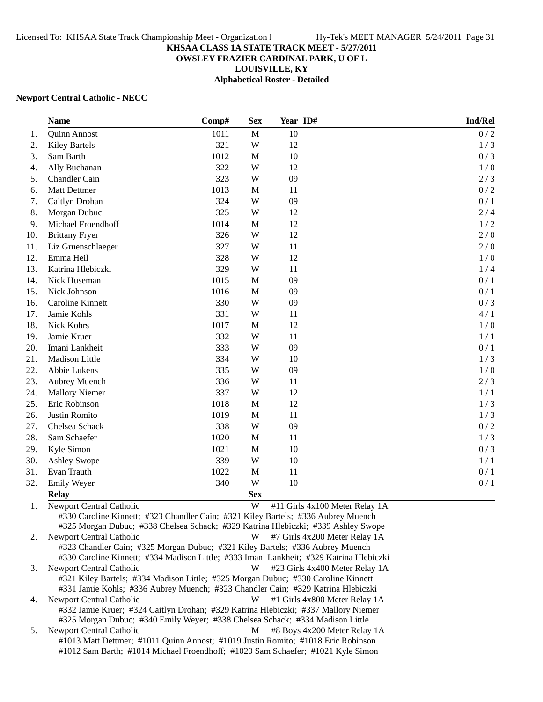# **OWSLEY FRAZIER CARDINAL PARK, U OF L**

**LOUISVILLE, KY**

**Alphabetical Roster - Detailed**

#### **Newport Central Catholic - NECC**

|     | <b>Name</b>                                                                                                                                                                                        | Comp# | <b>Sex</b>   | Year ID# |                                | Ind/Rel |
|-----|----------------------------------------------------------------------------------------------------------------------------------------------------------------------------------------------------|-------|--------------|----------|--------------------------------|---------|
| 1.  | <b>Quinn Annost</b>                                                                                                                                                                                | 1011  | M            | 10       |                                | $0/2$   |
| 2.  | <b>Kiley Bartels</b>                                                                                                                                                                               | 321   | W            | 12       |                                | 1/3     |
| 3.  | Sam Barth                                                                                                                                                                                          | 1012  | M            | 10       |                                | 0/3     |
| 4.  | Ally Buchanan                                                                                                                                                                                      | 322   | W            | 12       |                                | 1/0     |
| 5.  | Chandler Cain                                                                                                                                                                                      | 323   | W            | 09       |                                | $2/3$   |
| 6.  | <b>Matt Dettmer</b>                                                                                                                                                                                | 1013  | M            | 11       |                                | $0/2$   |
| 7.  | Caitlyn Drohan                                                                                                                                                                                     | 324   | W            | 09       |                                | 0/1     |
| 8.  | Morgan Dubuc                                                                                                                                                                                       | 325   | W            | 12       |                                | $2/4$   |
| 9.  | Michael Froendhoff                                                                                                                                                                                 | 1014  | M            | 12       |                                | 1/2     |
| 10. | <b>Brittany Fryer</b>                                                                                                                                                                              | 326   | W            | 12       |                                | 2/0     |
| 11. | Liz Gruenschlaeger                                                                                                                                                                                 | 327   | W            | 11       |                                | $2/0$   |
| 12. | Emma Heil                                                                                                                                                                                          | 328   | W            | 12       |                                | 1/0     |
| 13. | Katrina Hlebiczki                                                                                                                                                                                  | 329   | W            | 11       |                                | 1/4     |
| 14. | Nick Huseman                                                                                                                                                                                       | 1015  | M            | 09       |                                | 0/1     |
| 15. | Nick Johnson                                                                                                                                                                                       | 1016  | M            | 09       |                                | 0/1     |
| 16. | Caroline Kinnett                                                                                                                                                                                   | 330   | W            | 09       |                                | 0/3     |
| 17. | Jamie Kohls                                                                                                                                                                                        | 331   | W            | 11       |                                | 4/1     |
| 18. | Nick Kohrs                                                                                                                                                                                         | 1017  | M            | 12       |                                | 1/0     |
| 19. | Jamie Kruer                                                                                                                                                                                        | 332   | W            | 11       |                                | 1/1     |
| 20. | Imani Lankheit                                                                                                                                                                                     | 333   | W            | 09       |                                | 0/1     |
| 21. | Madison Little                                                                                                                                                                                     | 334   | W            | 10       |                                | 1/3     |
| 22. | Abbie Lukens                                                                                                                                                                                       | 335   | W            | 09       |                                | 1/0     |
| 23. | Aubrey Muench                                                                                                                                                                                      | 336   | W            | 11       |                                | $2/3$   |
| 24. | <b>Mallory Niemer</b>                                                                                                                                                                              | 337   | W            | 12       |                                | 1/1     |
| 25. | Eric Robinson                                                                                                                                                                                      | 1018  | M            | 12       |                                | 1/3     |
| 26. | Justin Romito                                                                                                                                                                                      | 1019  | $\mathbf M$  | 11       |                                | 1/3     |
| 27. | Chelsea Schack                                                                                                                                                                                     | 338   | W            | 09       |                                | $0/2$   |
| 28. | Sam Schaefer                                                                                                                                                                                       | 1020  | M            | 11       |                                | 1/3     |
| 29. | Kyle Simon                                                                                                                                                                                         | 1021  | $\mathbf{M}$ | 10       |                                | $0/3$   |
| 30. | <b>Ashley Swope</b>                                                                                                                                                                                | 339   | W            | 10       |                                | 1/1     |
| 31. | Evan Trauth                                                                                                                                                                                        | 1022  | $\mathbf M$  | 11       |                                | 0/1     |
| 32. | Emily Weyer                                                                                                                                                                                        | 340   | W            | 10       |                                | 0/1     |
|     | <b>Relay</b>                                                                                                                                                                                       |       | <b>Sex</b>   |          |                                |         |
| 1.  | Newport Central Catholic<br>#330 Caroline Kinnett; #323 Chandler Cain; #321 Kiley Bartels; #336 Aubrey Muench<br>#325 Morgan Dubuc; #338 Chelsea Schack; #329 Katrina Hlebiczki; #339 Ashley Swope |       | W            |          | #11 Girls 4x100 Meter Relay 1A |         |
| 2.  | Newport Central Catholic<br>#323 Chandler Cain; #325 Morgan Dubuc; #321 Kiley Bartels; #336 Aubrey Muench                                                                                          |       | W            |          | #7 Girls 4x200 Meter Relay 1A  |         |

#330 Caroline Kinnett; #334 Madison Little; #333 Imani Lankheit; #329 Katrina Hlebiczki 3. Newport Central Catholic **W** #23 Girls 4x400 Meter Relay 1A #321 Kiley Bartels; #334 Madison Little; #325 Morgan Dubuc; #330 Caroline Kinnett #331 Jamie Kohls; #336 Aubrey Muench; #323 Chandler Cain; #329 Katrina Hlebiczki 4. Newport Central Catholic W #1 Girls 4x800 Meter Relay 1A

#332 Jamie Kruer; #324 Caitlyn Drohan; #329 Katrina Hlebiczki; #337 Mallory Niemer #325 Morgan Dubuc; #340 Emily Weyer; #338 Chelsea Schack; #334 Madison Little 5. Newport Central Catholic M #8 Boys 4x200 Meter Relay 1A

#1013 Matt Dettmer; #1011 Quinn Annost; #1019 Justin Romito; #1018 Eric Robinson #1012 Sam Barth; #1014 Michael Froendhoff; #1020 Sam Schaefer; #1021 Kyle Simon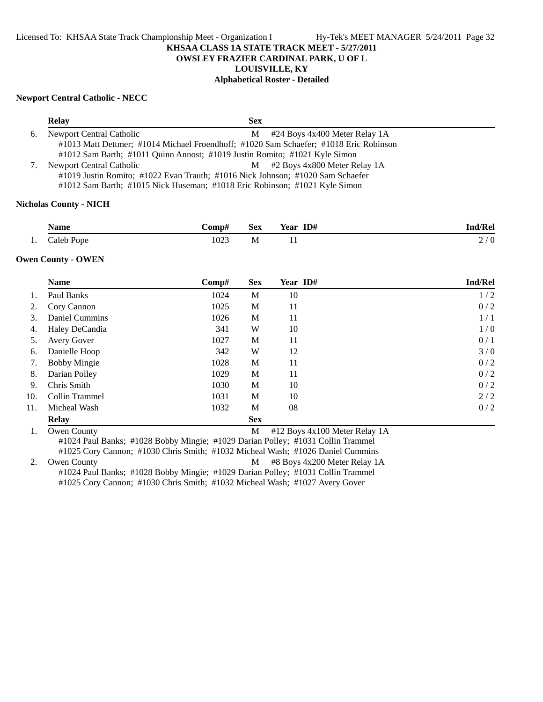**OWSLEY FRAZIER CARDINAL PARK, U OF L**

**LOUISVILLE, KY**

## **Alphabetical Roster - Detailed**

#### **Newport Central Catholic - NECC**

|    | <b>Relay</b>                                                                          | Sex |                                |  |  |  |  |
|----|---------------------------------------------------------------------------------------|-----|--------------------------------|--|--|--|--|
| 6. | Newport Central Catholic                                                              | M   | #24 Boys 4x400 Meter Relay 1A  |  |  |  |  |
|    | #1013 Matt Dettmer; #1014 Michael Froendhoff; #1020 Sam Schaefer; #1018 Eric Robinson |     |                                |  |  |  |  |
|    | #1012 Sam Barth; #1011 Quinn Annost; #1019 Justin Romito; #1021 Kyle Simon            |     |                                |  |  |  |  |
| 7. | Newport Central Catholic                                                              |     | M #2 Boys 4x800 Meter Relay 1A |  |  |  |  |
|    | #1019 Justin Romito; #1022 Evan Trauth; #1016 Nick Johnson; #1020 Sam Schaefer        |     |                                |  |  |  |  |
|    | #1012 Sam Barth; #1015 Nick Huseman; #1018 Eric Robinson; #1021 Kyle Simon            |     |                                |  |  |  |  |
|    |                                                                                       |     |                                |  |  |  |  |

## **Nicholas County - NICH**

|     | Name       | -`omp#                | <b>Sex</b> | ID#<br>$-$<br>Year | ıd/Rel<br>n             |
|-----|------------|-----------------------|------------|--------------------|-------------------------|
| . . | Caleb Pope | 1023<br>$\sim$ $\sim$ | M          |                    | $\Omega$<br>$\sim$<br>∠ |

#### **Owen County - OWEN**

|     | <b>Name</b>         | Comp# | <b>Sex</b> | Year ID# | <b>Ind/Rel</b> |
|-----|---------------------|-------|------------|----------|----------------|
|     | Paul Banks          | 1024  | M          | 10       | 1/2            |
| 2.  | Cory Cannon         | 1025  | M          | 11       | 0/2            |
| 3.  | Daniel Cummins      | 1026  | M          | 11       | 1/1            |
| 4.  | Haley DeCandia      | 341   | W          | 10       | 1/0            |
| 5.  | <b>Avery Gover</b>  | 1027  | M          | 11       | 0/1            |
| 6.  | Danielle Hoop       | 342   | W          | 12       | 3/0            |
| 7.  | <b>Bobby Mingie</b> | 1028  | M          | 11       | 0/2            |
| 8.  | Darian Polley       | 1029  | M          | 11       | 0/2            |
| 9.  | Chris Smith         | 1030  | M          | 10       | 0/2            |
| 10. | Collin Trammel      | 1031  | M          | 10       | 2/2            |
| 11. | Micheal Wash        | 1032  | M          | 08       | 0/2            |
|     | <b>Relay</b>        |       | <b>Sex</b> |          |                |

1. Owen County M #12 Boys 4x100 Meter Relay 1A #1024 Paul Banks; #1028 Bobby Mingie; #1029 Darian Polley; #1031 Collin Trammel #1025 Cory Cannon; #1030 Chris Smith; #1032 Micheal Wash; #1026 Daniel Cummins

2. Owen County **M** #8 Boys 4x200 Meter Relay 1A #1024 Paul Banks; #1028 Bobby Mingie; #1029 Darian Polley; #1031 Collin Trammel #1025 Cory Cannon; #1030 Chris Smith; #1032 Micheal Wash; #1027 Avery Gover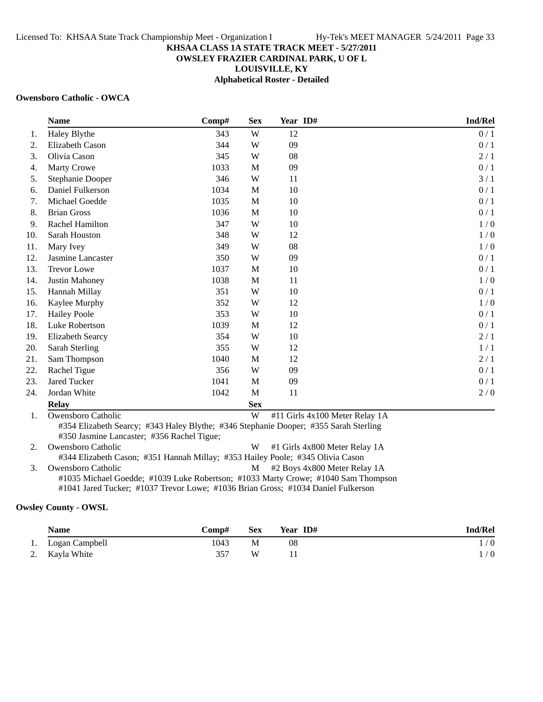## **OWSLEY FRAZIER CARDINAL PARK, U OF L**

**LOUISVILLE, KY**

**Alphabetical Roster - Detailed**

#### **Owensboro Catholic - OWCA**

|     | <b>Name</b>             | Comp# | <b>Sex</b>  | Year ID# | Ind/Rel |
|-----|-------------------------|-------|-------------|----------|---------|
| 1.  | Haley Blythe            | 343   | W           | 12       | 0/1     |
| 2.  | Elizabeth Cason         | 344   | W           | 09       | 0/1     |
| 3.  | Olivia Cason            | 345   | W           | 08       | 2/1     |
| 4.  | <b>Marty Crowe</b>      | 1033  | M           | 09       | 0/1     |
| 5.  | Stephanie Dooper        | 346   | W           | 11       | 3/1     |
| 6.  | Daniel Fulkerson        | 1034  | M           | 10       | 0/1     |
| 7.  | Michael Goedde          | 1035  | M           | 10       | 0/1     |
| 8.  | <b>Brian Gross</b>      | 1036  | $\mathbf M$ | 10       | 0/1     |
| 9.  | Rachel Hamilton         | 347   | W           | 10       | 1/0     |
| 10. | Sarah Houston           | 348   | W           | 12       | 1/0     |
| 11. | Mary Ivey               | 349   | W           | 08       | 1/0     |
| 12. | Jasmine Lancaster       | 350   | W           | 09       | 0/1     |
| 13. | <b>Trevor Lowe</b>      | 1037  | M           | 10       | 0/1     |
| 14. | Justin Mahoney          | 1038  | M           | 11       | 1/0     |
| 15. | Hannah Millay           | 351   | W           | 10       | 0/1     |
| 16. | Kaylee Murphy           | 352   | W           | 12       | 1/0     |
| 17. | <b>Hailey Poole</b>     | 353   | W           | 10       | 0/1     |
| 18. | Luke Robertson          | 1039  | M           | 12       | 0/1     |
| 19. | <b>Elizabeth Searcy</b> | 354   | W           | 10       | 2/1     |
| 20. | Sarah Sterling          | 355   | W           | 12       | 1/1     |
| 21. | Sam Thompson            | 1040  | M           | 12       | 2/1     |
| 22. | Rachel Tigue            | 356   | W           | 09       | 0/1     |
| 23. | Jared Tucker            | 1041  | M           | 09       | 0/1     |
| 24. | Jordan White            | 1042  | M           | 11       | 2/0     |
|     | <b>Relay</b>            |       | <b>Sex</b>  |          |         |

1. Owensboro Catholic W #11 Girls 4x100 Meter Relay 1A #354 Elizabeth Searcy; #343 Haley Blythe; #346 Stephanie Dooper; #355 Sarah Sterling #350 Jasmine Lancaster; #356 Rachel Tigue;

2. Owensboro Catholic W #1 Girls 4x800 Meter Relay 1A #344 Elizabeth Cason; #351 Hannah Millay; #353 Hailey Poole; #345 Olivia Cason 3. Owensboro Catholic M #2 Boys 4x800 Meter Relay 1A #1035 Michael Goedde; #1039 Luke Robertson; #1033 Marty Crowe; #1040 Sam Thompson

#1041 Jared Tucker; #1037 Trevor Lowe; #1036 Brian Gross; #1034 Daniel Fulkerson

## **Owsley County - OWSL**

| <b>Name</b>       | Comp# | <b>Sex</b> | Year ID# | <b>Ind/Rel</b> |
|-------------------|-------|------------|----------|----------------|
| 1. Logan Campbell | 1043  | М          | 08       | 1/0            |
| 2. Kayla White    | 357   | W          |          | / 0            |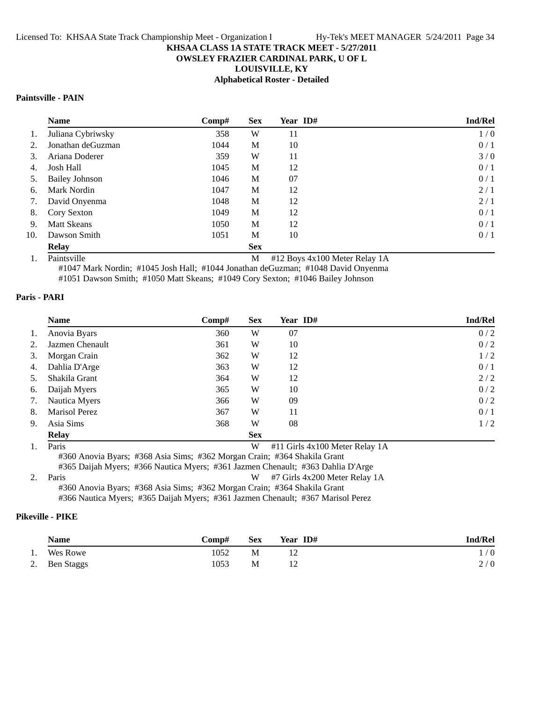## **OWSLEY FRAZIER CARDINAL PARK, U OF L**

**LOUISVILLE, KY**

## **Alphabetical Roster - Detailed**

# **Paintsville - PAIN**

|     | <b>Name</b>           | $\bf Comp#$ | <b>Sex</b> | Year ID# | <b>Ind/Rel</b> |
|-----|-----------------------|-------------|------------|----------|----------------|
| 1.  | Juliana Cybriwsky     | 358         | W          | 11       | 1/0            |
| 2.  | Jonathan deGuzman     | 1044        | M          | 10       | 0/1            |
| 3.  | Ariana Doderer        | 359         | W          | 11       | 3/0            |
| 4.  | Josh Hall             | 1045        | M          | 12       | 0/1            |
| 5.  | <b>Bailey Johnson</b> | 1046        | М          | 07       | 0/1            |
| 6.  | Mark Nordin           | 1047        | M          | 12       | 2/1            |
| 7.  | David Onyenma         | 1048        | M          | 12       | 2/1            |
| 8.  | Cory Sexton           | 1049        | M          | 12       | 0/1            |
| 9.  | <b>Matt Skeans</b>    | 1050        | M          | 12       | 0/1            |
| 10. | Dawson Smith          | 1051        | M          | 10       | 0/1            |
|     | <b>Relay</b>          |             | <b>Sex</b> |          |                |

1. Paintsville M #12 Boys 4x100 Meter Relay 1A

#1047 Mark Nordin; #1045 Josh Hall; #1044 Jonathan deGuzman; #1048 David Onyenma #1051 Dawson Smith; #1050 Matt Skeans; #1049 Cory Sexton; #1046 Bailey Johnson

#### **Paris - PARI**

|    | <b>Name</b>          | Comp# | <b>Sex</b> | Year ID# | <b>Ind/Rel</b> |
|----|----------------------|-------|------------|----------|----------------|
| 1. | Anovia Byars         | 360   | W          | 07       | 0/2            |
| 2. | Jazmen Chenault      | 361   | W          | 10       | 0/2            |
| 3. | Morgan Crain         | 362   | W          | 12       | 1/2            |
| 4. | Dahlia D'Arge        | 363   | W          | 12       | 0/1            |
| 5. | Shakila Grant        | 364   | W          | 12       | 2/2            |
| 6. | Daijah Myers         | 365   | W          | 10       | 0/2            |
| 7. | Nautica Myers        | 366   | W          | 09       | 0/2            |
| 8. | <b>Marisol Perez</b> | 367   | W          | 11       | 0/1            |
| 9. | Asia Sims            | 368   | W          | 08       | 1/2            |
|    | <b>Relay</b>         |       | <b>Sex</b> |          |                |

1. Paris 2012 1. Paris 2013 1. Paris 4x100 Meter Relay 1A #360 Anovia Byars; #368 Asia Sims; #362 Morgan Crain; #364 Shakila Grant

#365 Daijah Myers; #366 Nautica Myers; #361 Jazmen Chenault; #363 Dahlia D'Arge 2. Paris 200 Meter Relay 1A #360 Anovia Byars; #368 Asia Sims; #362 Morgan Crain; #364 Shakila Grant

#366 Nautica Myers; #365 Daijah Myers; #361 Jazmen Chenault; #367 Marisol Perez

## **Pikeville - PIKE**

|    | <b>Name</b>   | Comp# | <b>Sex</b> | Year ID# | <b>Ind/Rel</b> |
|----|---------------|-------|------------|----------|----------------|
| 1. | Wes Rowe      | 1052  | М          |          | /0             |
|    | 2. Ben Staggs | 1053  | М          |          | 2/0            |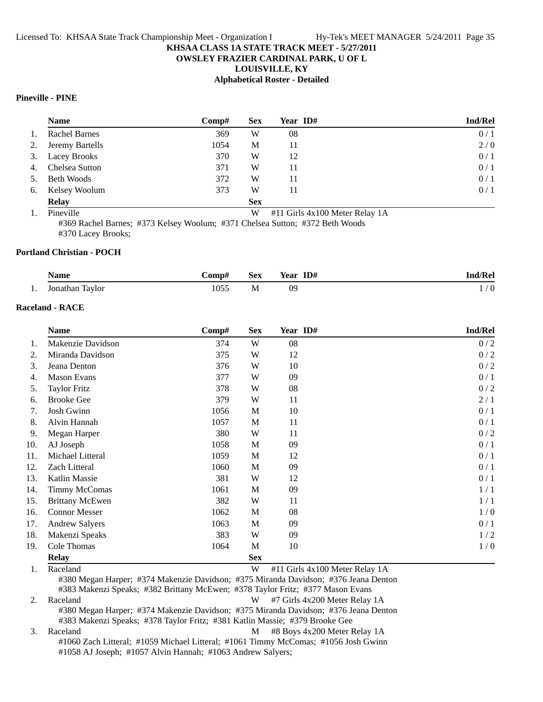# **OWSLEY FRAZIER CARDINAL PARK, U OF L**

**LOUISVILLE, KY**

#### **Alphabetical Roster - Detailed**

## **Pineville - PINE**

|    | <b>Name</b>          | Comp# | <b>Sex</b> | Year ID# | <b>Ind/Rel</b> |
|----|----------------------|-------|------------|----------|----------------|
| 1. | <b>Rachel Barnes</b> | 369   | W          | 08       | 0/1            |
| 2. | Jeremy Bartells      | 1054  | M          | 11       | 2/0            |
| 3. | <b>Lacey Brooks</b>  | 370   | W          | 12       | 0/1            |
| 4. | Chelsea Sutton       | 371   | W          | 11       | 0/1            |
| 5. | <b>Beth Woods</b>    | 372   | W          | 11       | 0/1            |
| 6. | Kelsey Woolum        | 373   | W          | 11       | 0/1            |
|    | <b>Relay</b>         |       | <b>Sex</b> |          |                |

1. #11 Girls 4x100 Meter Rela Pineville W y 1A

#369 Rachel Barnes; #373 Kelsey Woolum; #371 Chelsea Sutton; #372 Beth Woods

#370 Lacey Brooks;

## **Portland Christian - POCH**

|     | <b>Name</b>     | ->omp# | Sex | ID#<br>Year | Ind/Rel  |
|-----|-----------------|--------|-----|-------------|----------|
| . . | Jonathan Taylor | 055ء   | M   | 09          | $\theta$ |

# **Raceland - RACE**

|     | <b>Name</b>            | Comp# | <b>Sex</b> | Year ID# | <b>Ind/Rel</b> |
|-----|------------------------|-------|------------|----------|----------------|
| 1.  | Makenzie Davidson      | 374   | W          | 08       | 0/2            |
| 2.  | Miranda Davidson       | 375   | W          | 12       | 0/2            |
| 3.  | Jeana Denton           | 376   | W          | 10       | 0/2            |
| 4.  | <b>Mason Evans</b>     | 377   | W          | 09       | 0/1            |
| 5.  | <b>Taylor Fritz</b>    | 378   | W          | 08       | 0/2            |
| 6.  | <b>Brooke Gee</b>      | 379   | W          | 11       | 2/1            |
| 7.  | Josh Gwinn             | 1056  | M          | 10       | 0/1            |
| 8.  | Alvin Hannah           | 1057  | M          | 11       | 0/1            |
| 9.  | Megan Harper           | 380   | W          | 11       | 0/2            |
| 10. | AJ Joseph              | 1058  | M          | 09       | 0/1            |
| 11. | Michael Litteral       | 1059  | M          | 12       | 0/1            |
| 12. | Zach Litteral          | 1060  | M          | 09       | 0/1            |
| 13. | Katlin Massie          | 381   | W          | 12       | 0/1            |
| 14. | <b>Timmy McComas</b>   | 1061  | M          | 09       | 1/1            |
| 15. | <b>Brittany McEwen</b> | 382   | W          | 11       | 1/1            |
| 16. | <b>Connor Messer</b>   | 1062  | M          | 08       | 1/0            |
| 17. | <b>Andrew Salyers</b>  | 1063  | M          | 09       | 0/1            |
| 18. | Makenzi Speaks         | 383   | W          | 09       | 1/2            |
| 19. | Cole Thomas            | 1064  | M          | 10       | 1/0            |
|     | <b>Relay</b>           |       | <b>Sex</b> |          |                |

1. Raceland W #11 Girls 4x100 Meter Relay 1A

#380 Megan Harper; #374 Makenzie Davidson; #375 Miranda Davidson; #376 Jeana Denton #383 Makenzi Speaks; #382 Brittany McEwen; #378 Taylor Fritz; #377 Mason Evans 2. Raceland W #7 Girls 4x200 Meter Relay 1A

#380 Megan Harper; #374 Makenzie Davidson; #375 Miranda Davidson; #376 Jeana Denton #383 Makenzi Speaks; #378 Taylor Fritz; #381 Katlin Massie; #379 Brooke Gee

3. Raceland M #8 Boys 4x200 Meter Relay 1A #1060 Zach Litteral; #1059 Michael Litteral; #1061 Timmy McComas; #1056 Josh Gwinn #1058 AJ Joseph; #1057 Alvin Hannah; #1063 Andrew Salyers;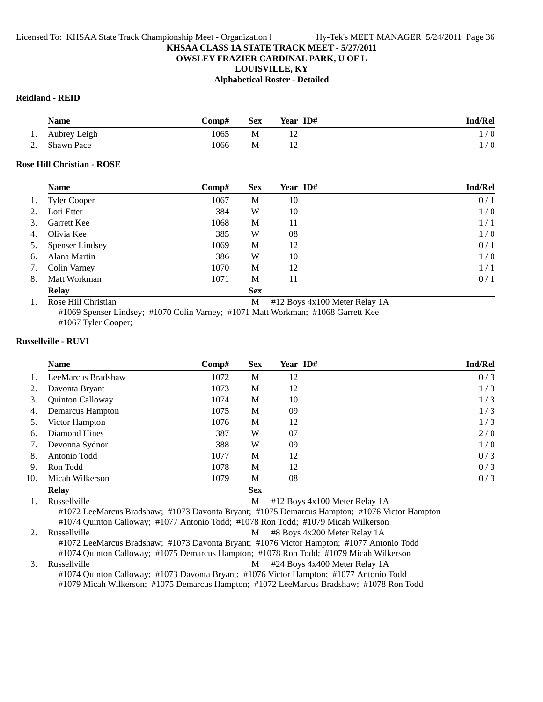## **OWSLEY FRAZIER CARDINAL PARK, U OF L**

**LOUISVILLE, KY**

#### **Alphabetical Roster - Detailed**

#### **Reidland - REID**

| Name            | Comp# | <b>Sex</b> | Year ID# | <b>Ind/Rel</b> |
|-----------------|-------|------------|----------|----------------|
| 1. Aubrey Leigh | 1065  | М          |          | 1/0            |
| 2. Shawn Pace   | 1066  | М          |          | $\sqrt{0}$     |

## **Rose Hill Christian - ROSE**

|    | <b>Name</b>            | Comp# | <b>Sex</b> | Year ID# | <b>Ind/Rel</b> |
|----|------------------------|-------|------------|----------|----------------|
| 1. | <b>Tyler Cooper</b>    | 1067  | М          | 10       | 0/1            |
| 2. | Lori Etter             | 384   | W          | 10       | 1/0            |
| 3. | Garrett Kee            | 1068  | M          | 11       | 1/1            |
| 4. | Olivia Kee             | 385   | W          | 08       | 1/0            |
| 5. | <b>Spenser Lindsey</b> | 1069  | M          | 12       | 0/1            |
| 6. | Alana Martin           | 386   | W          | 10       | 1/0            |
| 7. | Colin Varney           | 1070  | M          | 12       | 1/1            |
| 8. | Matt Workman           | 1071  | М          | 11       | 0/1            |
|    | <b>Relay</b>           |       | <b>Sex</b> |          |                |

1. Rose Hill Christian M #12 Boys 4x100 Meter Relay 1A

#1069 Spenser Lindsey; #1070 Colin Varney; #1071 Matt Workman; #1068 Garrett Kee #1067 Tyler Cooper;

## **Russellville - RUVI**

|               | <b>Name</b>             | Comp# | <b>Sex</b>   | Year ID#                                                                 | <b>Ind/Rel</b> |
|---------------|-------------------------|-------|--------------|--------------------------------------------------------------------------|----------------|
|               | LeeMarcus Bradshaw      | 1072  | М            | 12                                                                       | 0/3            |
|               | Davonta Bryant          | 1073  | М            | 12                                                                       | 1/3            |
| 3.            | <b>Quinton Calloway</b> | 1074  | M            | 10                                                                       | 1/3            |
| 4.            | Demarcus Hampton        | 1075  | M            | 09                                                                       | 1/3            |
| 5.            | Victor Hampton          | 1076  | M            | 12                                                                       | 1/3            |
| 6.            | Diamond Hines           | 387   | W            | 07                                                                       | 2/0            |
| 7.            | Devonna Sydnor          | 388   | W            | 09                                                                       | 1/0            |
| 8.            | Antonio Todd            | 1077  | M            | 12                                                                       | 0/3            |
| 9.            | Ron Todd                | 1078  | M            | 12                                                                       | 0/3            |
| 10.           | Micah Wilkerson         | 1079  | M            | 08                                                                       | 0/3            |
|               | <b>Relay</b>            |       | <b>Sex</b>   |                                                                          |                |
| $\sim$ $\sim$ | .<br>$\mathbf{r}$       |       | $\mathbf{r}$ | $\mathbf{u}$ and $\mathbf{v}$<br>$1.100 \text{ K}$ $\overline{D}$ $1.11$ |                |

1. Russellville M ys 4x100 Meter Relay 1A #1072 LeeMarcus Bradshaw; #1073 Davonta Bryant; #1075 Demarcus Hampton; #1076 Victor Hampton #1074 Quinton Calloway; #1077 Antonio Todd; #1078 Ron Todd; #1079 Micah Wilkerson

2. Russellville **M** #8 Boys 4x200 Meter Relay 1A #1072 LeeMarcus Bradshaw; #1073 Davonta Bryant; #1076 Victor Hampton; #1077 Antonio Todd #1074 Quinton Calloway; #1075 Demarcus Hampton; #1078 Ron Todd; #1079 Micah Wilkerson

3. Russellville **M** #24 Boys 4x400 Meter Relay 1A #1074 Quinton Calloway; #1073 Davonta Bryant; #1076 Victor Hampton; #1077 Antonio Todd #1079 Micah Wilkerson; #1075 Demarcus Hampton; #1072 LeeMarcus Bradshaw; #1078 Ron Todd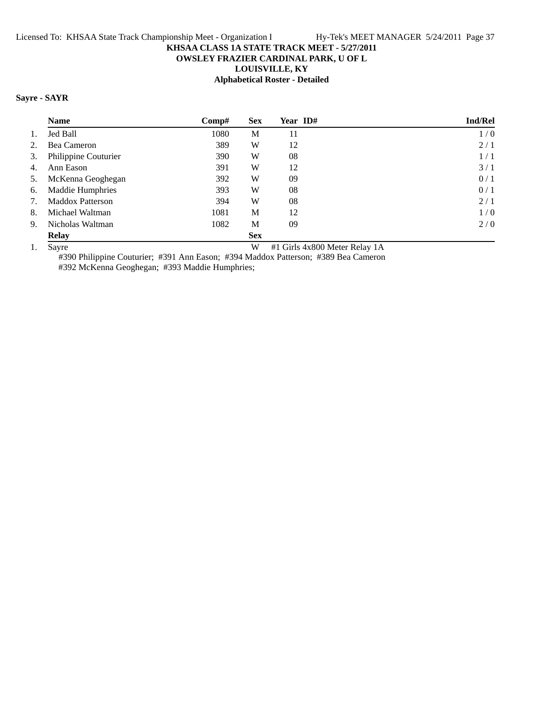# **OWSLEY FRAZIER CARDINAL PARK, U OF L**

**LOUISVILLE, KY**

# **Alphabetical Roster - Detailed**

# **Sayre - SAYR**

|    | <b>Name</b>             | Comp# | <b>Sex</b> | Year ID# | Ind/Rel |
|----|-------------------------|-------|------------|----------|---------|
| 1. | Jed Ball                | 1080  | М          | 11       | 1/0     |
| 2. | Bea Cameron             | 389   | W          | 12       | 2/1     |
| 3. | Philippine Couturier    | 390   | W          | 08       | 1/1     |
| 4. | Ann Eason               | 391   | W          | 12       | 3/1     |
| 5. | McKenna Geoghegan       | 392   | W          | 09       | 0/1     |
| 6. | <b>Maddie Humphries</b> | 393   | W          | 08       | 0/1     |
| 7. | <b>Maddox Patterson</b> | 394   | W          | 08       | 2/1     |
| 8. | Michael Waltman         | 1081  | M          | 12       | 1/0     |
| 9. | Nicholas Waltman        | 1082  | M          | 09       | 2/0     |
|    | <b>Relay</b>            |       | <b>Sex</b> |          |         |

1. Sayre W #1 Girls 4x800 Meter Relay 1A

#390 Philippine Couturier; #391 Ann Eason; #394 Maddox Patterson; #389 Bea Cameron #392 McKenna Geoghegan; #393 Maddie Humphries;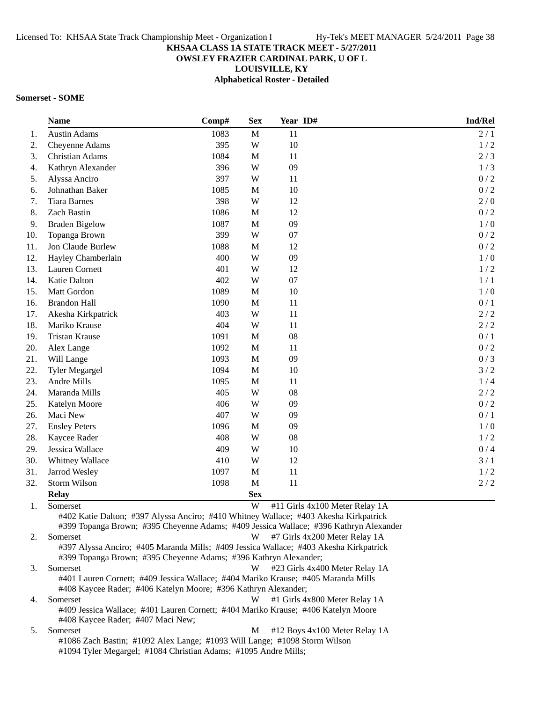## **OWSLEY FRAZIER CARDINAL PARK, U OF L**

**LOUISVILLE, KY**

**Alphabetical Roster - Detailed**

#### **Somerset - SOME**

|     | <b>Name</b>                                                                                                                                                                                                 | Comp# | <b>Sex</b>  | Year ID# | Ind/Rel                        |
|-----|-------------------------------------------------------------------------------------------------------------------------------------------------------------------------------------------------------------|-------|-------------|----------|--------------------------------|
| 1.  | <b>Austin Adams</b>                                                                                                                                                                                         | 1083  | M           | 11       | 2/1                            |
| 2.  | Cheyenne Adams                                                                                                                                                                                              | 395   | W           | 10       | 1/2                            |
| 3.  | <b>Christian Adams</b>                                                                                                                                                                                      | 1084  | $\mathbf M$ | 11       | 2/3                            |
| 4.  | Kathryn Alexander                                                                                                                                                                                           | 396   | W           | 09       | 1/3                            |
| 5.  | Alyssa Anciro                                                                                                                                                                                               | 397   | W           | 11       | 0/2                            |
| 6.  | Johnathan Baker                                                                                                                                                                                             | 1085  | $\mathbf M$ | 10       | 0/2                            |
| 7.  | <b>Tiara Barnes</b>                                                                                                                                                                                         | 398   | W           | 12       | 2/0                            |
| 8.  | <b>Zach Bastin</b>                                                                                                                                                                                          | 1086  | $\mathbf M$ | 12       | 0/2                            |
| 9.  | <b>Braden Bigelow</b>                                                                                                                                                                                       | 1087  | $\mathbf M$ | 09       | 1/0                            |
| 10. | Topanga Brown                                                                                                                                                                                               | 399   | W           | 07       | 0/2                            |
| 11. | Jon Claude Burlew                                                                                                                                                                                           | 1088  | M           | 12       | 0/2                            |
| 12. | Hayley Chamberlain                                                                                                                                                                                          | 400   | W           | 09       | 1/0                            |
| 13. | Lauren Cornett                                                                                                                                                                                              | 401   | W           | 12       | 1/2                            |
| 14. | Katie Dalton                                                                                                                                                                                                | 402   | W           | 07       | 1/1                            |
| 15. | Matt Gordon                                                                                                                                                                                                 | 1089  | M           | 10       | 1/0                            |
| 16. | <b>Brandon Hall</b>                                                                                                                                                                                         | 1090  | $\mathbf M$ | 11       | 0/1                            |
| 17. | Akesha Kirkpatrick                                                                                                                                                                                          | 403   | W           | 11       | 2/2                            |
| 18. | Mariko Krause                                                                                                                                                                                               | 404   | W           | 11       | $2/2$                          |
| 19. | <b>Tristan Krause</b>                                                                                                                                                                                       | 1091  | M           | 08       | 0/1                            |
| 20. | Alex Lange                                                                                                                                                                                                  | 1092  | $\mathbf M$ | 11       | 0/2                            |
| 21. | Will Lange                                                                                                                                                                                                  | 1093  | $\mathbf M$ | 09       | 0/3                            |
| 22. | <b>Tyler Megargel</b>                                                                                                                                                                                       | 1094  | $\mathbf M$ | 10       | 3/2                            |
| 23. | Andre Mills                                                                                                                                                                                                 | 1095  | $\mathbf M$ | 11       | 1/4                            |
| 24. | Maranda Mills                                                                                                                                                                                               | 405   | W           | 08       | 2/2                            |
| 25. | Katelyn Moore                                                                                                                                                                                               | 406   | W           | 09       | 0/2                            |
| 26. | Maci New                                                                                                                                                                                                    | 407   | W           | 09       | 0/1                            |
| 27. | <b>Ensley Peters</b>                                                                                                                                                                                        | 1096  | M           | 09       | 1/0                            |
| 28. | Kaycee Rader                                                                                                                                                                                                | 408   | W           | 08       | 1/2                            |
| 29. | Jessica Wallace                                                                                                                                                                                             | 409   | W           | 10       | 0/4                            |
| 30. | Whitney Wallace                                                                                                                                                                                             | 410   | W           | 12       | 3/1                            |
| 31. | Jarrod Wesley                                                                                                                                                                                               | 1097  | $\mathbf M$ | 11       | 1/2                            |
| 32. | Storm Wilson                                                                                                                                                                                                | 1098  | M           | 11       | 2/2                            |
|     | <b>Relay</b>                                                                                                                                                                                                |       | <b>Sex</b>  |          |                                |
| 1.  | Somerset<br>#402 Katie Dalton; #397 Alyssa Anciro; #410 Whitney Wallace; #403 Akesha Kirkpatrick<br>#399 Topanga Brown; #395 Cheyenne Adams; #409 Jessica Wallace; #396 Kathryn Alexander                   |       | W           |          | #11 Girls 4x100 Meter Relay 1A |
| 2.  | Somerset<br>#7 Girls 4x200 Meter Relay 1A<br>W<br>#397 Alyssa Anciro; #405 Maranda Mills; #409 Jessica Wallace; #403 Akesha Kirkpatrick<br>#399 Topanga Brown; #395 Cheyenne Adams; #396 Kathryn Alexander; |       |             |          |                                |
| 3.  | Somerset                                                                                                                                                                                                    |       | W           |          | #23 Girls 4x400 Meter Relay 1A |

#401 Lauren Cornett; #409 Jessica Wallace; #404 Mariko Krause; #405 Maranda Mills #408 Kaycee Rader; #406 Katelyn Moore; #396 Kathryn Alexander;

4. Somerset W #1 Girls 4x800 Meter Relay 1A #409 Jessica Wallace; #401 Lauren Cornett; #404 Mariko Krause; #406 Katelyn Moore #408 Kaycee Rader; #407 Maci New;

5. Somerset M #12 Boys 4x100 Meter Relay 1A #1086 Zach Bastin; #1092 Alex Lange; #1093 Will Lange; #1098 Storm Wilson #1094 Tyler Megargel; #1084 Christian Adams; #1095 Andre Mills;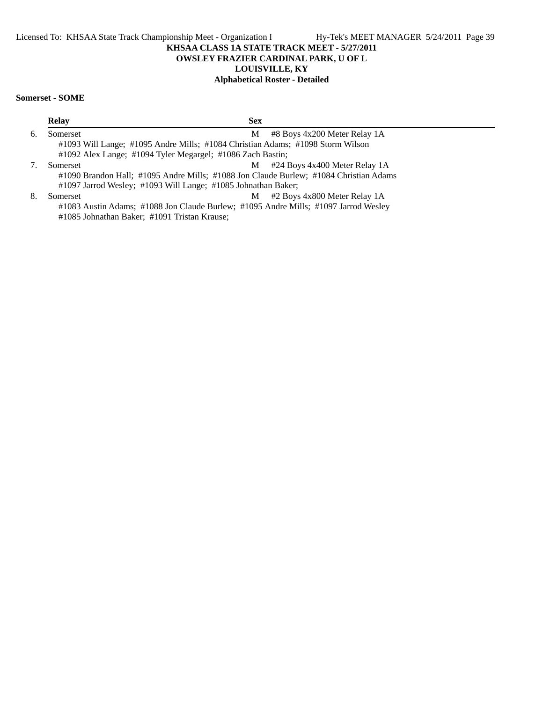# **OWSLEY FRAZIER CARDINAL PARK, U OF L**

## **LOUISVILLE, KY**

# **Alphabetical Roster - Detailed**

# **Somerset - SOME**

|    | <b>Relay</b> | <b>Sex</b>                                                                            |                                   |
|----|--------------|---------------------------------------------------------------------------------------|-----------------------------------|
| 6. | Somerset     | M                                                                                     | #8 Boys 4x200 Meter Relay 1A      |
|    |              | #1093 Will Lange; #1095 Andre Mills; #1084 Christian Adams; #1098 Storm Wilson        |                                   |
|    |              | #1092 Alex Lange; #1094 Tyler Megargel; #1086 Zach Bastin;                            |                                   |
| 7. | Somerset     |                                                                                       | $M$ #24 Boys 4x400 Meter Relay 1A |
|    |              | #1090 Brandon Hall; #1095 Andre Mills; #1088 Jon Claude Burlew; #1084 Christian Adams |                                   |
|    |              | #1097 Jarrod Wesley; #1093 Will Lange; #1085 Johnathan Baker;                         |                                   |
| 8. | Somerset     | M                                                                                     | #2 Boys 4x800 Meter Relay 1A      |
|    |              | #1083 Austin Adams; #1088 Jon Claude Burlew; #1095 Andre Mills; #1097 Jarrod Wesley   |                                   |
|    |              | #1085 Johnathan Baker; #1091 Tristan Krause;                                          |                                   |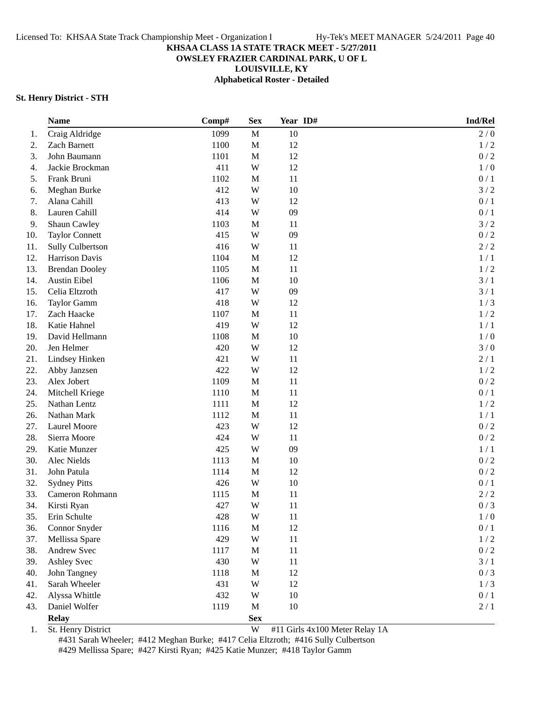**OWSLEY FRAZIER CARDINAL PARK, U OF L**

**LOUISVILLE, KY**

**Alphabetical Roster - Detailed**

#### **St. Henry District - STH**

|     | <b>Name</b>           | Comp# | <b>Sex</b>  | Year ID# | Ind/Rel         |
|-----|-----------------------|-------|-------------|----------|-----------------|
| 1.  | Craig Aldridge        | 1099  | $\mathbf M$ | 10       | 2/0             |
| 2.  | Zach Barnett          | 1100  | $\mathbf M$ | 12       | 1/2             |
| 3.  | John Baumann          | 1101  | $\mathbf M$ | 12       | 0/2             |
| 4.  | Jackie Brockman       | 411   | W           | 12       | 1/0             |
| 5.  | Frank Bruni           | 1102  | $\mathbf M$ | 11       | 0/1             |
| 6.  | Meghan Burke          | 412   | W           | $10\,$   | 3/2             |
| 7.  | Alana Cahill          | 413   | W           | 12       | 0/1             |
| 8.  | Lauren Cahill         | 414   | W           | 09       | 0/1             |
| 9.  | Shaun Cawley          | 1103  | $\mathbf M$ | 11       | 3/2             |
| 10. | <b>Taylor Connett</b> | 415   | W           | 09       | 0/2             |
| 11. | Sully Culbertson      | 416   | W           | 11       | 2/2             |
| 12. | Harrison Davis        | 1104  | $\mathbf M$ | 12       | 1/1             |
| 13. | <b>Brendan Dooley</b> | 1105  | $\mathbf M$ | 11       | 1/2             |
| 14. | Austin Eibel          | 1106  | $\mathbf M$ | 10       | 3/1             |
| 15. | Celia Eltzroth        | 417   | W           | 09       | 3/1             |
| 16. | Taylor Gamm           | 418   | W           | 12       | 1/3             |
| 17. | Zach Haacke           | 1107  | $\mathbf M$ | 11       | 1/2             |
| 18. | Katie Hahnel          | 419   | W           | 12       | 1/1             |
| 19. | David Hellmann        | 1108  | $\mathbf M$ | 10       | 1/0             |
| 20. | Jen Helmer            | 420   | W           | 12       | 3/0             |
| 21. | Lindsey Hinken        | 421   | W           | 11       | 2/1             |
| 22. | Abby Janzsen          | 422   | W           | 12       | 1/2             |
| 23. | Alex Jobert           | 1109  | $\mathbf M$ | 11       | 0/2             |
| 24. | Mitchell Kriege       | 1110  | M           | 11       | 0/1             |
| 25. | Nathan Lentz          | 1111  | $\mathbf M$ | 12       | 1/2             |
| 26. | Nathan Mark           | 1112  | $\mathbf M$ | 11       | 1/1             |
| 27. | Laurel Moore          | 423   | W           | 12       | 0/2             |
| 28. | Sierra Moore          | 424   | W           | 11       | 0/2             |
| 29. | Katie Munzer          | 425   | W           | 09       | 1/1             |
| 30. | Alec Nields           | 1113  | M           | 10       | 0/2             |
| 31. | John Patula           | 1114  | M           | 12       | 0/2             |
| 32. | <b>Sydney Pitts</b>   | 426   | W           | 10       | 0/1             |
| 33. | Cameron Rohmann       | 1115  | $\mathbf M$ | 11       | 2/2             |
| 34. | Kirsti Ryan           | 427   | W           | 11       | 0/3             |
| 35. | Erin Schulte          | 428   | W           | 11       | 1/0             |
| 36. | Connor Snyder         | 1116  | $\mathbf M$ | 12       | $0/1$           |
| 37. | Mellissa Spare        | 429   | W           | 11       | $1/2$           |
| 38. | Andrew Svec           | 1117  | $\mathbf M$ | 11       | $0\mathbin{/}2$ |
| 39. | Ashley Svec           | 430   | W           | 11       | 3/1             |
| 40. | John Tangney          | 1118  | M           | 12       | 0/3             |
| 41. | Sarah Wheeler         | 431   | W           | 12       | $1/3$           |
| 42. | Alyssa Whittle        | 432   | W           | 10       | 0/1             |
| 43. | Daniel Wolfer         | 1119  | M           | 10       | 2/1             |
|     | <b>Relay</b>          |       | <b>Sex</b>  |          |                 |

1. St. Henry District W #11 Girls 4x100 Meter Relay 1A

#431 Sarah Wheeler; #412 Meghan Burke; #417 Celia Eltzroth; #416 Sully Culbertson #429 Mellissa Spare; #427 Kirsti Ryan; #425 Katie Munzer; #418 Taylor Gamm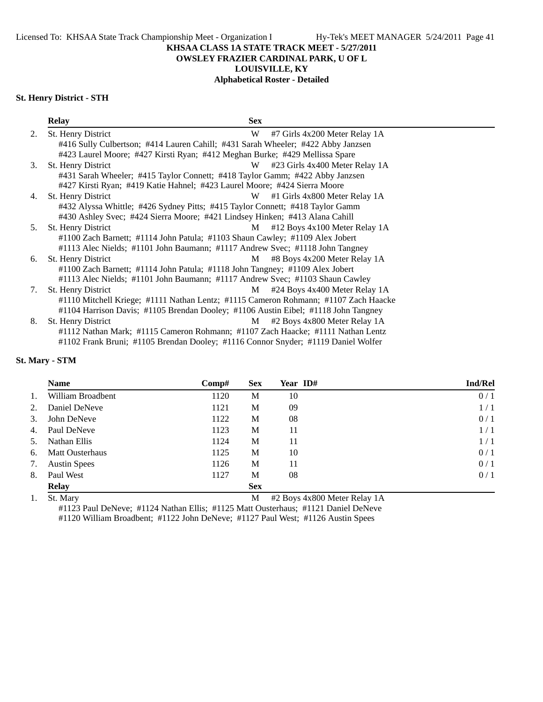**OWSLEY FRAZIER CARDINAL PARK, U OF L**

# **LOUISVILLE, KY**

## **Alphabetical Roster - Detailed**

# **St. Henry District - STH**

|    | <b>Relay</b>                                                                        | <b>Sex</b> |                                |
|----|-------------------------------------------------------------------------------------|------------|--------------------------------|
| 2. | St. Henry District                                                                  | W          | #7 Girls 4x200 Meter Relay 1A  |
|    | #416 Sully Culbertson; #414 Lauren Cahill; #431 Sarah Wheeler; #422 Abby Janzsen    |            |                                |
|    | #423 Laurel Moore; #427 Kirsti Ryan; #412 Meghan Burke; #429 Mellissa Spare         |            |                                |
| 3. | St. Henry District                                                                  | W          | #23 Girls 4x400 Meter Relay 1A |
|    | #431 Sarah Wheeler; #415 Taylor Connett; #418 Taylor Gamm; #422 Abby Janzsen        |            |                                |
|    | #427 Kirsti Ryan; #419 Katie Hahnel; #423 Laurel Moore; #424 Sierra Moore           |            |                                |
| 4. | St. Henry District                                                                  | W          | #1 Girls 4x800 Meter Relay 1A  |
|    | #432 Alyssa Whittle; #426 Sydney Pitts; #415 Taylor Connett; #418 Taylor Gamm       |            |                                |
|    | #430 Ashley Svec; #424 Sierra Moore; #421 Lindsey Hinken; #413 Alana Cahill         |            |                                |
| 5. | St. Henry District                                                                  | M          | #12 Boys 4x100 Meter Relay 1A  |
|    | #1100 Zach Barnett; #1114 John Patula; #1103 Shaun Cawley; #1109 Alex Jobert        |            |                                |
|    | #1113 Alec Nields; #1101 John Baumann; #1117 Andrew Svec; #1118 John Tangney        |            |                                |
| 6. | St. Henry District                                                                  | M          | #8 Boys 4x200 Meter Relay 1A   |
|    | #1100 Zach Barnett; #1114 John Patula; #1118 John Tangney; #1109 Alex Jobert        |            |                                |
|    | #1113 Alec Nields; #1101 John Baumann; #1117 Andrew Svec; #1103 Shaun Cawley        |            |                                |
| 7. | St. Henry District                                                                  | M          | #24 Boys 4x400 Meter Relay 1A  |
|    | #1110 Mitchell Kriege; #1111 Nathan Lentz; #1115 Cameron Rohmann; #1107 Zach Haacke |            |                                |
|    | #1104 Harrison Davis; #1105 Brendan Dooley; #1106 Austin Eibel; #1118 John Tangney  |            |                                |
| 8. | St. Henry District                                                                  | M          | #2 Boys 4x800 Meter Relay 1A   |
|    | #1112 Nathan Mark; #1115 Cameron Rohmann; #1107 Zach Haacke; #1111 Nathan Lentz     |            |                                |
|    | #1102 Frank Bruni; #1105 Brendan Dooley; #1116 Connor Snyder; #1119 Daniel Wolfer   |            |                                |

## **St. Mary - STM**

|             | <b>Name</b>            | Comp# | <b>Sex</b> | Year ID#                        | <b>Ind/Rel</b> |
|-------------|------------------------|-------|------------|---------------------------------|----------------|
| $1_{\cdot}$ | William Broadbent      | 1120  | M          | 10                              | 0/1            |
| 2.          | Daniel DeNeve          | 1121  | М          | 09                              | 1/1            |
| 3.          | John DeNeve            | 1122  | М          | 08                              | 0/1            |
| 4.          | Paul DeNeve            | 1123  | M          | 11                              | 1/1            |
| 5.          | Nathan Ellis           | 1124  | M          | 11                              | 1/1            |
| 6.          | <b>Matt Ousterhaus</b> | 1125  | M          | 10                              | 0/1            |
| 7.          | <b>Austin Spees</b>    | 1126  | M          | 11                              | 0/1            |
| 8.          | Paul West              | 1127  | M          | 08                              | 0/1            |
|             | <b>Relay</b>           |       | <b>Sex</b> |                                 |                |
|             |                        |       |            | .<br>$\cdots$ $\cdots$<br>_ _ _ |                |

1. St. Mary 2001 12 Boys 4x800 Meter Relay 1A

#1123 Paul DeNeve; #1124 Nathan Ellis; #1125 Matt Ousterhaus; #1121 Daniel DeNeve #1120 William Broadbent; #1122 John DeNeve; #1127 Paul West; #1126 Austin Spees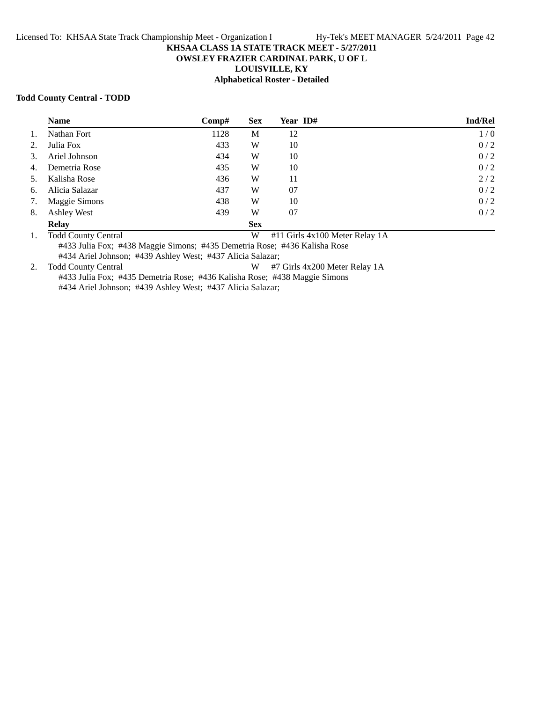# **OWSLEY FRAZIER CARDINAL PARK, U OF L**

**LOUISVILLE, KY**

# **Alphabetical Roster - Detailed**

## **Todd County Central - TODD**

|    | <b>Name</b>        | Comp# | <b>Sex</b> | Year ID# | <b>Ind/Rel</b> |
|----|--------------------|-------|------------|----------|----------------|
| 1. | Nathan Fort        | 1128  | M          | 12       | 1/0            |
| 2. | Julia Fox          | 433   | W          | 10       | 0/2            |
| 3. | Ariel Johnson      | 434   | W          | 10       | 0/2            |
| 4. | Demetria Rose      | 435   | W          | 10       | 0/2            |
| 5. | Kalisha Rose       | 436   | W          | 11       | 2/2            |
| 6. | Alicia Salazar     | 437   | W          | 07       | 0/2            |
| 7. | Maggie Simons      | 438   | W          | 10       | 0/2            |
| 8. | <b>Ashley West</b> | 439   | W          | 07       | 0/2            |
|    | <b>Relay</b>       |       | <b>Sex</b> |          |                |

1. Todd County Central W #11 Girls 4x100 Meter Relay 1A #433 Julia Fox; #438 Maggie Simons; #435 Demetria Rose; #436 Kalisha Rose

#434 Ariel Johnson; #439 Ashley West; #437 Alicia Salazar;

2. Todd County Central W #7 Girls 4x200 Meter Relay 1A #433 Julia Fox; #435 Demetria Rose; #436 Kalisha Rose; #438 Maggie Simons #434 Ariel Johnson; #439 Ashley West; #437 Alicia Salazar;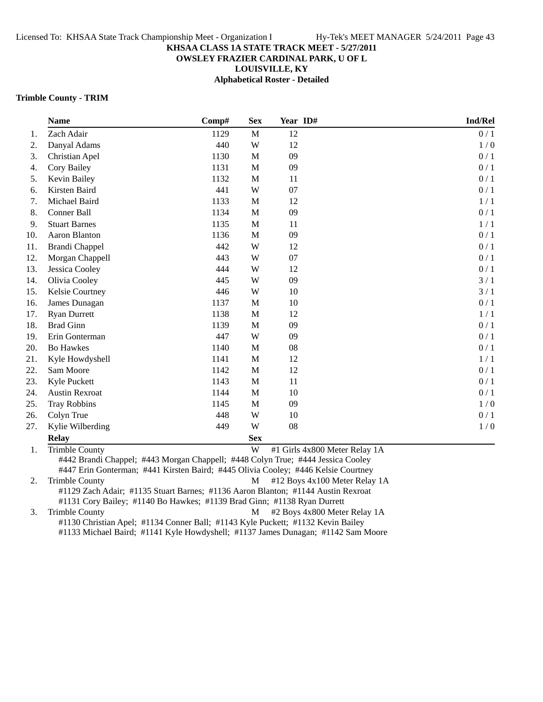## **OWSLEY FRAZIER CARDINAL PARK, U OF L**

**LOUISVILLE, KY**

**Alphabetical Roster - Detailed**

#### **Trimble County - TRIM**

|          | <b>Name</b>                       | Comp# | <b>Sex</b>   | Year ID#                                     | Ind/Rel |
|----------|-----------------------------------|-------|--------------|----------------------------------------------|---------|
| 1.       | Zach Adair                        | 1129  | M            | 12                                           | 0/1     |
| 2.       | Danyal Adams                      | 440   | W            | 12                                           | 1/0     |
| 3.       | Christian Apel                    | 1130  | $\mathbf M$  | 09                                           | 0/1     |
| 4.       | Cory Bailey                       | 1131  | $\mathbf M$  | 09                                           | 0/1     |
| 5.       | Kevin Bailey                      | 1132  | $\mathbf M$  | 11                                           | 0/1     |
| 6.       | Kirsten Baird                     | 441   | W            | 07                                           | 0/1     |
| 7.       | Michael Baird                     | 1133  | M            | 12                                           | 1/1     |
| 8.       | Conner Ball                       | 1134  | M            | 09                                           | 0/1     |
| 9.       | <b>Stuart Barnes</b>              | 1135  | $\mathbf M$  | 11                                           | 1/1     |
| 10.      | Aaron Blanton                     | 1136  | $\mathbf M$  | 09                                           | 0/1     |
| 11.      | <b>Brandi Chappel</b>             | 442   | W            | 12                                           | 0/1     |
| 12.      | Morgan Chappell                   | 443   | W            | 07                                           | 0/1     |
| 13.      | Jessica Cooley                    | 444   | W            | 12                                           | 0/1     |
| 14.      | Olivia Cooley                     | 445   | W            | 09                                           | 3/1     |
| 15.      | Kelsie Courtney                   | 446   | W            | 10                                           | 3/1     |
| 16.      | James Dunagan                     | 1137  | $\mathbf M$  | 10                                           | 0/1     |
| 17.      | <b>Ryan Durrett</b>               | 1138  | M            | 12                                           | 1/1     |
| 18.      | <b>Brad Ginn</b>                  | 1139  | M            | 09                                           | 0/1     |
| 19.      | Erin Gonterman                    | 447   | W            | 09                                           | 0/1     |
| 20.      | Bo Hawkes                         | 1140  | M            | 08                                           | 0/1     |
| 21.      | Kyle Howdyshell                   | 1141  | $\mathbf M$  | 12                                           | 1/1     |
| 22.      | Sam Moore                         | 1142  | $\mathbf M$  | 12                                           | 0/1     |
| 23.      | Kyle Puckett                      | 1143  | M            | 11                                           | 0/1     |
| 24.      | <b>Austin Rexroat</b>             | 1144  | M            | 10                                           | 0/1     |
| 25.      | <b>Tray Robbins</b>               | 1145  | M            | 09                                           | 1/0     |
| 26.      | Colyn True                        | 448   | W            | 10                                           | 0/1     |
| 27.      | Kylie Wilberding                  | 449   | W            | 08                                           | 1/0     |
|          | <b>Relay</b>                      |       | <b>Sex</b>   |                                              |         |
| $\sim$ 1 | $T_{\text{min}}$ $h$ $h$ $\Omega$ |       | $\mathbf{X}$ | $#1$ Girls $A_v$ 800 Motor Dolov $1 \Lambda$ |         |

1. Trimble County **1.** Trimble County 1. The County of the County of the County of the Music Music Music Music Music Music Music Music Music Music Music Music Music Music Music Music Music Music Music Music Music Music Mus #442 Brandi Chappel; #443 Morgan Chappell; #448 Colyn True; #444 Jessica Cooley #447 Erin Gonterman; #441 Kirsten Baird; #445 Olivia Cooley; #446 Kelsie Courtney

2. Trimble County **M**  $\#12$  Boys 4x100 Meter Relay 1A #1129 Zach Adair; #1135 Stuart Barnes; #1136 Aaron Blanton; #1144 Austin Rexroat #1131 Cory Bailey; #1140 Bo Hawkes; #1139 Brad Ginn; #1138 Ryan Durrett

3. Trimble County **M** #2 Boys 4x800 Meter Relay 1A #1130 Christian Apel; #1134 Conner Ball; #1143 Kyle Puckett; #1132 Kevin Bailey #1133 Michael Baird; #1141 Kyle Howdyshell; #1137 James Dunagan; #1142 Sam Moore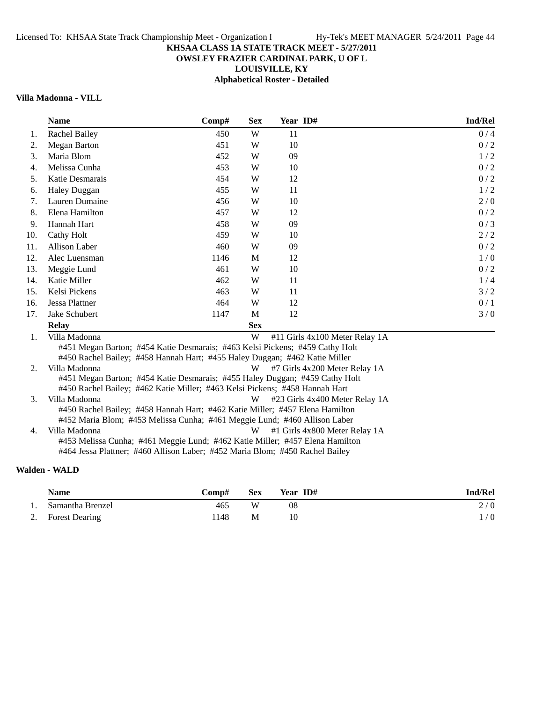# **OWSLEY FRAZIER CARDINAL PARK, U OF L**

**LOUISVILLE, KY**

**Alphabetical Roster - Detailed**

# **Villa Madonna - VILL**

|     | <b>Name</b>                                                                                                                                                                | Comp# | <b>Sex</b> | Year ID# | Ind/Rel                        |
|-----|----------------------------------------------------------------------------------------------------------------------------------------------------------------------------|-------|------------|----------|--------------------------------|
| 1.  | <b>Rachel Bailey</b>                                                                                                                                                       | 450   | W          | 11       | 0/4                            |
| 2.  | <b>Megan Barton</b>                                                                                                                                                        | 451   | W          | 10       | 0/2                            |
| 3.  | Maria Blom                                                                                                                                                                 | 452   | W          | 09       | 1/2                            |
| 4.  | Melissa Cunha                                                                                                                                                              | 453   | W          | 10       | 0/2                            |
| 5.  | Katie Desmarais                                                                                                                                                            | 454   | W          | 12       | 0/2                            |
| 6.  | <b>Haley Duggan</b>                                                                                                                                                        | 455   | W          | 11       | 1/2                            |
| 7.  | Lauren Dumaine                                                                                                                                                             | 456   | W          | 10       | 2/0                            |
| 8.  | Elena Hamilton                                                                                                                                                             | 457   | W          | 12       | 0/2                            |
| 9.  | Hannah Hart                                                                                                                                                                | 458   | W          | 09       | 0/3                            |
| 10. | Cathy Holt                                                                                                                                                                 | 459   | W          | 10       | 2/2                            |
| 11. | Allison Laber                                                                                                                                                              | 460   | W          | 09       | 0/2                            |
| 12. | Alec Luensman                                                                                                                                                              | 1146  | M          | 12       | 1/0                            |
| 13. | Meggie Lund                                                                                                                                                                | 461   | W          | 10       | 0/2                            |
| 14. | Katie Miller                                                                                                                                                               | 462   | W          | 11       | 1/4                            |
| 15. | Kelsi Pickens                                                                                                                                                              | 463   | W          | 11       | 3/2                            |
| 16. | Jessa Plattner                                                                                                                                                             | 464   | W          | 12       | 0/1                            |
| 17. | Jake Schubert                                                                                                                                                              | 1147  | M          | 12       | 3/0                            |
|     | <b>Relay</b>                                                                                                                                                               |       | <b>Sex</b> |          |                                |
| 1.  | Villa Madonna                                                                                                                                                              |       | W          |          | #11 Girls 4x100 Meter Relay 1A |
|     | #451 Megan Barton; #454 Katie Desmarais; #463 Kelsi Pickens; #459 Cathy Holt<br>#450 Rachel Bailey; #458 Hannah Hart; #455 Haley Duggan; #462 Katie Miller                 |       |            |          |                                |
| 2.  | Villa Madonna                                                                                                                                                              |       | W          |          | #7 Girls 4x200 Meter Relay 1A  |
|     | #451 Megan Barton; #454 Katie Desmarais; #455 Haley Duggan; #459 Cathy Holt<br>#450 Rachel Bailey; #462 Katie Miller; #463 Kelsi Pickens; #458 Hannah Hart                 |       |            |          |                                |
| 3.  | Villa Madonna<br>#450 Rachel Bailey; #458 Hannah Hart; #462 Katie Miller; #457 Elena Hamilton<br>#452 Maria Blom; #453 Melissa Cunha; #461 Meggie Lund; #460 Allison Laber |       | W          |          | #23 Girls 4x400 Meter Relay 1A |
| 4.  | Villa Madonna                                                                                                                                                              |       | W          |          | #1 Girls 4x800 Meter Relay 1A  |
|     | #453 Melissa Cunha; #461 Meggie Lund; #462 Katie Miller; #457 Elena Hamilton<br>#464 Jessa Plattner; #460 Allison Laber; #452 Maria Blom; #450 Rachel Bailey               |       |            |          |                                |

# **Walden - WALD**

|     | <b>Name</b>       | Comp# | <b>Sex</b> | Year ID# | Ind/Rel    |
|-----|-------------------|-------|------------|----------|------------|
| -1. | Samantha Brenzel  | 465   | W          | 08       | 2/0        |
|     | 2. Forest Dearing | .148  | M          | 10       | $\sqrt{0}$ |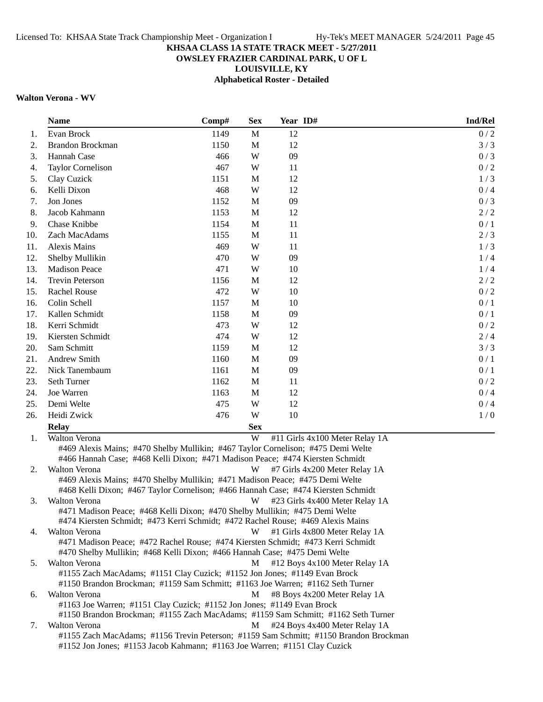# **OWSLEY FRAZIER CARDINAL PARK, U OF L**

**LOUISVILLE, KY**

**Alphabetical Roster - Detailed**

# **Walton Verona - WV**

| <b>Name</b>                                                                                                                                                 | Comp# | <b>Sex</b> | Year ID#                                                                              | Ind/Rel |
|-------------------------------------------------------------------------------------------------------------------------------------------------------------|-------|------------|---------------------------------------------------------------------------------------|---------|
| Evan Brock                                                                                                                                                  | 1149  | M          | 12                                                                                    | 0/2     |
| Brandon Brockman                                                                                                                                            | 1150  | M          | 12                                                                                    | 3/3     |
| Hannah Case                                                                                                                                                 | 466   | W          | 09                                                                                    | 0/3     |
| Taylor Cornelison                                                                                                                                           | 467   | W          | 11                                                                                    | 0/2     |
| Clay Cuzick                                                                                                                                                 | 1151  | M          | 12                                                                                    | 1/3     |
| Kelli Dixon                                                                                                                                                 | 468   | W          | 12                                                                                    | 0/4     |
| Jon Jones                                                                                                                                                   | 1152  | M          | 09                                                                                    | 0/3     |
| Jacob Kahmann                                                                                                                                               | 1153  | M          | 12                                                                                    | 2/2     |
| Chase Knibbe                                                                                                                                                | 1154  | M          | 11                                                                                    | 0/1     |
| Zach MacAdams                                                                                                                                               | 1155  | M          | 11                                                                                    | 2/3     |
| <b>Alexis Mains</b>                                                                                                                                         | 469   | W          | 11                                                                                    | 1/3     |
| Shelby Mullikin                                                                                                                                             | 470   | W          | 09                                                                                    | 1/4     |
| <b>Madison Peace</b>                                                                                                                                        | 471   | W          | 10                                                                                    | 1/4     |
| <b>Trevin Peterson</b>                                                                                                                                      | 1156  | M          | 12                                                                                    | 2/2     |
| <b>Rachel Rouse</b>                                                                                                                                         | 472   | W          | 10                                                                                    | 0/2     |
| Colin Schell                                                                                                                                                | 1157  | M          | 10                                                                                    | 0/1     |
| Kallen Schmidt                                                                                                                                              | 1158  | M          | 09                                                                                    | 0/1     |
| Kerri Schmidt                                                                                                                                               | 473   | W          | 12                                                                                    | 0/2     |
| Kiersten Schmidt                                                                                                                                            | 474   | W          | 12                                                                                    | 2/4     |
| Sam Schmitt                                                                                                                                                 | 1159  | M          | 12                                                                                    | 3/3     |
| <b>Andrew Smith</b>                                                                                                                                         | 1160  | M          | 09                                                                                    | 0/1     |
| Nick Tanembaum                                                                                                                                              | 1161  | M          | 09                                                                                    | 0/1     |
| Seth Turner                                                                                                                                                 | 1162  | M          | 11                                                                                    | 0/2     |
| Joe Warren                                                                                                                                                  | 1163  | M          | 12                                                                                    | 0/4     |
| Demi Welte                                                                                                                                                  | 475   | W          | 12                                                                                    | 0/4     |
| Heidi Zwick                                                                                                                                                 | 476   | W          | 10                                                                                    | 1/0     |
| <b>Relay</b>                                                                                                                                                |       | <b>Sex</b> |                                                                                       |         |
| <b>Walton Verona</b>                                                                                                                                        |       | W          | #11 Girls 4x100 Meter Relay 1A                                                        |         |
| #469 Alexis Mains; #470 Shelby Mullikin; #467 Taylor Cornelison; #475 Demi Welte                                                                            |       |            |                                                                                       |         |
| #466 Hannah Case; #468 Kelli Dixon; #471 Madison Peace; #474 Kiersten Schmidt                                                                               |       |            |                                                                                       |         |
| Walton Verona                                                                                                                                               |       | W          | #7 Girls 4x200 Meter Relay 1A                                                         |         |
| #469 Alexis Mains; #470 Shelby Mullikin; #471 Madison Peace; #475 Demi Welte                                                                                |       |            |                                                                                       |         |
| #468 Kelli Dixon; #467 Taylor Cornelison; #466 Hannah Case; #474 Kiersten Schmidt                                                                           |       |            |                                                                                       |         |
| Walton Verona                                                                                                                                               |       | W          | #23 Girls 4x400 Meter Relay 1A                                                        |         |
| #471 Madison Peace; #468 Kelli Dixon; #470 Shelby Mullikin; #475 Demi Welte                                                                                 |       |            |                                                                                       |         |
| #474 Kiersten Schmidt; #473 Kerri Schmidt; #472 Rachel Rouse; #469 Alexis Mains                                                                             |       |            |                                                                                       |         |
| Walton Verona                                                                                                                                               |       | W          | #1 Girls 4x800 Meter Relay 1A                                                         |         |
| #471 Madison Peace; #472 Rachel Rouse; #474 Kiersten Schmidt; #473 Kerri Schmidt                                                                            |       |            |                                                                                       |         |
| #470 Shelby Mullikin; #468 Kelli Dixon; #466 Hannah Case; #475 Demi Welte                                                                                   |       |            |                                                                                       |         |
| Walton Verona                                                                                                                                               |       | M          | #12 Boys 4x100 Meter Relay 1A                                                         |         |
| #1155 Zach MacAdams; #1151 Clay Cuzick; #1152 Jon Jones; #1149 Evan Brock<br>#1150 Brandon Brockman; #1159 Sam Schmitt; #1163 Joe Warren; #1162 Seth Turner |       |            |                                                                                       |         |
| Walton Verona                                                                                                                                               |       | M          | #8 Boys 4x200 Meter Relay 1A                                                          |         |
| #1163 Joe Warren; #1151 Clay Cuzick; #1152 Jon Jones; #1149 Evan Brock                                                                                      |       |            |                                                                                       |         |
|                                                                                                                                                             |       |            | #1150 Brandon Brockman; #1155 Zach MacAdams; #1159 Sam Schmitt; #1162 Seth Turner     |         |
| Walton Verona                                                                                                                                               |       | M          | #24 Boys 4x400 Meter Relay 1A                                                         |         |
|                                                                                                                                                             |       |            | #1155 Zach MacAdams; #1156 Trevin Peterson; #1159 Sam Schmitt; #1150 Brandon Brockman |         |
| #1152 Jon Jones; #1153 Jacob Kahmann; #1163 Joe Warren; #1151 Clay Cuzick                                                                                   |       |            |                                                                                       |         |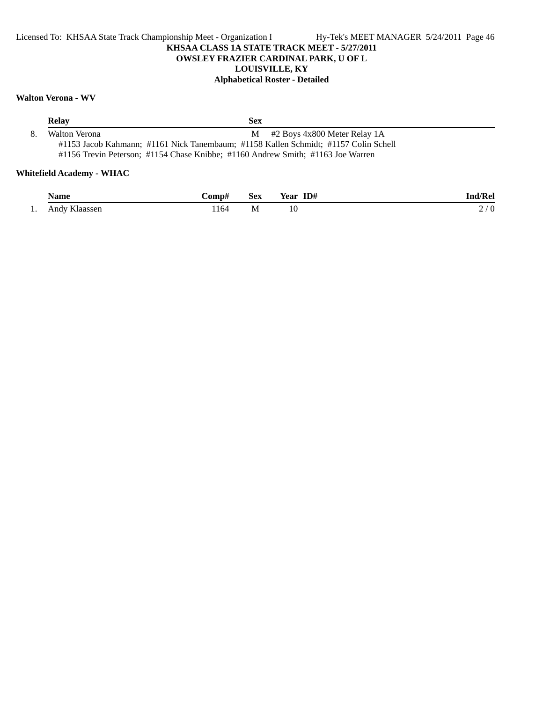# **Walton Verona - WV**

| <b>Relay</b>  | <b>Sex</b>                                                                                                              |  |
|---------------|-------------------------------------------------------------------------------------------------------------------------|--|
| Walton Verona | $M$ #2 Boys 4x800 Meter Relay 1A<br>#1153 Jacob Kahmann; #1161 Nick Tanembaum; #1158 Kallen Schmidt; #1157 Colin Schell |  |
|               | #1156 Trevin Peterson; #1154 Chase Knibbe; #1160 Andrew Smith; #1163 Joe Warren                                         |  |

# **Whitefield Academy - WHAC**

|     | Name          | <b>€omp</b> ∴ | Sex | Year ID# | Ind/Rel       |
|-----|---------------|---------------|-----|----------|---------------|
| -1. | Andy Klaassen | .164          | M   | TŪ       | $\theta$<br>∼ |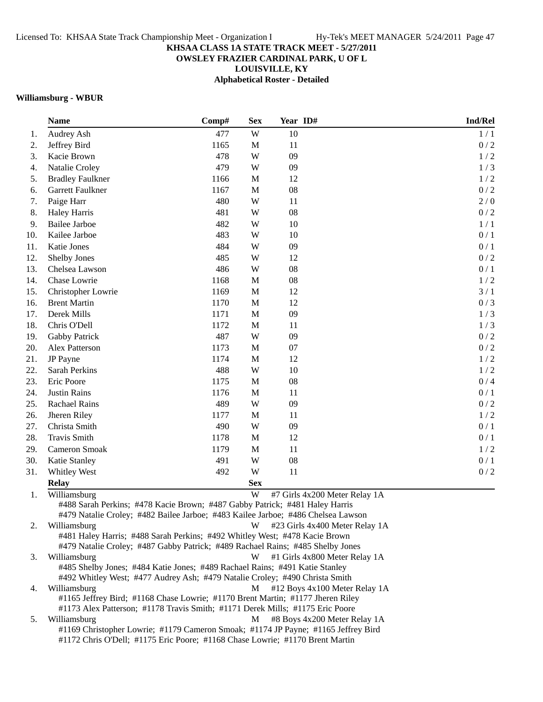# **OWSLEY FRAZIER CARDINAL PARK, U OF L**

**LOUISVILLE, KY**

**Alphabetical Roster - Detailed**

# **Williamsburg - WBUR**

|     | <b>Name</b>                                                                                                                                                                                                                                                                                        | Comp# | <b>Sex</b>  | Year ID# | Ind/Rel                        |  |
|-----|----------------------------------------------------------------------------------------------------------------------------------------------------------------------------------------------------------------------------------------------------------------------------------------------------|-------|-------------|----------|--------------------------------|--|
| 1.  | Audrey Ash                                                                                                                                                                                                                                                                                         | 477   | W           | 10       | 1/1                            |  |
| 2.  | Jeffrey Bird                                                                                                                                                                                                                                                                                       | 1165  | $\mathbf M$ | 11       | 0/2                            |  |
| 3.  | Kacie Brown                                                                                                                                                                                                                                                                                        | 478   | W           | 09       | 1/2                            |  |
| 4.  | Natalie Croley                                                                                                                                                                                                                                                                                     | 479   | W           | 09       | 1/3                            |  |
| 5.  | <b>Bradley Faulkner</b>                                                                                                                                                                                                                                                                            | 1166  | M           | 12       | 1/2                            |  |
| 6.  | Garrett Faulkner                                                                                                                                                                                                                                                                                   | 1167  | $\mathbf M$ | 08       | 0/2                            |  |
| 7.  | Paige Harr                                                                                                                                                                                                                                                                                         | 480   | W           | 11       | 2/0                            |  |
| 8.  | <b>Haley Harris</b>                                                                                                                                                                                                                                                                                | 481   | W           | 08       | 0/2                            |  |
| 9.  | <b>Bailee Jarboe</b>                                                                                                                                                                                                                                                                               | 482   | W           | 10       | 1/1                            |  |
| 10. | Kailee Jarboe                                                                                                                                                                                                                                                                                      | 483   | W           | 10       | 0/1                            |  |
| 11. | Katie Jones                                                                                                                                                                                                                                                                                        | 484   | W           | 09       | 0/1                            |  |
| 12. | Shelby Jones                                                                                                                                                                                                                                                                                       | 485   | W           | 12       | 0/2                            |  |
| 13. | Chelsea Lawson                                                                                                                                                                                                                                                                                     | 486   | W           | 08       | 0/1                            |  |
| 14. | Chase Lowrie                                                                                                                                                                                                                                                                                       | 1168  | M           | 08       | 1/2                            |  |
| 15. | Christopher Lowrie                                                                                                                                                                                                                                                                                 | 1169  | $\mathbf M$ | 12       | 3/1                            |  |
| 16. | <b>Brent Martin</b>                                                                                                                                                                                                                                                                                | 1170  | $\mathbf M$ | 12       | 0/3                            |  |
| 17. | Derek Mills                                                                                                                                                                                                                                                                                        | 1171  | $\mathbf M$ | 09       | 1/3                            |  |
| 18. | Chris O'Dell                                                                                                                                                                                                                                                                                       | 1172  | $\mathbf M$ | 11       | 1/3                            |  |
| 19. | Gabby Patrick                                                                                                                                                                                                                                                                                      | 487   | W           | 09       | 0/2                            |  |
| 20. | Alex Patterson                                                                                                                                                                                                                                                                                     | 1173  | $\mathbf M$ | 07       | 0/2                            |  |
| 21. | JP Payne                                                                                                                                                                                                                                                                                           | 1174  | $\mathbf M$ | 12       | 1/2                            |  |
| 22. | Sarah Perkins                                                                                                                                                                                                                                                                                      | 488   | W           | 10       | 1/2                            |  |
| 23. | Eric Poore                                                                                                                                                                                                                                                                                         | 1175  | M           | 08       | 0/4                            |  |
| 24. | <b>Justin Rains</b>                                                                                                                                                                                                                                                                                | 1176  | $\mathbf M$ | 11       | 0/1                            |  |
| 25. | Rachael Rains                                                                                                                                                                                                                                                                                      | 489   | W           | 09       | 0/2                            |  |
| 26. | Jheren Riley                                                                                                                                                                                                                                                                                       | 1177  | $\mathbf M$ | 11       | 1/2                            |  |
| 27. | Christa Smith                                                                                                                                                                                                                                                                                      | 490   | W           | 09       | 0/1                            |  |
| 28. | <b>Travis Smith</b>                                                                                                                                                                                                                                                                                | 1178  | $\mathbf M$ | 12       | 0/1                            |  |
| 29. | Cameron Smoak                                                                                                                                                                                                                                                                                      | 1179  | M           | 11       | 1/2                            |  |
| 30. | Katie Stanley                                                                                                                                                                                                                                                                                      | 491   | W           | 08       | 0/1                            |  |
| 31. | Whitley West                                                                                                                                                                                                                                                                                       | 492   | W           | 11       | 0/2                            |  |
|     | <b>Relay</b>                                                                                                                                                                                                                                                                                       |       | <b>Sex</b>  |          |                                |  |
| 1.  | Williamsburg                                                                                                                                                                                                                                                                                       |       | W           |          | #7 Girls 4x200 Meter Relay 1A  |  |
|     | #488 Sarah Perkins; #478 Kacie Brown; #487 Gabby Patrick; #481 Haley Harris<br>#479 Natalie Croley; #482 Bailee Jarboe; #483 Kailee Jarboe; #486 Chelsea Lawson                                                                                                                                    |       |             |          |                                |  |
| 2.  | Williamsburg                                                                                                                                                                                                                                                                                       |       | W           |          | #23 Girls 4x400 Meter Relay 1A |  |
|     | #481 Haley Harris; #488 Sarah Perkins; #492 Whitley West; #478 Kacie Brown                                                                                                                                                                                                                         |       |             |          |                                |  |
| 3.  | #479 Natalie Croley; #487 Gabby Patrick; #489 Rachael Rains; #485 Shelby Jones<br>Williamsburg<br>W<br>#1 Girls 4x800 Meter Relay 1A<br>#485 Shelby Jones; #484 Katie Jones; #489 Rachael Rains; #491 Katie Stanley<br>#492 Whitley West; #477 Audrey Ash; #479 Natalie Croley; #490 Christa Smith |       |             |          |                                |  |
| 4.  | Williamsburg<br>#1165 Jeffrey Bird; #1168 Chase Lowrie; #1170 Brent Martin; #1177 Jheren Riley<br>#1173 Alex Patterson; #1178 Travis Smith; #1171 Derek Mills; #1175 Eric Poore                                                                                                                    |       | M           |          | #12 Boys 4x100 Meter Relay 1A  |  |
| 5.  | Williamsburg                                                                                                                                                                                                                                                                                       |       | M           |          | #8 Boys 4x200 Meter Relay 1A   |  |
|     | #1169 Christopher Lowrie; #1179 Cameron Smoak; #1174 JP Payne; #1165 Jeffrey Bird<br>#1172 Chris O'Dell; #1175 Eric Poore; #1168 Chase Lowrie; #1170 Brent Martin                                                                                                                                  |       |             |          |                                |  |